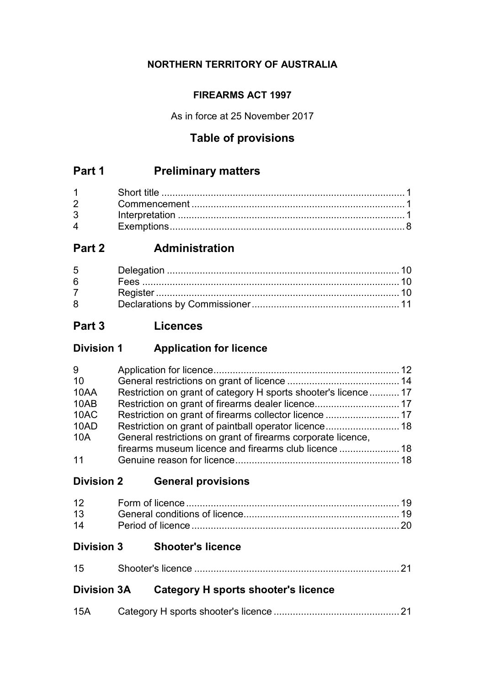## **NORTHERN TERRITORY OF AUSTRALIA**

## **FIREARMS ACT 1997**

As in force at 25 November 2017

# **Table of provisions**

# **Part 1 Preliminary matters**

| $1 \quad \blacksquare$         |  |
|--------------------------------|--|
| $2 \left( \frac{1}{2} \right)$ |  |
| $3^{\circ}$                    |  |
| $\mathbf 4$                    |  |

# **Part 2 Administration**

| $5^{\circ}$ |  |
|-------------|--|
| 6           |  |
|             |  |
| 8           |  |

# **Part 3 Licences**

# **Division 1 Application for licence**

| 9    |                                                                 |  |
|------|-----------------------------------------------------------------|--|
| 10   |                                                                 |  |
| 10AA | Restriction on grant of category H sports shooter's licence  17 |  |
| 10AB |                                                                 |  |
| 10AC | Restriction on grant of firearms collector licence  17          |  |
| 10AD |                                                                 |  |
| 10A  | General restrictions on grant of firearms corporate licence,    |  |
|      |                                                                 |  |
| 11   |                                                                 |  |

# **Division 2 General provisions**

# **Division 3 Shooter's licence**

| ィに |  |
|----|--|

# **Division 3A Category H sports shooter's licence**

| 15A |  |
|-----|--|
|     |  |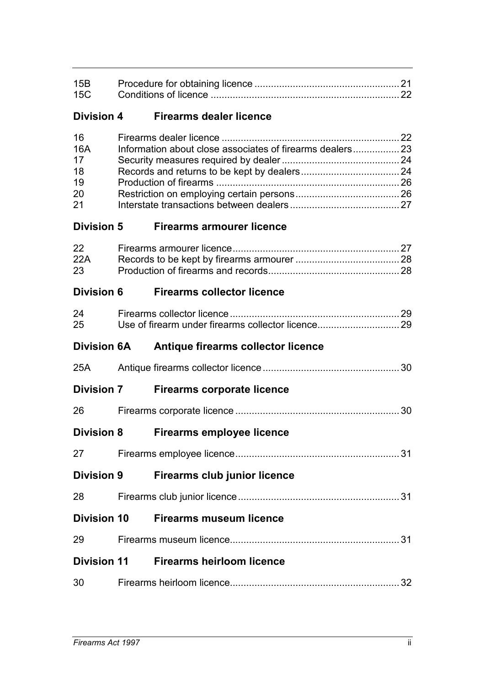| 15B<br>15C                                     |                                                          |  |
|------------------------------------------------|----------------------------------------------------------|--|
| <b>Division 4</b>                              | <b>Firearms dealer licence</b>                           |  |
| 16<br><b>16A</b><br>17<br>18<br>19<br>20<br>21 | Information about close associates of firearms dealers23 |  |
| <b>Division 5</b>                              | <b>Firearms armourer licence</b>                         |  |
| 22<br>22A<br>23                                |                                                          |  |
| <b>Division 6</b>                              | <b>Firearms collector licence</b>                        |  |
| 24<br>25                                       |                                                          |  |
| <b>Division 6A</b>                             |                                                          |  |
|                                                | Antique firearms collector licence                       |  |
| 25A                                            |                                                          |  |
| <b>Division 7</b>                              | <b>Firearms corporate licence</b>                        |  |
| 26                                             |                                                          |  |
| <b>Division 8</b>                              | <b>Firearms employee licence</b>                         |  |
| 27                                             |                                                          |  |
| <b>Division 9</b>                              | <b>Firearms club junior licence</b>                      |  |
| 28                                             |                                                          |  |
| <b>Division 10</b>                             | <b>Firearms museum licence</b>                           |  |
| 29                                             |                                                          |  |
| <b>Division 11</b>                             | <b>Firearms heirloom licence</b>                         |  |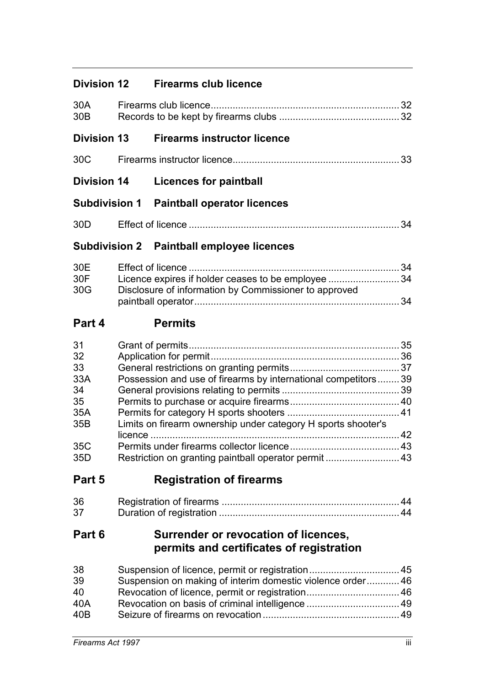| <b>Division 12</b> | <b>Firearms club licence</b> |  |
|--------------------|------------------------------|--|
|                    |                              |  |

| 30A<br>30 <sub>B</sub>                                        |                                                                                                                                                                                        |    |
|---------------------------------------------------------------|----------------------------------------------------------------------------------------------------------------------------------------------------------------------------------------|----|
| <b>Division 13</b>                                            | <b>Firearms instructor licence</b>                                                                                                                                                     |    |
| 30 <sub>C</sub>                                               |                                                                                                                                                                                        | 33 |
| <b>Division 14</b>                                            | <b>Licences for paintball</b>                                                                                                                                                          |    |
| <b>Subdivision 1</b>                                          | <b>Paintball operator licences</b>                                                                                                                                                     |    |
| 30 <sub>D</sub>                                               |                                                                                                                                                                                        | 34 |
|                                                               | <b>Subdivision 2 Paintball employee licences</b>                                                                                                                                       |    |
| 30E<br>30F<br>30G                                             | Licence expires if holder ceases to be employee 34<br>Disclosure of information by Commissioner to approved                                                                            |    |
| Part 4                                                        | <b>Permits</b>                                                                                                                                                                         |    |
| 31<br>32<br>33<br>33A<br>34<br>35<br>35A<br>35B<br>35C<br>35D | Possession and use of firearms by international competitors 39<br>Limits on firearm ownership under category H sports shooter's<br>Restriction on granting paintball operator permit43 |    |
| Part 5                                                        | <b>Registration of firearms</b>                                                                                                                                                        |    |
| 36<br>37                                                      |                                                                                                                                                                                        |    |
| Part 6                                                        | Surrender or revocation of licences,<br>permits and certificates of registration                                                                                                       |    |
| 38<br>39<br>40<br>40A                                         | Suspension on making of interim domestic violence order 46<br>Revocation of licence, permit or registration 46                                                                         |    |

40B Seizure of firearms on revocation.................................................. 49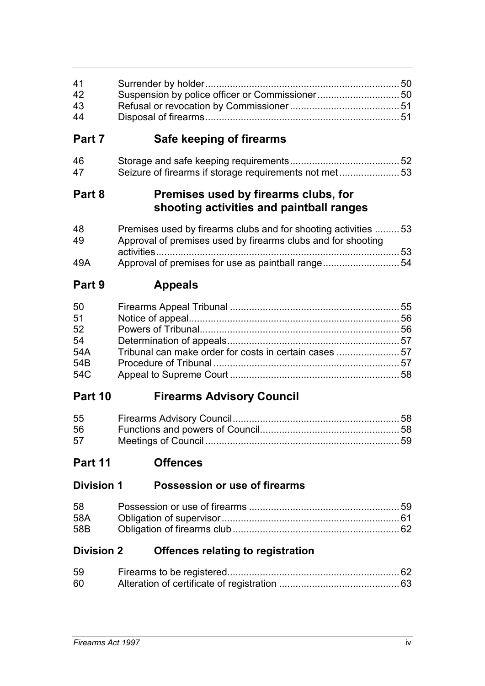| 41<br>42<br>43<br>44                      | Suspension by police officer or Commissioner50                                                                                 |  |
|-------------------------------------------|--------------------------------------------------------------------------------------------------------------------------------|--|
| Part 7                                    | Safe keeping of firearms                                                                                                       |  |
| 46<br>47                                  | Seizure of firearms if storage requirements not met53                                                                          |  |
| Part 8                                    | Premises used by firearms clubs, for<br>shooting activities and paintball ranges                                               |  |
| 48<br>49                                  | Premises used by firearms clubs and for shooting activities 53<br>Approval of premises used by firearms clubs and for shooting |  |
| 49A                                       | Approval of premises for use as paintball range54                                                                              |  |
| Part 9                                    | <b>Appeals</b>                                                                                                                 |  |
| 50<br>51<br>52<br>54<br>54A<br>54B<br>54C | Tribunal can make order for costs in certain cases 57                                                                          |  |
| Part 10                                   | <b>Firearms Advisory Council</b>                                                                                               |  |
| 55<br>56<br>57                            |                                                                                                                                |  |
| Part 11                                   | <b>Offences</b>                                                                                                                |  |
| <b>Division 1</b>                         | Possession or use of firearms                                                                                                  |  |
| 58<br>58A<br>58B                          |                                                                                                                                |  |
| <b>Division 2</b>                         | <b>Offences relating to registration</b>                                                                                       |  |
| 59<br>60                                  |                                                                                                                                |  |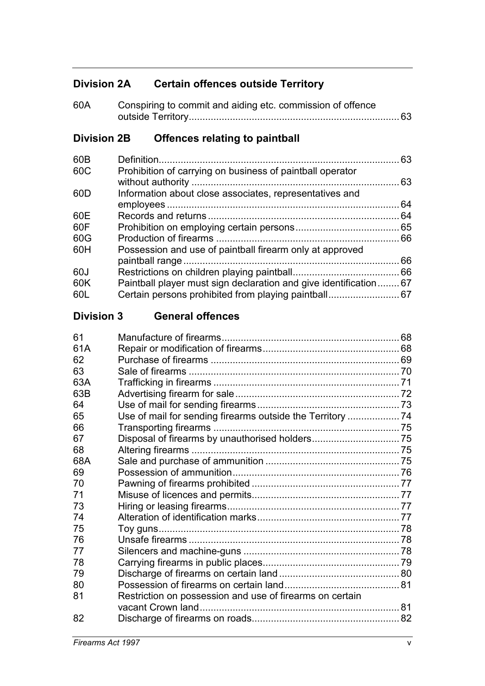# **Division 2A Certain offences outside Territory**

| 60A | Conspiring to commit and aiding etc. commission of offence |  |
|-----|------------------------------------------------------------|--|
|     |                                                            |  |

# **Division 2B Offences relating to paintball**

| 60B |                                                                   | 63 |
|-----|-------------------------------------------------------------------|----|
| 60C | Prohibition of carrying on business of paintball operator         |    |
|     |                                                                   | 63 |
| 60D | Information about close associates, representatives and           |    |
|     |                                                                   | 64 |
| 60E |                                                                   | 64 |
| 60F |                                                                   |    |
| 60G |                                                                   |    |
| 60H | Possession and use of paintball firearm only at approved          |    |
|     |                                                                   | 66 |
| 60J |                                                                   |    |
| 60K | Paintball player must sign declaration and give identification 67 |    |
| 60L | Certain persons prohibited from playing paintball 67              |    |

## **Division 3 General offences**

| Restriction on possession and use of firearms on certain |  |
|----------------------------------------------------------|--|
|                                                          |  |
|                                                          |  |
|                                                          |  |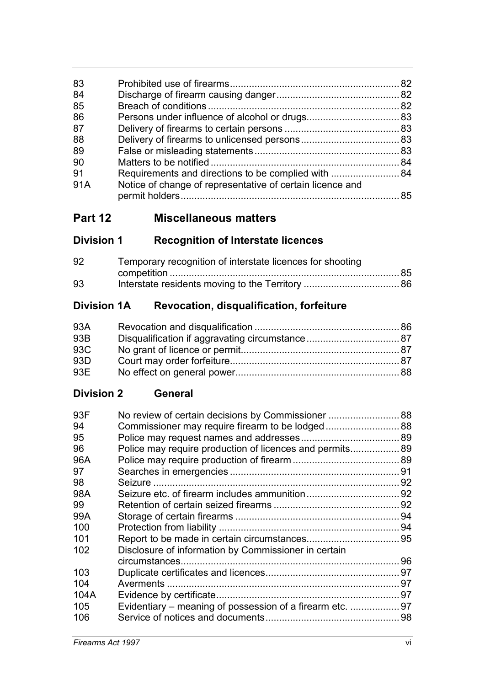| 83  |                                                           |  |
|-----|-----------------------------------------------------------|--|
| 84  |                                                           |  |
| 85  |                                                           |  |
| 86  |                                                           |  |
| 87  |                                                           |  |
| 88  |                                                           |  |
| 89  |                                                           |  |
| 90  |                                                           |  |
| 91  |                                                           |  |
| 91A | Notice of change of representative of certain licence and |  |
|     |                                                           |  |
|     |                                                           |  |

# **Part 12 Miscellaneous matters**

# **Division 1 Recognition of Interstate licences**

| 92 | Temporary recognition of interstate licences for shooting |  |  |
|----|-----------------------------------------------------------|--|--|
|    |                                                           |  |  |
| 93 |                                                           |  |  |

# **Division 1A Revocation, disqualification, forfeiture**

| 93A |  |
|-----|--|
| 93B |  |
| 93C |  |
| 93D |  |
| 93E |  |

# **Division 2 General**

| 93F  |                                                           |    |
|------|-----------------------------------------------------------|----|
| 94   | Commissioner may require firearm to be lodged 88          |    |
| 95   |                                                           |    |
| 96   | Police may require production of licences and permits 89  |    |
| 96A  |                                                           |    |
| 97   |                                                           |    |
| 98   |                                                           |    |
| 98A  |                                                           |    |
| 99   |                                                           |    |
| 99A  |                                                           |    |
| 100  |                                                           |    |
| 101  |                                                           |    |
| 102  | Disclosure of information by Commissioner in certain      |    |
|      |                                                           | 96 |
| 103  |                                                           |    |
| 104  |                                                           |    |
| 104A |                                                           |    |
| 105  | Evidentiary – meaning of possession of a firearm etc.  97 |    |
| 106  |                                                           |    |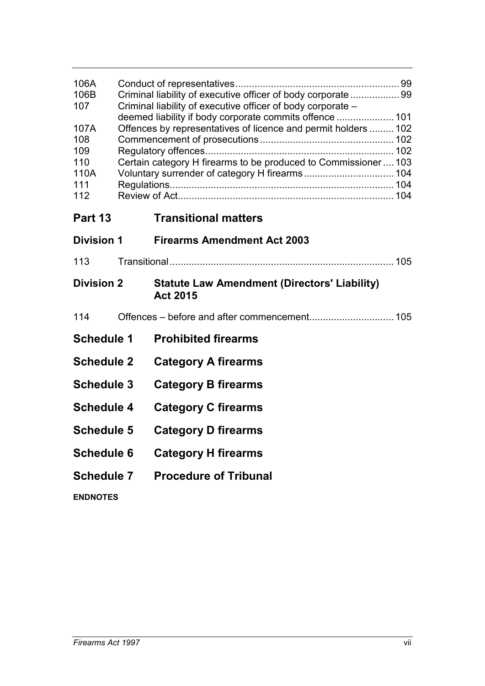| 106A<br>106B<br>107                             | Criminal liability of executive officer of body corporate  99<br>Criminal liability of executive officer of body corporate - |                                                                                                                                                                                                                                                |  |
|-------------------------------------------------|------------------------------------------------------------------------------------------------------------------------------|------------------------------------------------------------------------------------------------------------------------------------------------------------------------------------------------------------------------------------------------|--|
| 107A<br>108<br>109<br>110<br>110A<br>111<br>112 |                                                                                                                              | deemed liability if body corporate commits offence  101<br>Offences by representatives of licence and permit holders  102<br>Certain category H firearms to be produced to Commissioner  103<br>Voluntary surrender of category H firearms 104 |  |
| Part 13                                         |                                                                                                                              | <b>Transitional matters</b>                                                                                                                                                                                                                    |  |
| <b>Division 1</b>                               |                                                                                                                              | <b>Firearms Amendment Act 2003</b>                                                                                                                                                                                                             |  |
| 113                                             |                                                                                                                              |                                                                                                                                                                                                                                                |  |
| <b>Division 2</b>                               |                                                                                                                              | <b>Statute Law Amendment (Directors' Liability)</b><br><b>Act 2015</b>                                                                                                                                                                         |  |
| 114                                             |                                                                                                                              |                                                                                                                                                                                                                                                |  |
| <b>Schedule 1</b>                               |                                                                                                                              | <b>Prohibited firearms</b>                                                                                                                                                                                                                     |  |
| <b>Schedule 2</b>                               |                                                                                                                              | <b>Category A firearms</b>                                                                                                                                                                                                                     |  |
| <b>Schedule 3</b>                               |                                                                                                                              | <b>Category B firearms</b>                                                                                                                                                                                                                     |  |
| <b>Schedule 4</b>                               |                                                                                                                              | <b>Category C firearms</b>                                                                                                                                                                                                                     |  |
| <b>Schedule 5</b>                               |                                                                                                                              | <b>Category D firearms</b>                                                                                                                                                                                                                     |  |
| <b>Schedule 6</b>                               |                                                                                                                              | <b>Category H firearms</b>                                                                                                                                                                                                                     |  |
| <b>Schedule 7</b>                               |                                                                                                                              | <b>Procedure of Tribunal</b>                                                                                                                                                                                                                   |  |
| <b>ENDNOTES</b>                                 |                                                                                                                              |                                                                                                                                                                                                                                                |  |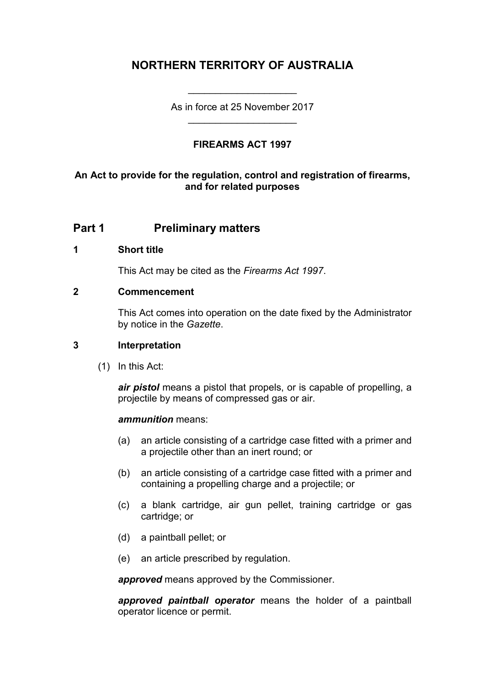# **NORTHERN TERRITORY OF AUSTRALIA**

As in force at 25 November 2017 \_\_\_\_\_\_\_\_\_\_\_\_\_\_\_\_\_\_\_\_

\_\_\_\_\_\_\_\_\_\_\_\_\_\_\_\_\_\_\_\_

## **FIREARMS ACT 1997**

### **An Act to provide for the regulation, control and registration of firearms, and for related purposes**

# **Part 1 Preliminary matters**

#### **1 Short title**

This Act may be cited as the *Firearms Act 1997*.

#### **2 Commencement**

This Act comes into operation on the date fixed by the Administrator by notice in the *Gazette*.

#### **3 Interpretation**

(1) In this Act:

*air pistol* means a pistol that propels, or is capable of propelling, a projectile by means of compressed gas or air.

#### *ammunition* means:

- (a) an article consisting of a cartridge case fitted with a primer and a projectile other than an inert round; or
- (b) an article consisting of a cartridge case fitted with a primer and containing a propelling charge and a projectile; or
- (c) a blank cartridge, air gun pellet, training cartridge or gas cartridge; or
- (d) a paintball pellet; or
- (e) an article prescribed by regulation.

*approved* means approved by the Commissioner.

*approved paintball operator* means the holder of a paintball operator licence or permit.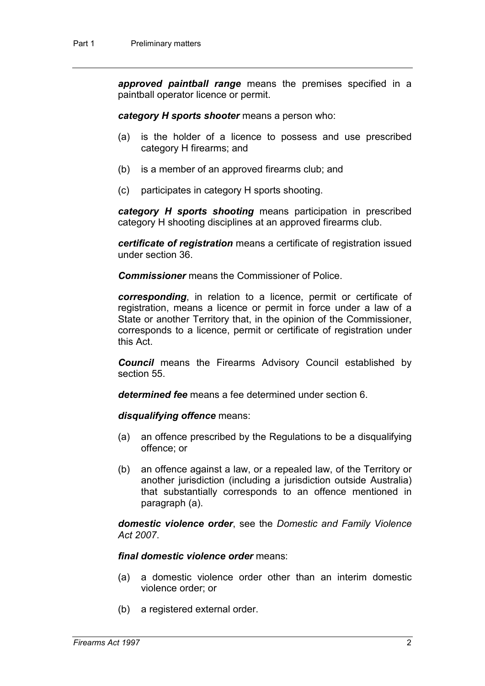*approved paintball range* means the premises specified in a paintball operator licence or permit.

*category H sports shooter* means a person who:

- (a) is the holder of a licence to possess and use prescribed category H firearms; and
- (b) is a member of an approved firearms club; and
- (c) participates in category H sports shooting.

*category H sports shooting* means participation in prescribed category H shooting disciplines at an approved firearms club.

*certificate of registration* means a certificate of registration issued under section 36.

*Commissioner* means the Commissioner of Police.

*corresponding*, in relation to a licence, permit or certificate of registration, means a licence or permit in force under a law of a State or another Territory that, in the opinion of the Commissioner, corresponds to a licence, permit or certificate of registration under this Act.

*Council* means the Firearms Advisory Council established by section 55.

*determined fee* means a fee determined under section 6.

*disqualifying offence* means:

- (a) an offence prescribed by the Regulations to be a disqualifying offence; or
- (b) an offence against a law, or a repealed law, of the Territory or another jurisdiction (including a jurisdiction outside Australia) that substantially corresponds to an offence mentioned in paragraph (a).

*domestic violence order*, see the *Domestic and Family Violence Act 2007*.

#### *final domestic violence order* means:

- (a) a domestic violence order other than an interim domestic violence order; or
- (b) a registered external order.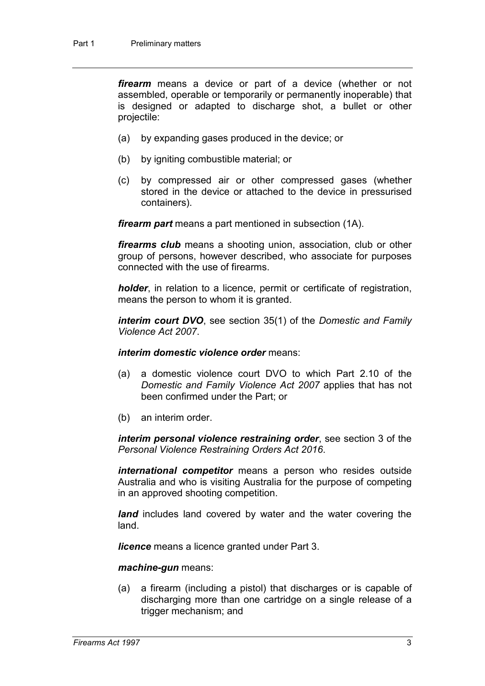*firearm* means a device or part of a device (whether or not assembled, operable or temporarily or permanently inoperable) that is designed or adapted to discharge shot, a bullet or other projectile:

- (a) by expanding gases produced in the device; or
- (b) by igniting combustible material; or
- (c) by compressed air or other compressed gases (whether stored in the device or attached to the device in pressurised containers).

*firearm part* means a part mentioned in subsection (1A).

*firearms club* means a shooting union, association, club or other group of persons, however described, who associate for purposes connected with the use of firearms.

*holder*, in relation to a licence, permit or certificate of registration, means the person to whom it is granted.

*interim court DVO*, see section 35(1) of the *Domestic and Family Violence Act 2007*.

*interim domestic violence order* means:

- (a) a domestic violence court DVO to which Part 2.10 of the *Domestic and Family Violence Act 2007* applies that has not been confirmed under the Part; or
- (b) an interim order.

*interim personal violence restraining order*, see section 3 of the *Personal Violence Restraining Orders Act 2016*.

*international competitor* means a person who resides outside Australia and who is visiting Australia for the purpose of competing in an approved shooting competition.

*land* includes land covered by water and the water covering the land.

*licence* means a licence granted under Part 3.

*machine-gun* means:

(a) a firearm (including a pistol) that discharges or is capable of discharging more than one cartridge on a single release of a trigger mechanism; and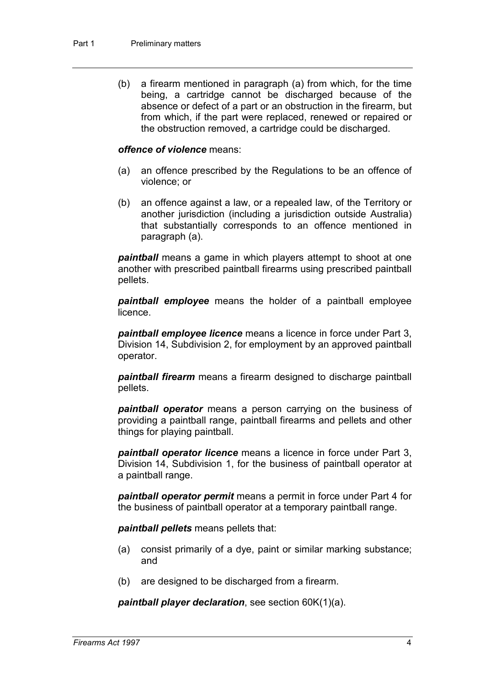(b) a firearm mentioned in paragraph (a) from which, for the time being, a cartridge cannot be discharged because of the absence or defect of a part or an obstruction in the firearm, but from which, if the part were replaced, renewed or repaired or the obstruction removed, a cartridge could be discharged.

#### *offence of violence* means:

- (a) an offence prescribed by the Regulations to be an offence of violence; or
- (b) an offence against a law, or a repealed law, of the Territory or another jurisdiction (including a jurisdiction outside Australia) that substantially corresponds to an offence mentioned in paragraph (a).

*paintball* means a game in which players attempt to shoot at one another with prescribed paintball firearms using prescribed paintball pellets.

*paintball employee* means the holder of a paintball employee licence.

*paintball employee licence* means a licence in force under Part 3, Division 14, Subdivision 2, for employment by an approved paintball operator.

*paintball firearm* means a firearm designed to discharge paintball pellets.

*paintball operator* means a person carrying on the business of providing a paintball range, paintball firearms and pellets and other things for playing paintball.

*paintball operator licence* means a licence in force under Part 3, Division 14, Subdivision 1, for the business of paintball operator at a paintball range.

*paintball operator permit* means a permit in force under Part 4 for the business of paintball operator at a temporary paintball range.

*paintball pellets* means pellets that:

- (a) consist primarily of a dye, paint or similar marking substance; and
- (b) are designed to be discharged from a firearm.

*paintball player declaration*, see section 60K(1)(a).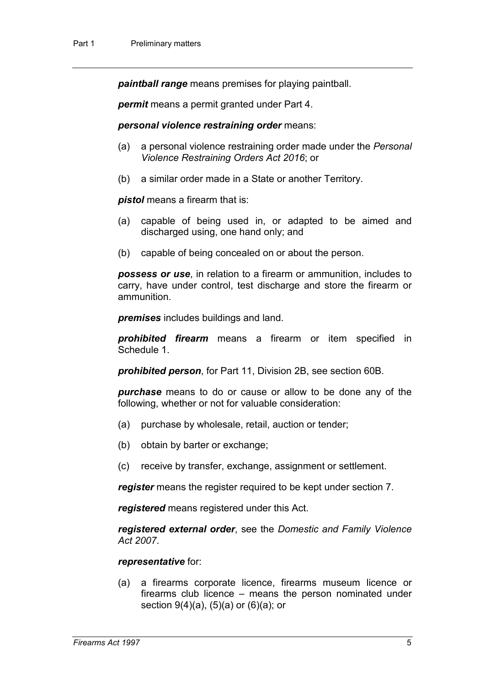*paintball range* means premises for playing paintball.

*permit* means a permit granted under Part 4.

#### *personal violence restraining order* means:

- (a) a personal violence restraining order made under the *Personal Violence Restraining Orders Act 2016*; or
- (b) a similar order made in a State or another Territory.

*pistol* means a firearm that is:

- (a) capable of being used in, or adapted to be aimed and discharged using, one hand only; and
- (b) capable of being concealed on or about the person.

*possess or use*, in relation to a firearm or ammunition, includes to carry, have under control, test discharge and store the firearm or ammunition.

*premises* includes buildings and land.

*prohibited firearm* means a firearm or item specified in Schedule 1.

*prohibited person*, for Part 11, Division 2B, see section 60B.

*purchase* means to do or cause or allow to be done any of the following, whether or not for valuable consideration:

- (a) purchase by wholesale, retail, auction or tender;
- (b) obtain by barter or exchange;
- (c) receive by transfer, exchange, assignment or settlement.

*register* means the register required to be kept under section 7.

*registered* means registered under this Act.

*registered external order*, see the *Domestic and Family Violence Act 2007*.

#### *representative* for:

(a) a firearms corporate licence, firearms museum licence or firearms club licence – means the person nominated under section 9(4)(a), (5)(a) or (6)(a); or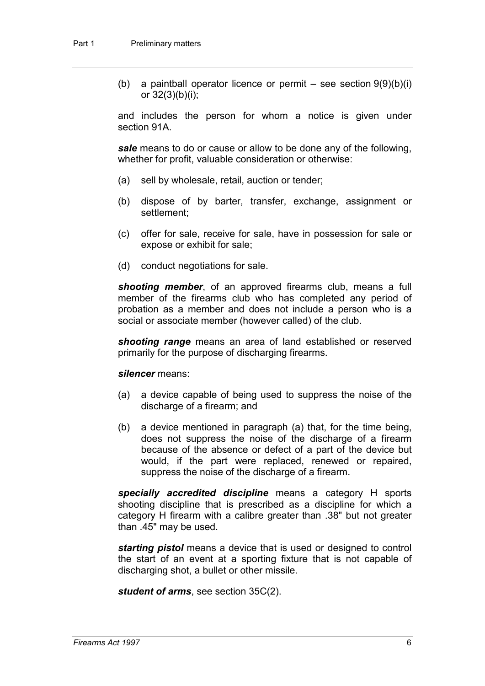(b) a paintball operator licence or permit – see section  $9(9)(b)(i)$ or 32(3)(b)(i);

and includes the person for whom a notice is given under section 91A.

*sale* means to do or cause or allow to be done any of the following, whether for profit, valuable consideration or otherwise:

- (a) sell by wholesale, retail, auction or tender;
- (b) dispose of by barter, transfer, exchange, assignment or settlement;
- (c) offer for sale, receive for sale, have in possession for sale or expose or exhibit for sale;
- (d) conduct negotiations for sale.

*shooting member*, of an approved firearms club, means a full member of the firearms club who has completed any period of probation as a member and does not include a person who is a social or associate member (however called) of the club.

*shooting range* means an area of land established or reserved primarily for the purpose of discharging firearms.

#### *silencer* means:

- (a) a device capable of being used to suppress the noise of the discharge of a firearm; and
- (b) a device mentioned in paragraph (a) that, for the time being, does not suppress the noise of the discharge of a firearm because of the absence or defect of a part of the device but would, if the part were replaced, renewed or repaired, suppress the noise of the discharge of a firearm.

*specially accredited discipline* means a category H sports shooting discipline that is prescribed as a discipline for which a category H firearm with a calibre greater than .38" but not greater than .45" may be used.

*starting pistol* means a device that is used or designed to control the start of an event at a sporting fixture that is not capable of discharging shot, a bullet or other missile.

*student of arms*, see section 35C(2).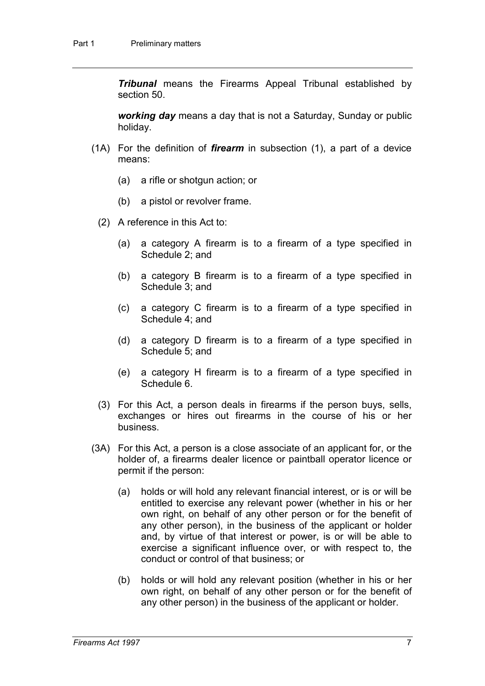*Tribunal* means the Firearms Appeal Tribunal established by section 50.

*working day* means a day that is not a Saturday, Sunday or public holiday.

- (1A) For the definition of *firearm* in subsection (1), a part of a device means:
	- (a) a rifle or shotgun action; or
	- (b) a pistol or revolver frame.
	- (2) A reference in this Act to:
		- (a) a category A firearm is to a firearm of a type specified in Schedule 2; and
		- (b) a category B firearm is to a firearm of a type specified in Schedule 3; and
		- (c) a category C firearm is to a firearm of a type specified in Schedule 4; and
		- (d) a category D firearm is to a firearm of a type specified in Schedule 5; and
		- (e) a category H firearm is to a firearm of a type specified in Schedule 6.
	- (3) For this Act, a person deals in firearms if the person buys, sells, exchanges or hires out firearms in the course of his or her business.
- (3A) For this Act, a person is a close associate of an applicant for, or the holder of, a firearms dealer licence or paintball operator licence or permit if the person:
	- (a) holds or will hold any relevant financial interest, or is or will be entitled to exercise any relevant power (whether in his or her own right, on behalf of any other person or for the benefit of any other person), in the business of the applicant or holder and, by virtue of that interest or power, is or will be able to exercise a significant influence over, or with respect to, the conduct or control of that business; or
	- (b) holds or will hold any relevant position (whether in his or her own right, on behalf of any other person or for the benefit of any other person) in the business of the applicant or holder.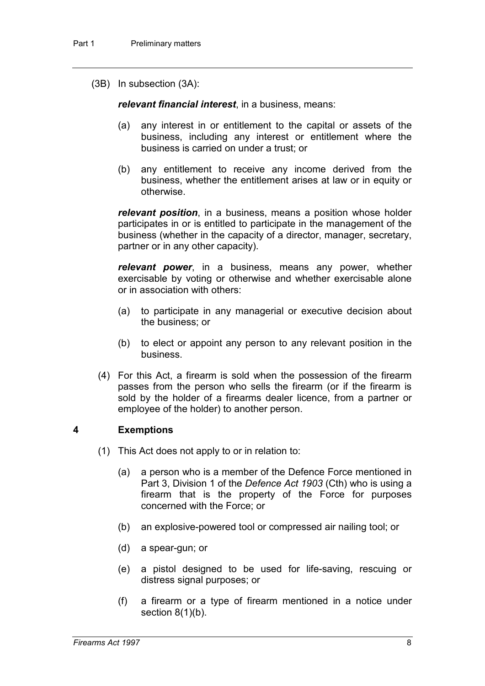(3B) In subsection (3A):

*relevant financial interest*, in a business, means:

- (a) any interest in or entitlement to the capital or assets of the business, including any interest or entitlement where the business is carried on under a trust; or
- (b) any entitlement to receive any income derived from the business, whether the entitlement arises at law or in equity or otherwise.

*relevant position*, in a business, means a position whose holder participates in or is entitled to participate in the management of the business (whether in the capacity of a director, manager, secretary, partner or in any other capacity).

*relevant power*, in a business, means any power, whether exercisable by voting or otherwise and whether exercisable alone or in association with others:

- (a) to participate in any managerial or executive decision about the business; or
- (b) to elect or appoint any person to any relevant position in the business.
- (4) For this Act, a firearm is sold when the possession of the firearm passes from the person who sells the firearm (or if the firearm is sold by the holder of a firearms dealer licence, from a partner or employee of the holder) to another person.

#### **4 Exemptions**

- (1) This Act does not apply to or in relation to:
	- (a) a person who is a member of the Defence Force mentioned in Part 3, Division 1 of the *Defence Act 1903* (Cth) who is using a firearm that is the property of the Force for purposes concerned with the Force; or
	- (b) an explosive-powered tool or compressed air nailing tool; or
	- (d) a spear-gun; or
	- (e) a pistol designed to be used for life-saving, rescuing or distress signal purposes; or
	- (f) a firearm or a type of firearm mentioned in a notice under section  $8(1)(b)$ .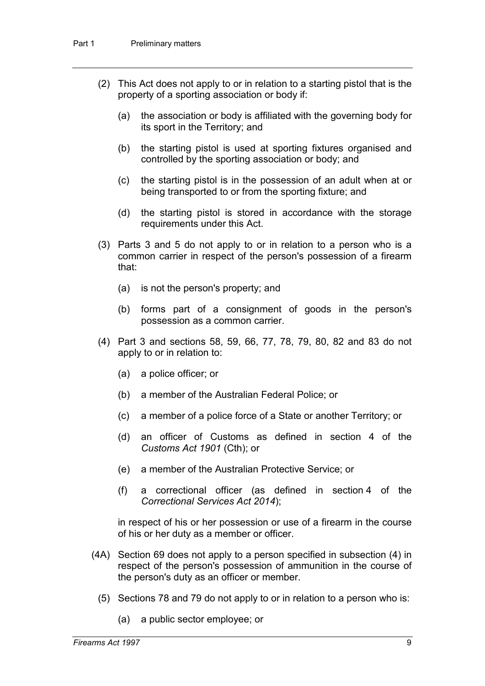- (2) This Act does not apply to or in relation to a starting pistol that is the property of a sporting association or body if:
	- (a) the association or body is affiliated with the governing body for its sport in the Territory; and
	- (b) the starting pistol is used at sporting fixtures organised and controlled by the sporting association or body; and
	- (c) the starting pistol is in the possession of an adult when at or being transported to or from the sporting fixture; and
	- (d) the starting pistol is stored in accordance with the storage requirements under this Act.
- (3) Parts 3 and 5 do not apply to or in relation to a person who is a common carrier in respect of the person's possession of a firearm that:
	- (a) is not the person's property; and
	- (b) forms part of a consignment of goods in the person's possession as a common carrier.
- (4) Part 3 and sections 58, 59, 66, 77, 78, 79, 80, 82 and 83 do not apply to or in relation to:
	- (a) a police officer; or
	- (b) a member of the Australian Federal Police; or
	- (c) a member of a police force of a State or another Territory; or
	- (d) an officer of Customs as defined in section 4 of the *Customs Act 1901* (Cth); or
	- (e) a member of the Australian Protective Service; or
	- (f) a correctional officer (as defined in section 4 of the *Correctional Services Act 2014*);

in respect of his or her possession or use of a firearm in the course of his or her duty as a member or officer.

- (4A) Section 69 does not apply to a person specified in subsection (4) in respect of the person's possession of ammunition in the course of the person's duty as an officer or member.
	- (5) Sections 78 and 79 do not apply to or in relation to a person who is:
		- (a) a public sector employee; or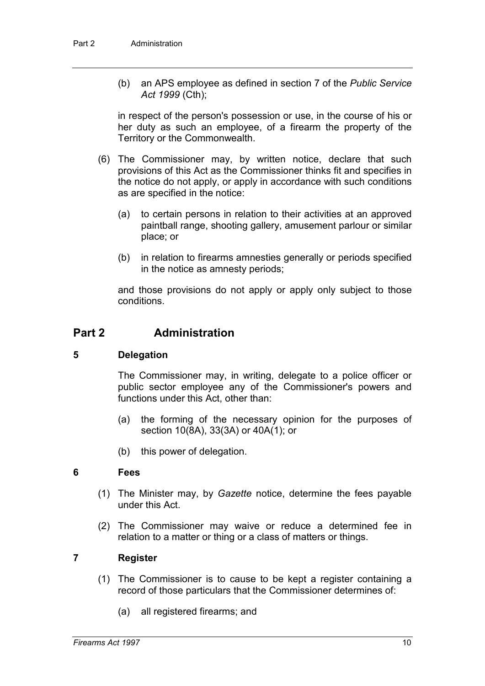(b) an APS employee as defined in section 7 of the *Public Service Act 1999* (Cth);

in respect of the person's possession or use, in the course of his or her duty as such an employee, of a firearm the property of the Territory or the Commonwealth.

- (6) The Commissioner may, by written notice, declare that such provisions of this Act as the Commissioner thinks fit and specifies in the notice do not apply, or apply in accordance with such conditions as are specified in the notice:
	- (a) to certain persons in relation to their activities at an approved paintball range, shooting gallery, amusement parlour or similar place; or
	- (b) in relation to firearms amnesties generally or periods specified in the notice as amnesty periods;

and those provisions do not apply or apply only subject to those conditions.

## **Part 2 Administration**

#### **5 Delegation**

The Commissioner may, in writing, delegate to a police officer or public sector employee any of the Commissioner's powers and functions under this Act, other than:

- (a) the forming of the necessary opinion for the purposes of section 10(8A), 33(3A) or 40A(1); or
- (b) this power of delegation.

#### **6 Fees**

- (1) The Minister may, by *Gazette* notice, determine the fees payable under this Act.
- (2) The Commissioner may waive or reduce a determined fee in relation to a matter or thing or a class of matters or things.

### **7 Register**

- (1) The Commissioner is to cause to be kept a register containing a record of those particulars that the Commissioner determines of:
	- (a) all registered firearms; and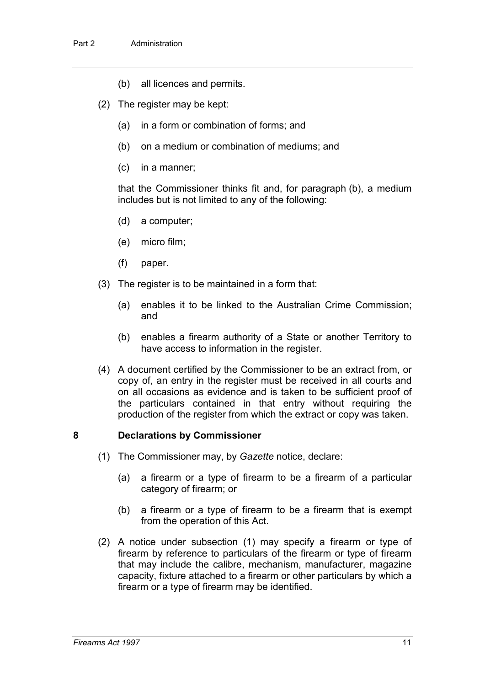- (b) all licences and permits.
- (2) The register may be kept:
	- (a) in a form or combination of forms; and
	- (b) on a medium or combination of mediums; and
	- (c) in a manner;

that the Commissioner thinks fit and, for paragraph (b), a medium includes but is not limited to any of the following:

- (d) a computer;
- (e) micro film;
- (f) paper.
- (3) The register is to be maintained in a form that:
	- (a) enables it to be linked to the Australian Crime Commission; and
	- (b) enables a firearm authority of a State or another Territory to have access to information in the register.
- (4) A document certified by the Commissioner to be an extract from, or copy of, an entry in the register must be received in all courts and on all occasions as evidence and is taken to be sufficient proof of the particulars contained in that entry without requiring the production of the register from which the extract or copy was taken.

#### **8 Declarations by Commissioner**

- (1) The Commissioner may, by *Gazette* notice, declare:
	- (a) a firearm or a type of firearm to be a firearm of a particular category of firearm; or
	- (b) a firearm or a type of firearm to be a firearm that is exempt from the operation of this Act.
- (2) A notice under subsection (1) may specify a firearm or type of firearm by reference to particulars of the firearm or type of firearm that may include the calibre, mechanism, manufacturer, magazine capacity, fixture attached to a firearm or other particulars by which a firearm or a type of firearm may be identified.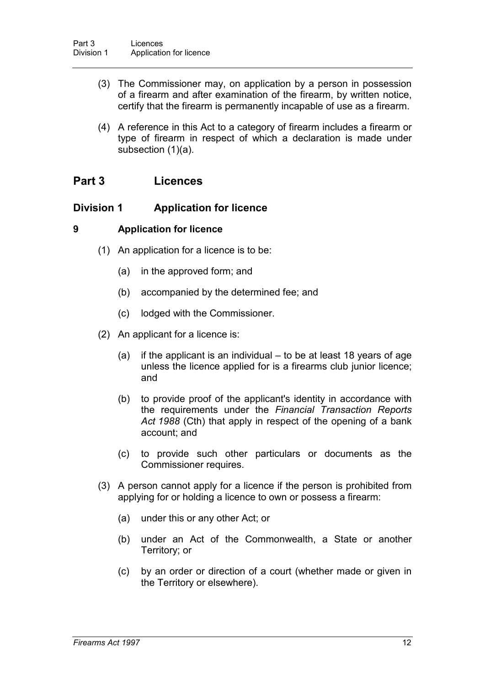- (3) The Commissioner may, on application by a person in possession of a firearm and after examination of the firearm, by written notice, certify that the firearm is permanently incapable of use as a firearm.
- (4) A reference in this Act to a category of firearm includes a firearm or type of firearm in respect of which a declaration is made under subsection (1)(a).

## **Part 3 Licences**

### **Division 1 Application for licence**

#### **9 Application for licence**

- (1) An application for a licence is to be:
	- (a) in the approved form; and
	- (b) accompanied by the determined fee; and
	- (c) lodged with the Commissioner.
- (2) An applicant for a licence is:
	- (a) if the applicant is an individual to be at least 18 years of age unless the licence applied for is a firearms club junior licence; and
	- (b) to provide proof of the applicant's identity in accordance with the requirements under the *Financial Transaction Reports Act 1988* (Cth) that apply in respect of the opening of a bank account; and
	- (c) to provide such other particulars or documents as the Commissioner requires.
- (3) A person cannot apply for a licence if the person is prohibited from applying for or holding a licence to own or possess a firearm:
	- (a) under this or any other Act; or
	- (b) under an Act of the Commonwealth, a State or another Territory; or
	- (c) by an order or direction of a court (whether made or given in the Territory or elsewhere).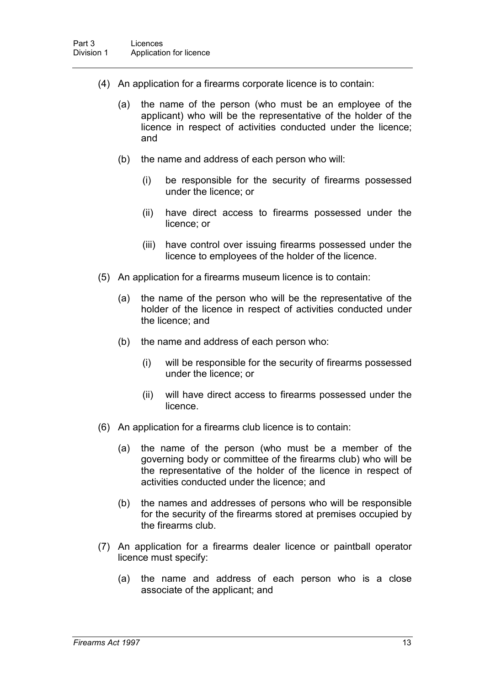- (4) An application for a firearms corporate licence is to contain:
	- (a) the name of the person (who must be an employee of the applicant) who will be the representative of the holder of the licence in respect of activities conducted under the licence; and
	- (b) the name and address of each person who will:
		- (i) be responsible for the security of firearms possessed under the licence; or
		- (ii) have direct access to firearms possessed under the licence; or
		- (iii) have control over issuing firearms possessed under the licence to employees of the holder of the licence.
- (5) An application for a firearms museum licence is to contain:
	- (a) the name of the person who will be the representative of the holder of the licence in respect of activities conducted under the licence; and
	- (b) the name and address of each person who:
		- (i) will be responsible for the security of firearms possessed under the licence; or
		- (ii) will have direct access to firearms possessed under the licence.
- (6) An application for a firearms club licence is to contain:
	- (a) the name of the person (who must be a member of the governing body or committee of the firearms club) who will be the representative of the holder of the licence in respect of activities conducted under the licence; and
	- (b) the names and addresses of persons who will be responsible for the security of the firearms stored at premises occupied by the firearms club.
- (7) An application for a firearms dealer licence or paintball operator licence must specify:
	- (a) the name and address of each person who is a close associate of the applicant; and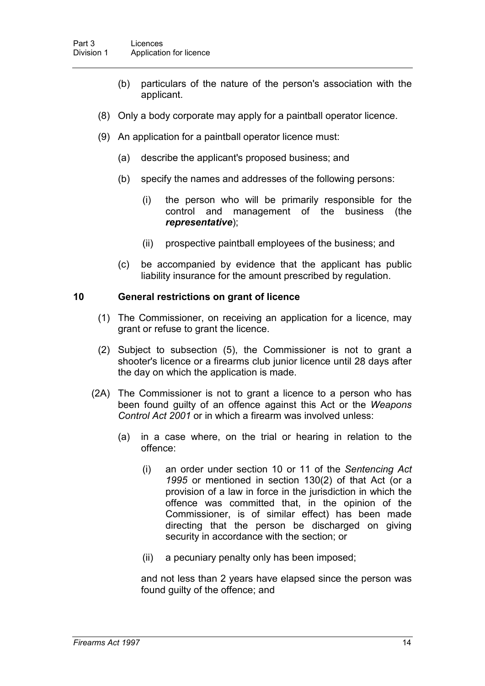- (b) particulars of the nature of the person's association with the applicant.
- (8) Only a body corporate may apply for a paintball operator licence.
- (9) An application for a paintball operator licence must:
	- (a) describe the applicant's proposed business; and
	- (b) specify the names and addresses of the following persons:
		- (i) the person who will be primarily responsible for the control and management of the business (the *representative*);
		- (ii) prospective paintball employees of the business; and
	- (c) be accompanied by evidence that the applicant has public liability insurance for the amount prescribed by regulation.

#### **10 General restrictions on grant of licence**

- (1) The Commissioner, on receiving an application for a licence, may grant or refuse to grant the licence.
- (2) Subject to subsection (5), the Commissioner is not to grant a shooter's licence or a firearms club junior licence until 28 days after the day on which the application is made.
- (2A) The Commissioner is not to grant a licence to a person who has been found guilty of an offence against this Act or the *Weapons Control Act 2001* or in which a firearm was involved unless:
	- (a) in a case where, on the trial or hearing in relation to the offence:
		- (i) an order under section 10 or 11 of the *Sentencing Act 1995* or mentioned in section 130(2) of that Act (or a provision of a law in force in the jurisdiction in which the offence was committed that, in the opinion of the Commissioner, is of similar effect) has been made directing that the person be discharged on giving security in accordance with the section; or
		- (ii) a pecuniary penalty only has been imposed;

and not less than 2 years have elapsed since the person was found guilty of the offence; and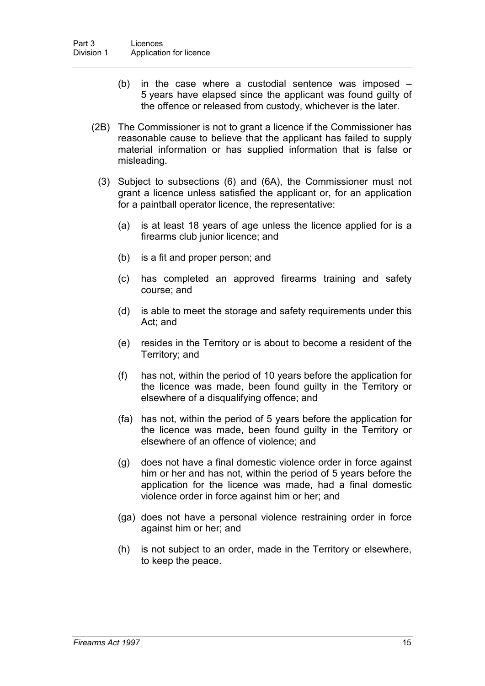- (b) in the case where a custodial sentence was imposed 5 years have elapsed since the applicant was found guilty of the offence or released from custody, whichever is the later.
- (2B) The Commissioner is not to grant a licence if the Commissioner has reasonable cause to believe that the applicant has failed to supply material information or has supplied information that is false or misleading.
	- (3) Subject to subsections (6) and (6A), the Commissioner must not grant a licence unless satisfied the applicant or, for an application for a paintball operator licence, the representative:
		- (a) is at least 18 years of age unless the licence applied for is a firearms club junior licence; and
		- (b) is a fit and proper person; and
		- (c) has completed an approved firearms training and safety course; and
		- (d) is able to meet the storage and safety requirements under this Act; and
		- (e) resides in the Territory or is about to become a resident of the Territory; and
		- (f) has not, within the period of 10 years before the application for the licence was made, been found guilty in the Territory or elsewhere of a disqualifying offence; and
		- (fa) has not, within the period of 5 years before the application for the licence was made, been found guilty in the Territory or elsewhere of an offence of violence; and
		- (g) does not have a final domestic violence order in force against him or her and has not, within the period of 5 years before the application for the licence was made, had a final domestic violence order in force against him or her; and
		- (ga) does not have a personal violence restraining order in force against him or her; and
		- (h) is not subject to an order, made in the Territory or elsewhere, to keep the peace.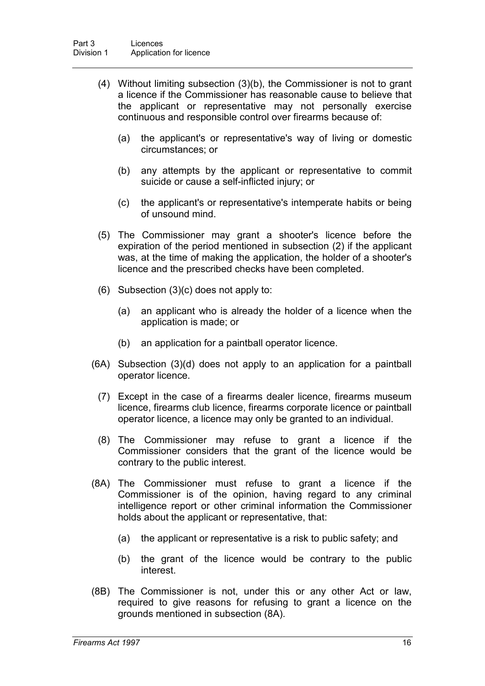- (4) Without limiting subsection (3)(b), the Commissioner is not to grant a licence if the Commissioner has reasonable cause to believe that the applicant or representative may not personally exercise continuous and responsible control over firearms because of:
	- (a) the applicant's or representative's way of living or domestic circumstances; or
	- (b) any attempts by the applicant or representative to commit suicide or cause a self-inflicted injury; or
	- (c) the applicant's or representative's intemperate habits or being of unsound mind.
- (5) The Commissioner may grant a shooter's licence before the expiration of the period mentioned in subsection (2) if the applicant was, at the time of making the application, the holder of a shooter's licence and the prescribed checks have been completed.
- (6) Subsection (3)(c) does not apply to:
	- (a) an applicant who is already the holder of a licence when the application is made; or
	- (b) an application for a paintball operator licence.
- (6A) Subsection (3)(d) does not apply to an application for a paintball operator licence.
	- (7) Except in the case of a firearms dealer licence, firearms museum licence, firearms club licence, firearms corporate licence or paintball operator licence, a licence may only be granted to an individual.
	- (8) The Commissioner may refuse to grant a licence if the Commissioner considers that the grant of the licence would be contrary to the public interest.
- (8A) The Commissioner must refuse to grant a licence if the Commissioner is of the opinion, having regard to any criminal intelligence report or other criminal information the Commissioner holds about the applicant or representative, that:
	- (a) the applicant or representative is a risk to public safety; and
	- (b) the grant of the licence would be contrary to the public interest.
- (8B) The Commissioner is not, under this or any other Act or law, required to give reasons for refusing to grant a licence on the grounds mentioned in subsection (8A).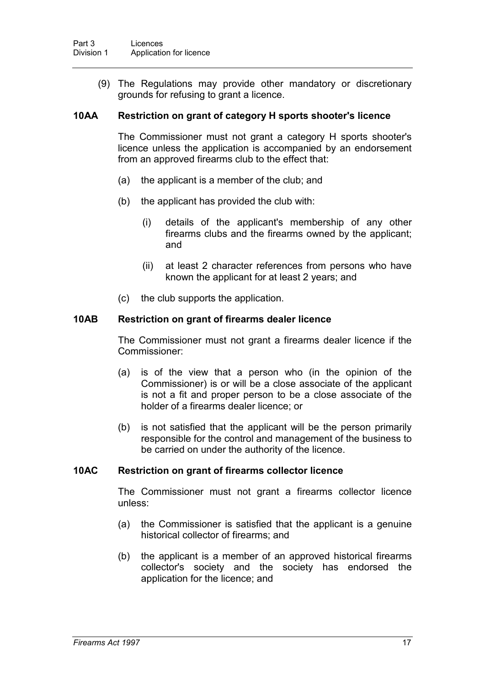(9) The Regulations may provide other mandatory or discretionary grounds for refusing to grant a licence.

#### **10AA Restriction on grant of category H sports shooter's licence**

The Commissioner must not grant a category H sports shooter's licence unless the application is accompanied by an endorsement from an approved firearms club to the effect that:

- (a) the applicant is a member of the club; and
- (b) the applicant has provided the club with:
	- (i) details of the applicant's membership of any other firearms clubs and the firearms owned by the applicant; and
	- (ii) at least 2 character references from persons who have known the applicant for at least 2 years; and
- (c) the club supports the application.

#### **10AB Restriction on grant of firearms dealer licence**

The Commissioner must not grant a firearms dealer licence if the Commissioner:

- (a) is of the view that a person who (in the opinion of the Commissioner) is or will be a close associate of the applicant is not a fit and proper person to be a close associate of the holder of a firearms dealer licence; or
- (b) is not satisfied that the applicant will be the person primarily responsible for the control and management of the business to be carried on under the authority of the licence.

### **10AC Restriction on grant of firearms collector licence**

The Commissioner must not grant a firearms collector licence unless:

- (a) the Commissioner is satisfied that the applicant is a genuine historical collector of firearms; and
- (b) the applicant is a member of an approved historical firearms collector's society and the society has endorsed the application for the licence; and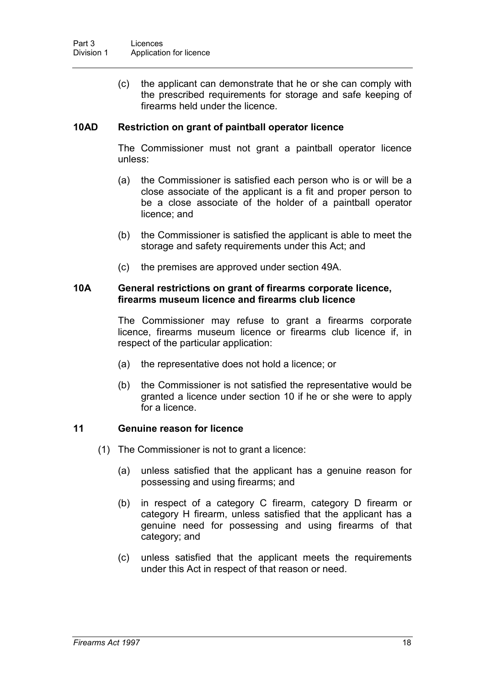(c) the applicant can demonstrate that he or she can comply with the prescribed requirements for storage and safe keeping of firearms held under the licence.

### **10AD Restriction on grant of paintball operator licence**

The Commissioner must not grant a paintball operator licence unless:

- (a) the Commissioner is satisfied each person who is or will be a close associate of the applicant is a fit and proper person to be a close associate of the holder of a paintball operator licence; and
- (b) the Commissioner is satisfied the applicant is able to meet the storage and safety requirements under this Act; and
- (c) the premises are approved under section 49A.

#### **10A General restrictions on grant of firearms corporate licence, firearms museum licence and firearms club licence**

The Commissioner may refuse to grant a firearms corporate licence, firearms museum licence or firearms club licence if, in respect of the particular application:

- (a) the representative does not hold a licence; or
- (b) the Commissioner is not satisfied the representative would be granted a licence under section 10 if he or she were to apply for a licence.

#### **11 Genuine reason for licence**

- (1) The Commissioner is not to grant a licence:
	- (a) unless satisfied that the applicant has a genuine reason for possessing and using firearms; and
	- (b) in respect of a category C firearm, category D firearm or category H firearm, unless satisfied that the applicant has a genuine need for possessing and using firearms of that category; and
	- (c) unless satisfied that the applicant meets the requirements under this Act in respect of that reason or need.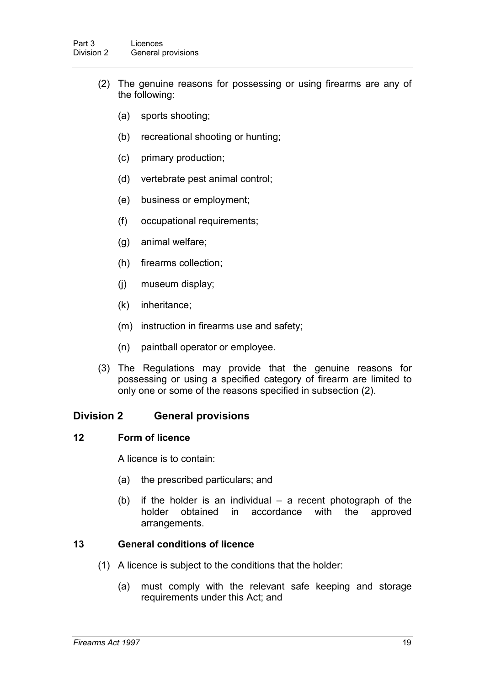- (2) The genuine reasons for possessing or using firearms are any of the following:
	- (a) sports shooting;
	- (b) recreational shooting or hunting;
	- (c) primary production;
	- (d) vertebrate pest animal control;
	- (e) business or employment;
	- (f) occupational requirements;
	- (g) animal welfare;
	- (h) firearms collection;
	- (j) museum display;
	- (k) inheritance;
	- (m) instruction in firearms use and safety;
	- (n) paintball operator or employee.
- (3) The Regulations may provide that the genuine reasons for possessing or using a specified category of firearm are limited to only one or some of the reasons specified in subsection (2).

## **Division 2 General provisions**

#### **12 Form of licence**

A licence is to contain:

- (a) the prescribed particulars; and
- (b) if the holder is an individual a recent photograph of the holder obtained in accordance with the approved arrangements.

### **13 General conditions of licence**

- (1) A licence is subject to the conditions that the holder:
	- (a) must comply with the relevant safe keeping and storage requirements under this Act; and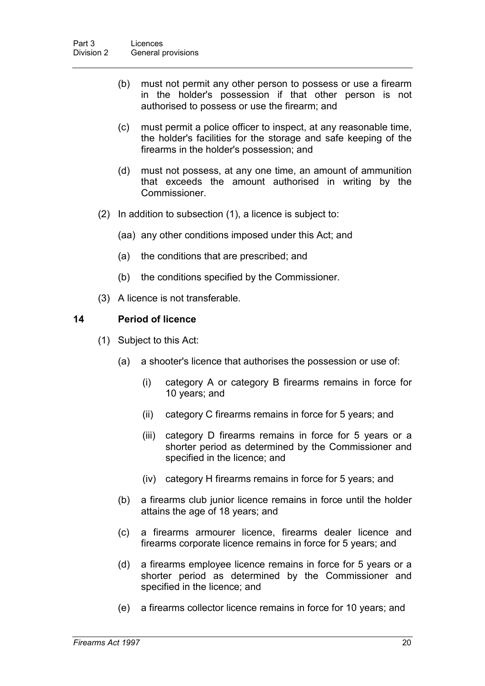- (b) must not permit any other person to possess or use a firearm in the holder's possession if that other person is not authorised to possess or use the firearm; and
- (c) must permit a police officer to inspect, at any reasonable time, the holder's facilities for the storage and safe keeping of the firearms in the holder's possession; and
- (d) must not possess, at any one time, an amount of ammunition that exceeds the amount authorised in writing by the Commissioner.
- (2) In addition to subsection (1), a licence is subject to:
	- (aa) any other conditions imposed under this Act; and
	- (a) the conditions that are prescribed; and
	- (b) the conditions specified by the Commissioner.
- (3) A licence is not transferable.

### **14 Period of licence**

- (1) Subject to this Act:
	- (a) a shooter's licence that authorises the possession or use of:
		- (i) category A or category B firearms remains in force for 10 years; and
		- (ii) category C firearms remains in force for 5 years; and
		- (iii) category D firearms remains in force for 5 years or a shorter period as determined by the Commissioner and specified in the licence; and
		- (iv) category H firearms remains in force for 5 years; and
	- (b) a firearms club junior licence remains in force until the holder attains the age of 18 years; and
	- (c) a firearms armourer licence, firearms dealer licence and firearms corporate licence remains in force for 5 years; and
	- (d) a firearms employee licence remains in force for 5 years or a shorter period as determined by the Commissioner and specified in the licence; and
	- (e) a firearms collector licence remains in force for 10 years; and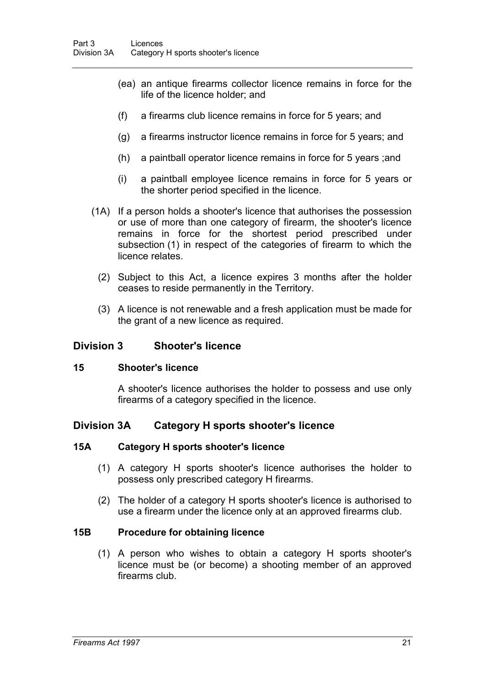- (ea) an antique firearms collector licence remains in force for the life of the licence holder; and
- (f) a firearms club licence remains in force for 5 years; and
- (g) a firearms instructor licence remains in force for 5 years; and
- (h) a paintball operator licence remains in force for 5 years ;and
- (i) a paintball employee licence remains in force for 5 years or the shorter period specified in the licence.
- (1A) If a person holds a shooter's licence that authorises the possession or use of more than one category of firearm, the shooter's licence remains in force for the shortest period prescribed under subsection (1) in respect of the categories of firearm to which the licence relates.
	- (2) Subject to this Act, a licence expires 3 months after the holder ceases to reside permanently in the Territory.
	- (3) A licence is not renewable and a fresh application must be made for the grant of a new licence as required.

### **Division 3 Shooter's licence**

#### **15 Shooter's licence**

A shooter's licence authorises the holder to possess and use only firearms of a category specified in the licence.

## **Division 3A Category H sports shooter's licence**

#### **15A Category H sports shooter's licence**

- (1) A category H sports shooter's licence authorises the holder to possess only prescribed category H firearms.
- (2) The holder of a category H sports shooter's licence is authorised to use a firearm under the licence only at an approved firearms club.

#### **15B Procedure for obtaining licence**

(1) A person who wishes to obtain a category H sports shooter's licence must be (or become) a shooting member of an approved firearms club.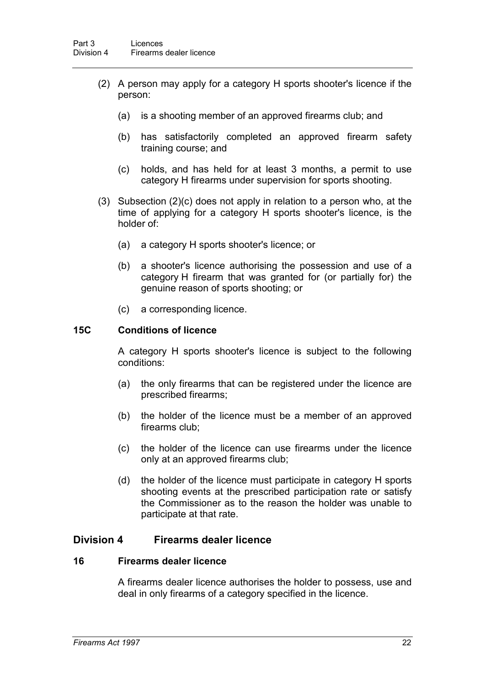- (2) A person may apply for a category H sports shooter's licence if the person:
	- (a) is a shooting member of an approved firearms club; and
	- (b) has satisfactorily completed an approved firearm safety training course; and
	- (c) holds, and has held for at least 3 months, a permit to use category H firearms under supervision for sports shooting.
- (3) Subsection (2)(c) does not apply in relation to a person who, at the time of applying for a category H sports shooter's licence, is the holder of:
	- (a) a category H sports shooter's licence; or
	- (b) a shooter's licence authorising the possession and use of a category H firearm that was granted for (or partially for) the genuine reason of sports shooting; or
	- (c) a corresponding licence.

#### **15C Conditions of licence**

A category H sports shooter's licence is subject to the following conditions:

- (a) the only firearms that can be registered under the licence are prescribed firearms;
- (b) the holder of the licence must be a member of an approved firearms club;
- (c) the holder of the licence can use firearms under the licence only at an approved firearms club;
- (d) the holder of the licence must participate in category H sports shooting events at the prescribed participation rate or satisfy the Commissioner as to the reason the holder was unable to participate at that rate.

## **Division 4 Firearms dealer licence**

#### **16 Firearms dealer licence**

A firearms dealer licence authorises the holder to possess, use and deal in only firearms of a category specified in the licence.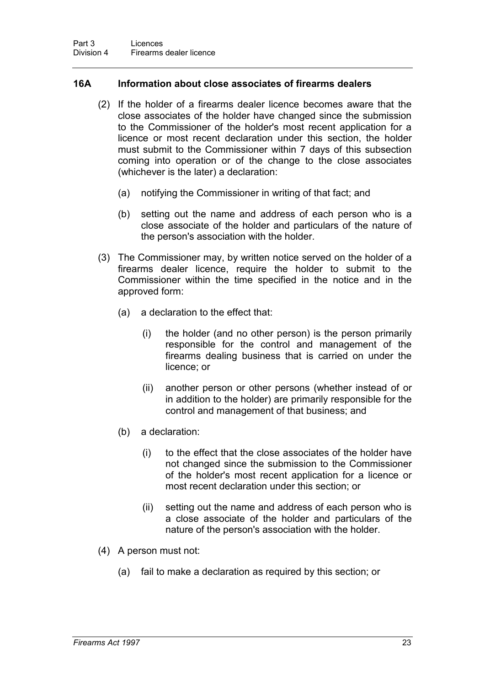### **16A Information about close associates of firearms dealers**

- (2) If the holder of a firearms dealer licence becomes aware that the close associates of the holder have changed since the submission to the Commissioner of the holder's most recent application for a licence or most recent declaration under this section, the holder must submit to the Commissioner within 7 days of this subsection coming into operation or of the change to the close associates (whichever is the later) a declaration:
	- (a) notifying the Commissioner in writing of that fact; and
	- (b) setting out the name and address of each person who is a close associate of the holder and particulars of the nature of the person's association with the holder.
- (3) The Commissioner may, by written notice served on the holder of a firearms dealer licence, require the holder to submit to the Commissioner within the time specified in the notice and in the approved form:
	- (a) a declaration to the effect that:
		- (i) the holder (and no other person) is the person primarily responsible for the control and management of the firearms dealing business that is carried on under the licence; or
		- (ii) another person or other persons (whether instead of or in addition to the holder) are primarily responsible for the control and management of that business; and
	- (b) a declaration:
		- (i) to the effect that the close associates of the holder have not changed since the submission to the Commissioner of the holder's most recent application for a licence or most recent declaration under this section; or
		- (ii) setting out the name and address of each person who is a close associate of the holder and particulars of the nature of the person's association with the holder.
- (4) A person must not:
	- (a) fail to make a declaration as required by this section; or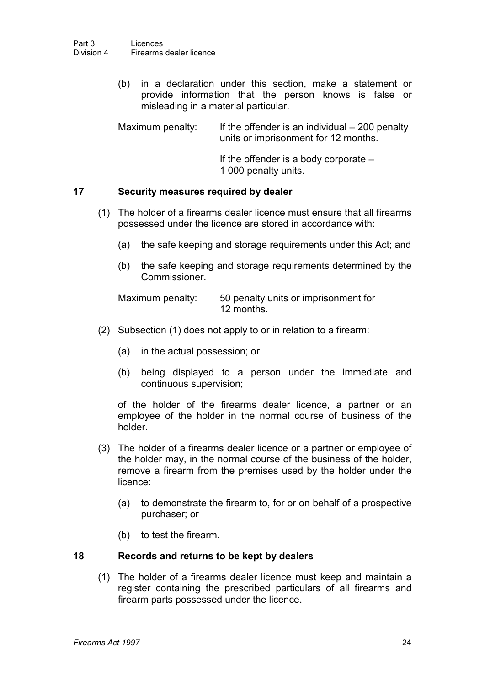(b) in a declaration under this section, make a statement or provide information that the person knows is false or misleading in a material particular.

Maximum penalty: If the offender is an individual  $-200$  penalty units or imprisonment for 12 months.

> If the offender is a body corporate – 1 000 penalty units.

### **17 Security measures required by dealer**

- (1) The holder of a firearms dealer licence must ensure that all firearms possessed under the licence are stored in accordance with:
	- (a) the safe keeping and storage requirements under this Act; and
	- (b) the safe keeping and storage requirements determined by the Commissioner.

Maximum penalty: 50 penalty units or imprisonment for 12 months.

- (2) Subsection (1) does not apply to or in relation to a firearm:
	- (a) in the actual possession; or
	- (b) being displayed to a person under the immediate and continuous supervision;

of the holder of the firearms dealer licence, a partner or an employee of the holder in the normal course of business of the holder.

- (3) The holder of a firearms dealer licence or a partner or employee of the holder may, in the normal course of the business of the holder, remove a firearm from the premises used by the holder under the licence:
	- (a) to demonstrate the firearm to, for or on behalf of a prospective purchaser; or
	- (b) to test the firearm.

#### **18 Records and returns to be kept by dealers**

(1) The holder of a firearms dealer licence must keep and maintain a register containing the prescribed particulars of all firearms and firearm parts possessed under the licence.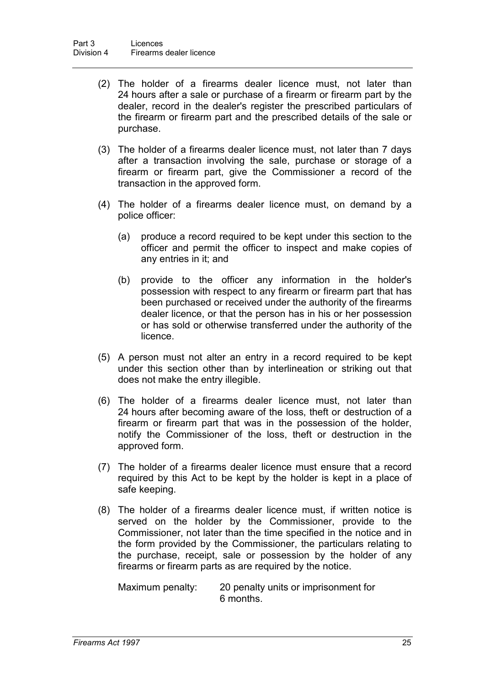- (2) The holder of a firearms dealer licence must, not later than 24 hours after a sale or purchase of a firearm or firearm part by the dealer, record in the dealer's register the prescribed particulars of the firearm or firearm part and the prescribed details of the sale or purchase.
- (3) The holder of a firearms dealer licence must, not later than 7 days after a transaction involving the sale, purchase or storage of a firearm or firearm part, give the Commissioner a record of the transaction in the approved form.
- (4) The holder of a firearms dealer licence must, on demand by a police officer:
	- (a) produce a record required to be kept under this section to the officer and permit the officer to inspect and make copies of any entries in it; and
	- (b) provide to the officer any information in the holder's possession with respect to any firearm or firearm part that has been purchased or received under the authority of the firearms dealer licence, or that the person has in his or her possession or has sold or otherwise transferred under the authority of the licence.
- (5) A person must not alter an entry in a record required to be kept under this section other than by interlineation or striking out that does not make the entry illegible.
- (6) The holder of a firearms dealer licence must, not later than 24 hours after becoming aware of the loss, theft or destruction of a firearm or firearm part that was in the possession of the holder, notify the Commissioner of the loss, theft or destruction in the approved form.
- (7) The holder of a firearms dealer licence must ensure that a record required by this Act to be kept by the holder is kept in a place of safe keeping.
- (8) The holder of a firearms dealer licence must, if written notice is served on the holder by the Commissioner, provide to the Commissioner, not later than the time specified in the notice and in the form provided by the Commissioner, the particulars relating to the purchase, receipt, sale or possession by the holder of any firearms or firearm parts as are required by the notice.

Maximum penalty: 20 penalty units or imprisonment for 6 months.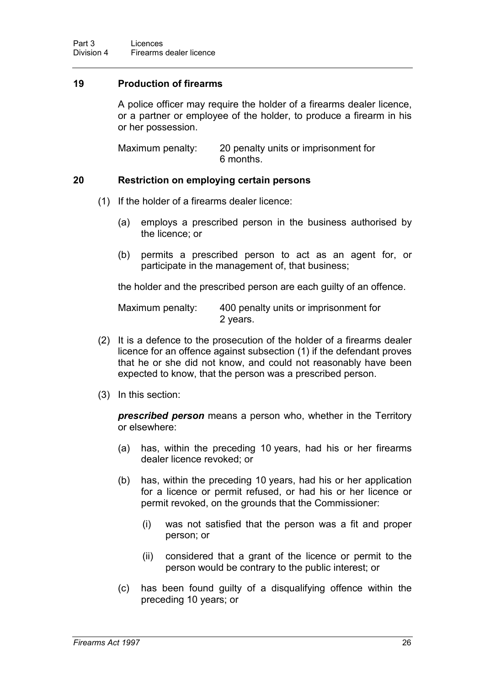### **19 Production of firearms**

A police officer may require the holder of a firearms dealer licence, or a partner or employee of the holder, to produce a firearm in his or her possession.

Maximum penalty: 20 penalty units or imprisonment for 6 months.

#### **20 Restriction on employing certain persons**

- (1) If the holder of a firearms dealer licence:
	- (a) employs a prescribed person in the business authorised by the licence; or
	- (b) permits a prescribed person to act as an agent for, or participate in the management of, that business;

the holder and the prescribed person are each guilty of an offence.

Maximum penalty: 400 penalty units or imprisonment for 2 years.

- (2) It is a defence to the prosecution of the holder of a firearms dealer licence for an offence against subsection (1) if the defendant proves that he or she did not know, and could not reasonably have been expected to know, that the person was a prescribed person.
- (3) In this section:

*prescribed person* means a person who, whether in the Territory or elsewhere:

- (a) has, within the preceding 10 years, had his or her firearms dealer licence revoked; or
- (b) has, within the preceding 10 years, had his or her application for a licence or permit refused, or had his or her licence or permit revoked, on the grounds that the Commissioner:
	- (i) was not satisfied that the person was a fit and proper person; or
	- (ii) considered that a grant of the licence or permit to the person would be contrary to the public interest; or
- (c) has been found guilty of a disqualifying offence within the preceding 10 years; or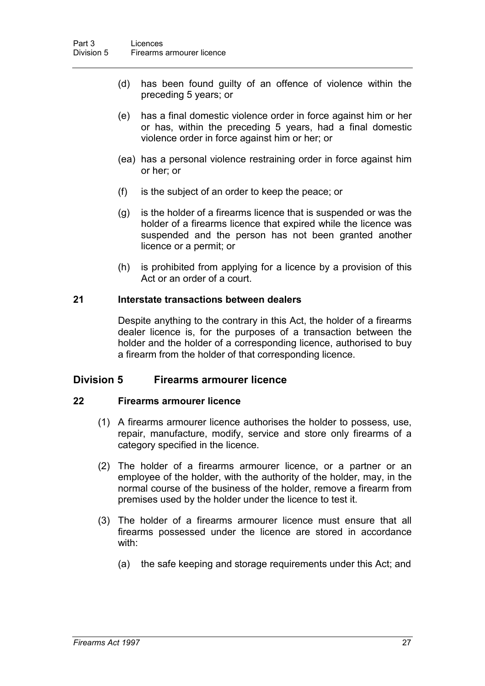- (d) has been found guilty of an offence of violence within the preceding 5 years; or
- (e) has a final domestic violence order in force against him or her or has, within the preceding 5 years, had a final domestic violence order in force against him or her; or
- (ea) has a personal violence restraining order in force against him or her; or
- (f) is the subject of an order to keep the peace; or
- (g) is the holder of a firearms licence that is suspended or was the holder of a firearms licence that expired while the licence was suspended and the person has not been granted another licence or a permit; or
- (h) is prohibited from applying for a licence by a provision of this Act or an order of a court.

#### **21 Interstate transactions between dealers**

Despite anything to the contrary in this Act, the holder of a firearms dealer licence is, for the purposes of a transaction between the holder and the holder of a corresponding licence, authorised to buy a firearm from the holder of that corresponding licence.

#### **Division 5 Firearms armourer licence**

#### **22 Firearms armourer licence**

- (1) A firearms armourer licence authorises the holder to possess, use, repair, manufacture, modify, service and store only firearms of a category specified in the licence.
- (2) The holder of a firearms armourer licence, or a partner or an employee of the holder, with the authority of the holder, may, in the normal course of the business of the holder, remove a firearm from premises used by the holder under the licence to test it.
- (3) The holder of a firearms armourer licence must ensure that all firearms possessed under the licence are stored in accordance with:
	- (a) the safe keeping and storage requirements under this Act; and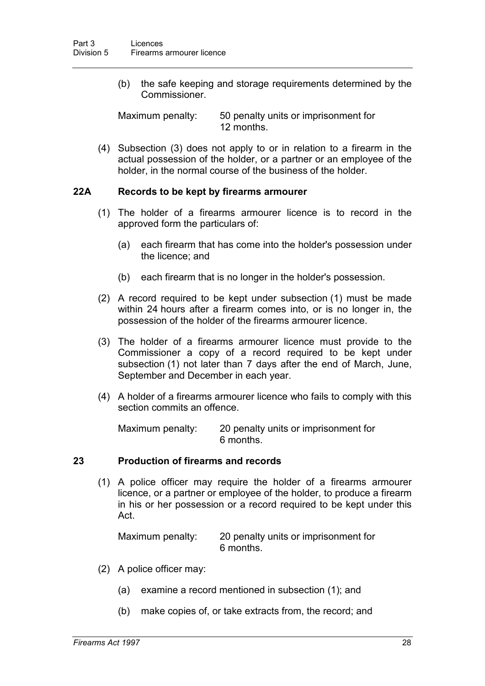(b) the safe keeping and storage requirements determined by the Commissioner.

Maximum penalty: 50 penalty units or imprisonment for 12 months.

(4) Subsection (3) does not apply to or in relation to a firearm in the actual possession of the holder, or a partner or an employee of the holder, in the normal course of the business of the holder.

#### **22A Records to be kept by firearms armourer**

- (1) The holder of a firearms armourer licence is to record in the approved form the particulars of:
	- (a) each firearm that has come into the holder's possession under the licence; and
	- (b) each firearm that is no longer in the holder's possession.
- (2) A record required to be kept under subsection (1) must be made within 24 hours after a firearm comes into, or is no longer in, the possession of the holder of the firearms armourer licence.
- (3) The holder of a firearms armourer licence must provide to the Commissioner a copy of a record required to be kept under subsection (1) not later than 7 days after the end of March, June, September and December in each year.
- (4) A holder of a firearms armourer licence who fails to comply with this section commits an offence.

Maximum penalty: 20 penalty units or imprisonment for 6 months.

#### **23 Production of firearms and records**

(1) A police officer may require the holder of a firearms armourer licence, or a partner or employee of the holder, to produce a firearm in his or her possession or a record required to be kept under this Act.

Maximum penalty: 20 penalty units or imprisonment for 6 months.

- (2) A police officer may:
	- (a) examine a record mentioned in subsection (1); and
	- (b) make copies of, or take extracts from, the record; and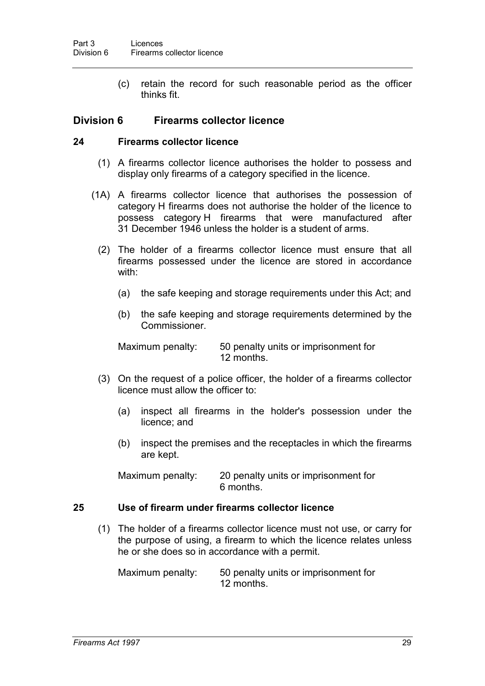(c) retain the record for such reasonable period as the officer thinks fit.

# **Division 6 Firearms collector licence**

## **24 Firearms collector licence**

- (1) A firearms collector licence authorises the holder to possess and display only firearms of a category specified in the licence.
- (1A) A firearms collector licence that authorises the possession of category H firearms does not authorise the holder of the licence to possess category H firearms that were manufactured after 31 December 1946 unless the holder is a student of arms.
	- (2) The holder of a firearms collector licence must ensure that all firearms possessed under the licence are stored in accordance with:
		- (a) the safe keeping and storage requirements under this Act; and
		- (b) the safe keeping and storage requirements determined by the Commissioner.

Maximum penalty: 50 penalty units or imprisonment for 12 months.

- (3) On the request of a police officer, the holder of a firearms collector licence must allow the officer to:
	- (a) inspect all firearms in the holder's possession under the licence; and
	- (b) inspect the premises and the receptacles in which the firearms are kept.

Maximum penalty: 20 penalty units or imprisonment for 6 months.

## **25 Use of firearm under firearms collector licence**

(1) The holder of a firearms collector licence must not use, or carry for the purpose of using, a firearm to which the licence relates unless he or she does so in accordance with a permit.

Maximum penalty: 50 penalty units or imprisonment for 12 months.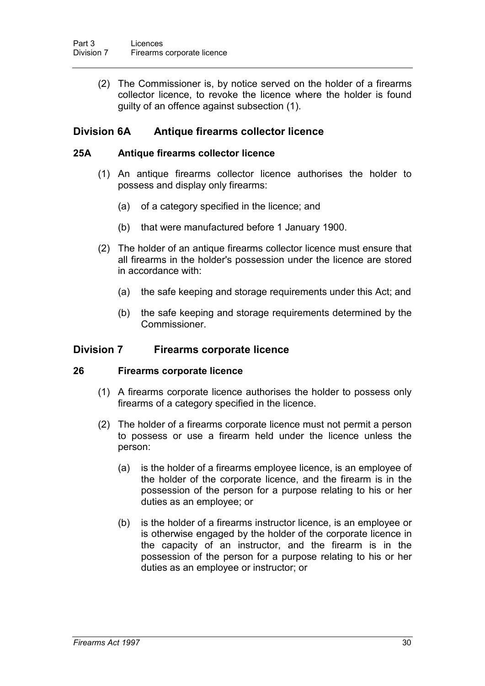(2) The Commissioner is, by notice served on the holder of a firearms collector licence, to revoke the licence where the holder is found guilty of an offence against subsection (1).

# **Division 6A Antique firearms collector licence**

## **25A Antique firearms collector licence**

- (1) An antique firearms collector licence authorises the holder to possess and display only firearms:
	- (a) of a category specified in the licence; and
	- (b) that were manufactured before 1 January 1900.
- (2) The holder of an antique firearms collector licence must ensure that all firearms in the holder's possession under the licence are stored in accordance with:
	- (a) the safe keeping and storage requirements under this Act; and
	- (b) the safe keeping and storage requirements determined by the Commissioner.

# **Division 7 Firearms corporate licence**

## **26 Firearms corporate licence**

- (1) A firearms corporate licence authorises the holder to possess only firearms of a category specified in the licence.
- (2) The holder of a firearms corporate licence must not permit a person to possess or use a firearm held under the licence unless the person:
	- (a) is the holder of a firearms employee licence, is an employee of the holder of the corporate licence, and the firearm is in the possession of the person for a purpose relating to his or her duties as an employee; or
	- (b) is the holder of a firearms instructor licence, is an employee or is otherwise engaged by the holder of the corporate licence in the capacity of an instructor, and the firearm is in the possession of the person for a purpose relating to his or her duties as an employee or instructor; or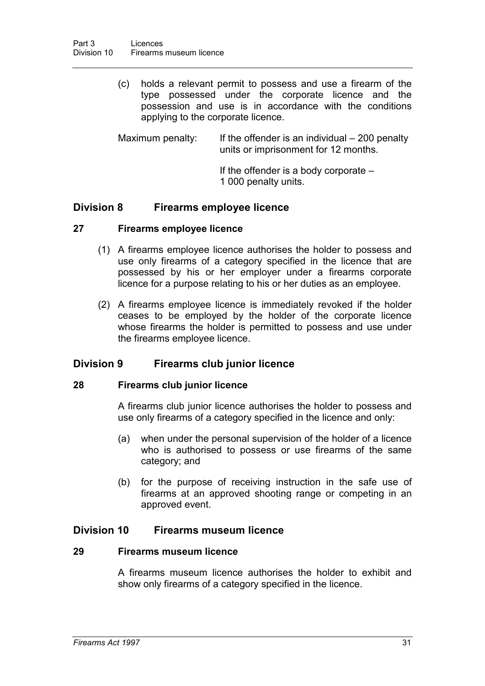- (c) holds a relevant permit to possess and use a firearm of the type possessed under the corporate licence and the possession and use is in accordance with the conditions applying to the corporate licence.
- Maximum penalty: If the offender is an individual  $-200$  penalty units or imprisonment for 12 months.
	- If the offender is a body corporate 1 000 penalty units.

# **Division 8 Firearms employee licence**

#### **27 Firearms employee licence**

- (1) A firearms employee licence authorises the holder to possess and use only firearms of a category specified in the licence that are possessed by his or her employer under a firearms corporate licence for a purpose relating to his or her duties as an employee.
- (2) A firearms employee licence is immediately revoked if the holder ceases to be employed by the holder of the corporate licence whose firearms the holder is permitted to possess and use under the firearms employee licence.

# **Division 9 Firearms club junior licence**

#### **28 Firearms club junior licence**

A firearms club junior licence authorises the holder to possess and use only firearms of a category specified in the licence and only:

- (a) when under the personal supervision of the holder of a licence who is authorised to possess or use firearms of the same category; and
- (b) for the purpose of receiving instruction in the safe use of firearms at an approved shooting range or competing in an approved event.

## **Division 10 Firearms museum licence**

#### **29 Firearms museum licence**

A firearms museum licence authorises the holder to exhibit and show only firearms of a category specified in the licence.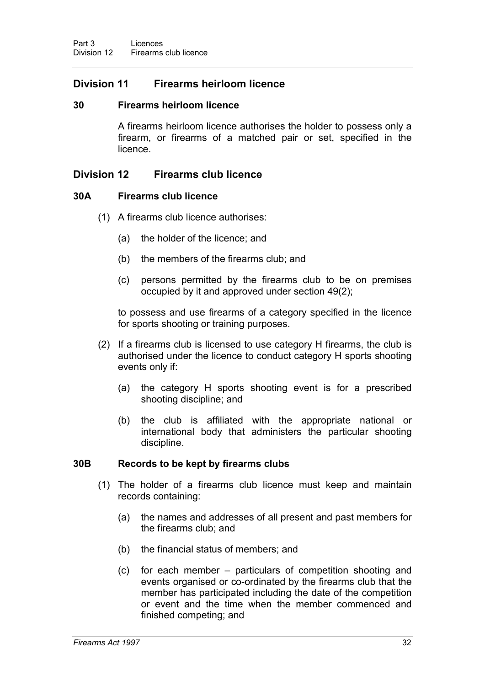# **Division 11 Firearms heirloom licence**

# **30 Firearms heirloom licence**

A firearms heirloom licence authorises the holder to possess only a firearm, or firearms of a matched pair or set, specified in the licence.

# **Division 12 Firearms club licence**

## **30A Firearms club licence**

- (1) A firearms club licence authorises:
	- (a) the holder of the licence; and
	- (b) the members of the firearms club; and
	- (c) persons permitted by the firearms club to be on premises occupied by it and approved under section 49(2);

to possess and use firearms of a category specified in the licence for sports shooting or training purposes.

- (2) If a firearms club is licensed to use category H firearms, the club is authorised under the licence to conduct category H sports shooting events only if:
	- (a) the category H sports shooting event is for a prescribed shooting discipline; and
	- (b) the club is affiliated with the appropriate national or international body that administers the particular shooting discipline.

## **30B Records to be kept by firearms clubs**

- (1) The holder of a firearms club licence must keep and maintain records containing:
	- (a) the names and addresses of all present and past members for the firearms club; and
	- (b) the financial status of members; and
	- (c) for each member particulars of competition shooting and events organised or co-ordinated by the firearms club that the member has participated including the date of the competition or event and the time when the member commenced and finished competing; and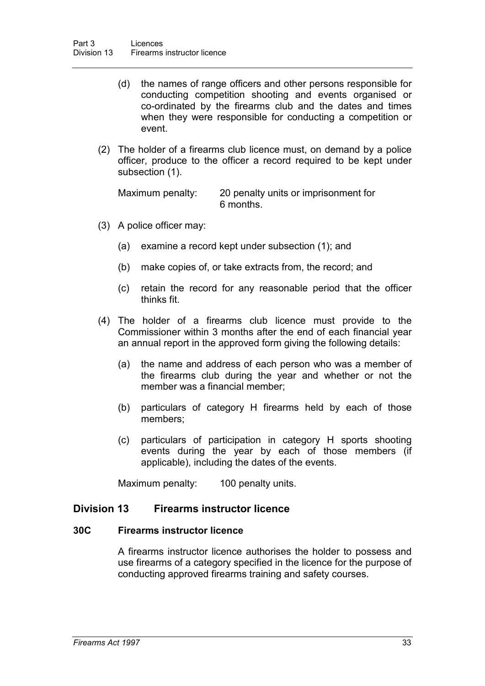- (d) the names of range officers and other persons responsible for conducting competition shooting and events organised or co-ordinated by the firearms club and the dates and times when they were responsible for conducting a competition or event.
- (2) The holder of a firearms club licence must, on demand by a police officer, produce to the officer a record required to be kept under subsection (1).

Maximum penalty: 20 penalty units or imprisonment for 6 months.

- (3) A police officer may:
	- (a) examine a record kept under subsection (1); and
	- (b) make copies of, or take extracts from, the record; and
	- (c) retain the record for any reasonable period that the officer thinks fit.
- (4) The holder of a firearms club licence must provide to the Commissioner within 3 months after the end of each financial year an annual report in the approved form giving the following details:
	- (a) the name and address of each person who was a member of the firearms club during the year and whether or not the member was a financial member;
	- (b) particulars of category H firearms held by each of those members;
	- (c) particulars of participation in category H sports shooting events during the year by each of those members (if applicable), including the dates of the events.

Maximum penalty: 100 penalty units.

## **Division 13 Firearms instructor licence**

### **30C Firearms instructor licence**

A firearms instructor licence authorises the holder to possess and use firearms of a category specified in the licence for the purpose of conducting approved firearms training and safety courses.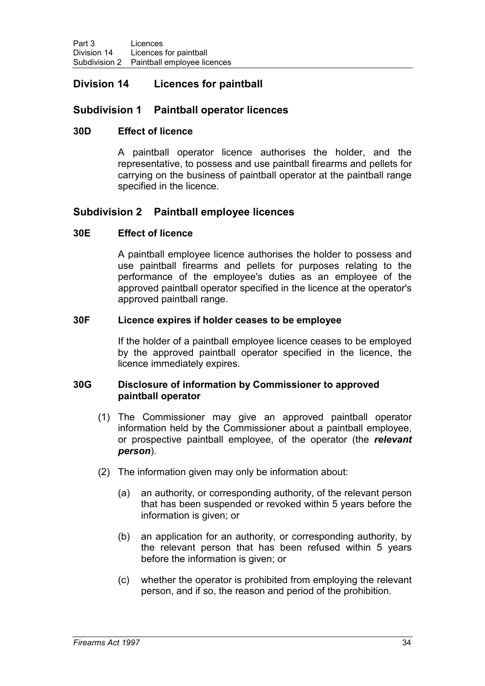# **Division 14 Licences for paintball**

# **Subdivision 1 Paintball operator licences**

# **30D Effect of licence**

A paintball operator licence authorises the holder, and the representative, to possess and use paintball firearms and pellets for carrying on the business of paintball operator at the paintball range specified in the licence.

# **Subdivision 2 Paintball employee licences**

# **30E Effect of licence**

A paintball employee licence authorises the holder to possess and use paintball firearms and pellets for purposes relating to the performance of the employee's duties as an employee of the approved paintball operator specified in the licence at the operator's approved paintball range.

## **30F Licence expires if holder ceases to be employee**

If the holder of a paintball employee licence ceases to be employed by the approved paintball operator specified in the licence, the licence immediately expires.

#### **30G Disclosure of information by Commissioner to approved paintball operator**

- (1) The Commissioner may give an approved paintball operator information held by the Commissioner about a paintball employee, or prospective paintball employee, of the operator (the *relevant person*).
- (2) The information given may only be information about:
	- (a) an authority, or corresponding authority, of the relevant person that has been suspended or revoked within 5 years before the information is given; or
	- (b) an application for an authority, or corresponding authority, by the relevant person that has been refused within 5 years before the information is given; or
	- (c) whether the operator is prohibited from employing the relevant person, and if so, the reason and period of the prohibition.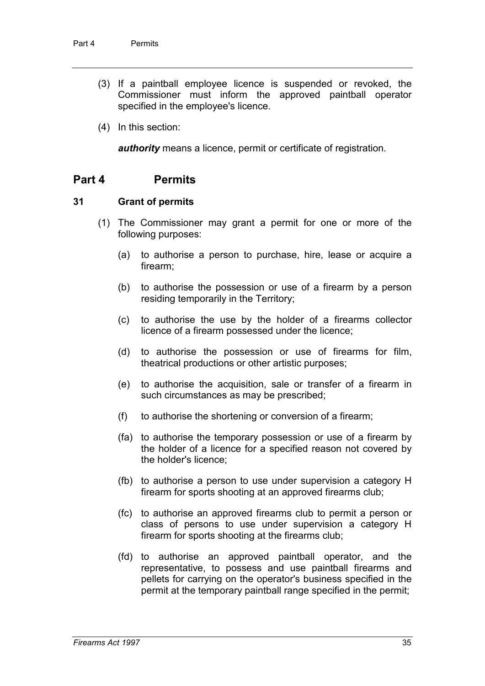- (3) If a paintball employee licence is suspended or revoked, the Commissioner must inform the approved paintball operator specified in the employee's licence.
- (4) In this section:

*authority* means a licence, permit or certificate of registration.

# **Part 4 Permits**

#### **31 Grant of permits**

- (1) The Commissioner may grant a permit for one or more of the following purposes:
	- (a) to authorise a person to purchase, hire, lease or acquire a firearm;
	- (b) to authorise the possession or use of a firearm by a person residing temporarily in the Territory;
	- (c) to authorise the use by the holder of a firearms collector licence of a firearm possessed under the licence;
	- (d) to authorise the possession or use of firearms for film, theatrical productions or other artistic purposes;
	- (e) to authorise the acquisition, sale or transfer of a firearm in such circumstances as may be prescribed;
	- (f) to authorise the shortening or conversion of a firearm;
	- (fa) to authorise the temporary possession or use of a firearm by the holder of a licence for a specified reason not covered by the holder's licence;
	- (fb) to authorise a person to use under supervision a category H firearm for sports shooting at an approved firearms club;
	- (fc) to authorise an approved firearms club to permit a person or class of persons to use under supervision a category H firearm for sports shooting at the firearms club;
	- (fd) to authorise an approved paintball operator, and the representative, to possess and use paintball firearms and pellets for carrying on the operator's business specified in the permit at the temporary paintball range specified in the permit;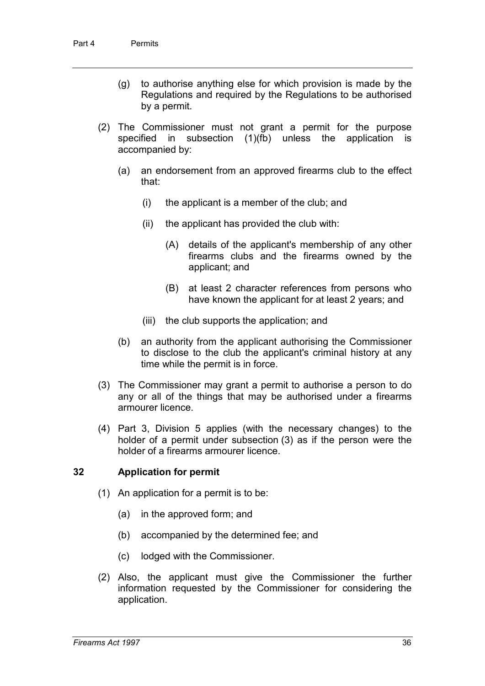- (g) to authorise anything else for which provision is made by the Regulations and required by the Regulations to be authorised by a permit.
- (2) The Commissioner must not grant a permit for the purpose specified in subsection (1)(fb) unless the application is accompanied by:
	- (a) an endorsement from an approved firearms club to the effect that:
		- (i) the applicant is a member of the club; and
		- (ii) the applicant has provided the club with:
			- (A) details of the applicant's membership of any other firearms clubs and the firearms owned by the applicant; and
			- (B) at least 2 character references from persons who have known the applicant for at least 2 years; and
		- (iii) the club supports the application; and
	- (b) an authority from the applicant authorising the Commissioner to disclose to the club the applicant's criminal history at any time while the permit is in force.
- (3) The Commissioner may grant a permit to authorise a person to do any or all of the things that may be authorised under a firearms armourer licence.
- (4) Part 3, Division 5 applies (with the necessary changes) to the holder of a permit under subsection (3) as if the person were the holder of a firearms armourer licence.

## **32 Application for permit**

- (1) An application for a permit is to be:
	- (a) in the approved form; and
	- (b) accompanied by the determined fee; and
	- (c) lodged with the Commissioner.
- (2) Also, the applicant must give the Commissioner the further information requested by the Commissioner for considering the application.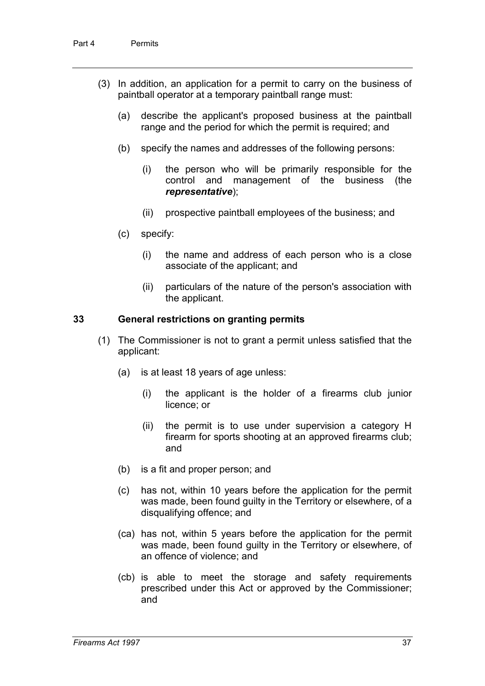- (3) In addition, an application for a permit to carry on the business of paintball operator at a temporary paintball range must:
	- (a) describe the applicant's proposed business at the paintball range and the period for which the permit is required; and
	- (b) specify the names and addresses of the following persons:
		- (i) the person who will be primarily responsible for the control and management of the business (the *representative*);
		- (ii) prospective paintball employees of the business; and
	- (c) specify:
		- (i) the name and address of each person who is a close associate of the applicant; and
		- (ii) particulars of the nature of the person's association with the applicant.

#### **33 General restrictions on granting permits**

- (1) The Commissioner is not to grant a permit unless satisfied that the applicant:
	- (a) is at least 18 years of age unless:
		- (i) the applicant is the holder of a firearms club junior licence; or
		- (ii) the permit is to use under supervision a category H firearm for sports shooting at an approved firearms club; and
	- (b) is a fit and proper person; and
	- (c) has not, within 10 years before the application for the permit was made, been found guilty in the Territory or elsewhere, of a disqualifying offence; and
	- (ca) has not, within 5 years before the application for the permit was made, been found guilty in the Territory or elsewhere, of an offence of violence; and
	- (cb) is able to meet the storage and safety requirements prescribed under this Act or approved by the Commissioner; and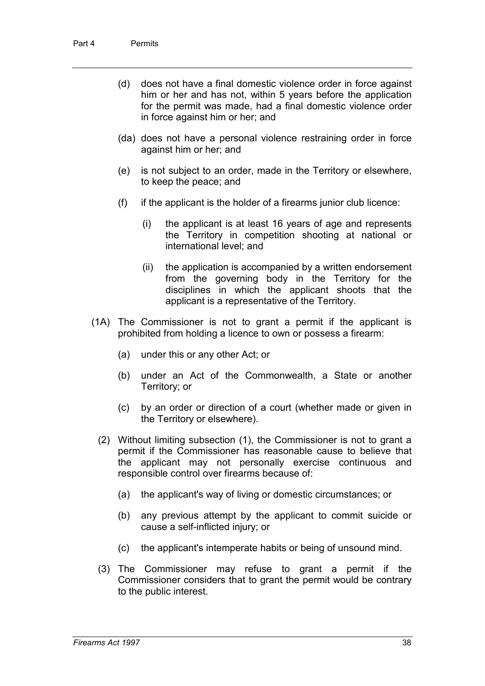- (d) does not have a final domestic violence order in force against him or her and has not, within 5 years before the application for the permit was made, had a final domestic violence order in force against him or her; and
- (da) does not have a personal violence restraining order in force against him or her; and
- (e) is not subject to an order, made in the Territory or elsewhere, to keep the peace; and
- (f) if the applicant is the holder of a firearms junior club licence:
	- (i) the applicant is at least 16 years of age and represents the Territory in competition shooting at national or international level; and
	- (ii) the application is accompanied by a written endorsement from the governing body in the Territory for the disciplines in which the applicant shoots that the applicant is a representative of the Territory.
- (1A) The Commissioner is not to grant a permit if the applicant is prohibited from holding a licence to own or possess a firearm:
	- (a) under this or any other Act; or
	- (b) under an Act of the Commonwealth, a State or another Territory; or
	- (c) by an order or direction of a court (whether made or given in the Territory or elsewhere).
	- (2) Without limiting subsection (1), the Commissioner is not to grant a permit if the Commissioner has reasonable cause to believe that the applicant may not personally exercise continuous and responsible control over firearms because of:
		- (a) the applicant's way of living or domestic circumstances; or
		- (b) any previous attempt by the applicant to commit suicide or cause a self-inflicted injury; or
		- (c) the applicant's intemperate habits or being of unsound mind.
	- (3) The Commissioner may refuse to grant a permit if the Commissioner considers that to grant the permit would be contrary to the public interest.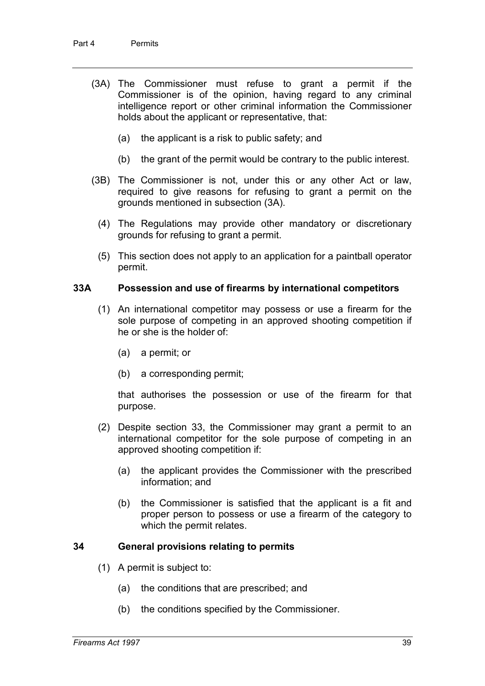- (3A) The Commissioner must refuse to grant a permit if the Commissioner is of the opinion, having regard to any criminal intelligence report or other criminal information the Commissioner holds about the applicant or representative, that:
	- (a) the applicant is a risk to public safety; and
	- (b) the grant of the permit would be contrary to the public interest.
- (3B) The Commissioner is not, under this or any other Act or law, required to give reasons for refusing to grant a permit on the grounds mentioned in subsection (3A).
	- (4) The Regulations may provide other mandatory or discretionary grounds for refusing to grant a permit.
	- (5) This section does not apply to an application for a paintball operator permit.

#### **33A Possession and use of firearms by international competitors**

- (1) An international competitor may possess or use a firearm for the sole purpose of competing in an approved shooting competition if he or she is the holder of:
	- (a) a permit; or
	- (b) a corresponding permit;

that authorises the possession or use of the firearm for that purpose.

- (2) Despite section 33, the Commissioner may grant a permit to an international competitor for the sole purpose of competing in an approved shooting competition if:
	- (a) the applicant provides the Commissioner with the prescribed information; and
	- (b) the Commissioner is satisfied that the applicant is a fit and proper person to possess or use a firearm of the category to which the permit relates.

#### **34 General provisions relating to permits**

- (1) A permit is subject to:
	- (a) the conditions that are prescribed; and
	- (b) the conditions specified by the Commissioner.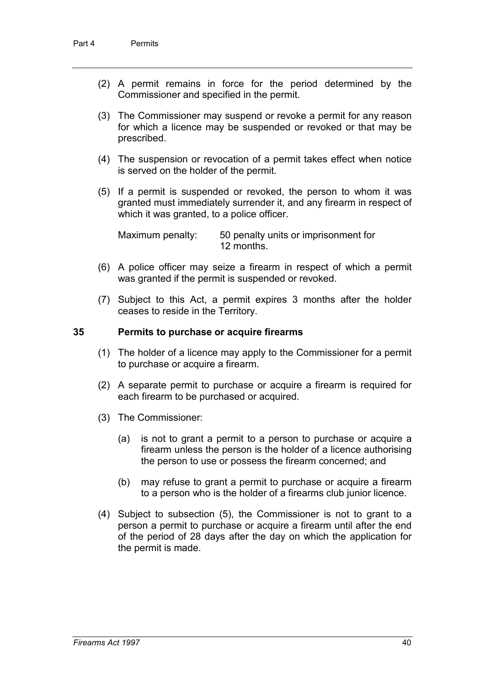- (2) A permit remains in force for the period determined by the Commissioner and specified in the permit.
- (3) The Commissioner may suspend or revoke a permit for any reason for which a licence may be suspended or revoked or that may be prescribed.
- (4) The suspension or revocation of a permit takes effect when notice is served on the holder of the permit.
- (5) If a permit is suspended or revoked, the person to whom it was granted must immediately surrender it, and any firearm in respect of which it was granted, to a police officer.

Maximum penalty: 50 penalty units or imprisonment for 12 months.

- (6) A police officer may seize a firearm in respect of which a permit was granted if the permit is suspended or revoked.
- (7) Subject to this Act, a permit expires 3 months after the holder ceases to reside in the Territory.

#### **35 Permits to purchase or acquire firearms**

- (1) The holder of a licence may apply to the Commissioner for a permit to purchase or acquire a firearm.
- (2) A separate permit to purchase or acquire a firearm is required for each firearm to be purchased or acquired.
- (3) The Commissioner:
	- (a) is not to grant a permit to a person to purchase or acquire a firearm unless the person is the holder of a licence authorising the person to use or possess the firearm concerned; and
	- (b) may refuse to grant a permit to purchase or acquire a firearm to a person who is the holder of a firearms club junior licence.
- (4) Subject to subsection (5), the Commissioner is not to grant to a person a permit to purchase or acquire a firearm until after the end of the period of 28 days after the day on which the application for the permit is made.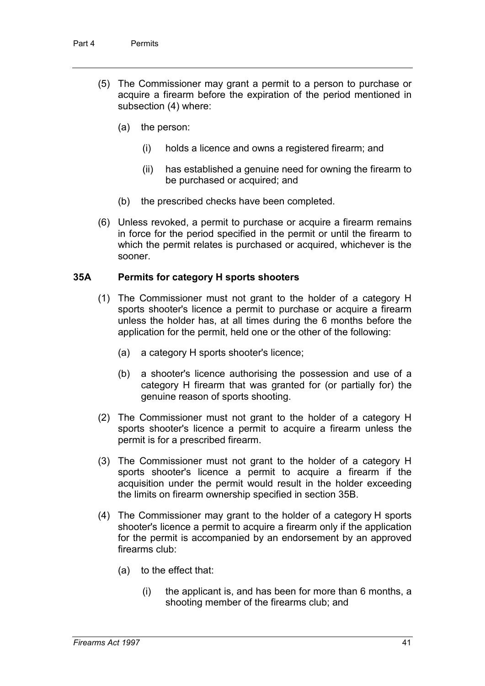- (5) The Commissioner may grant a permit to a person to purchase or acquire a firearm before the expiration of the period mentioned in subsection (4) where:
	- (a) the person:
		- (i) holds a licence and owns a registered firearm; and
		- (ii) has established a genuine need for owning the firearm to be purchased or acquired; and
	- (b) the prescribed checks have been completed.
- (6) Unless revoked, a permit to purchase or acquire a firearm remains in force for the period specified in the permit or until the firearm to which the permit relates is purchased or acquired, whichever is the sooner.

#### **35A Permits for category H sports shooters**

- (1) The Commissioner must not grant to the holder of a category H sports shooter's licence a permit to purchase or acquire a firearm unless the holder has, at all times during the 6 months before the application for the permit, held one or the other of the following:
	- (a) a category H sports shooter's licence;
	- (b) a shooter's licence authorising the possession and use of a category H firearm that was granted for (or partially for) the genuine reason of sports shooting.
- (2) The Commissioner must not grant to the holder of a category H sports shooter's licence a permit to acquire a firearm unless the permit is for a prescribed firearm.
- (3) The Commissioner must not grant to the holder of a category H sports shooter's licence a permit to acquire a firearm if the acquisition under the permit would result in the holder exceeding the limits on firearm ownership specified in section 35B.
- (4) The Commissioner may grant to the holder of a category H sports shooter's licence a permit to acquire a firearm only if the application for the permit is accompanied by an endorsement by an approved firearms club:
	- (a) to the effect that:
		- (i) the applicant is, and has been for more than 6 months, a shooting member of the firearms club; and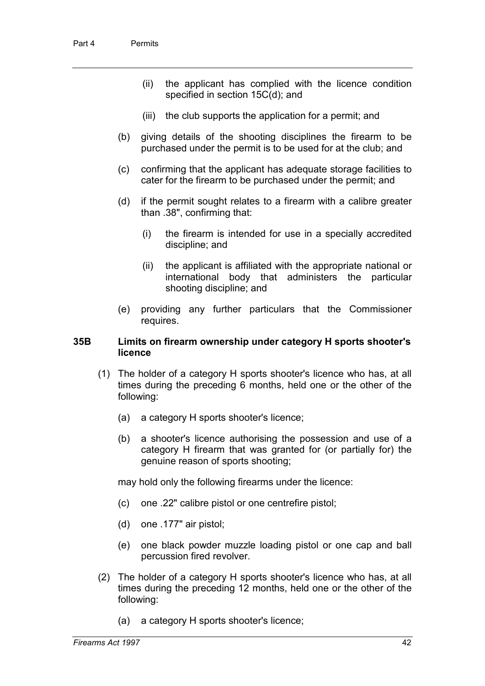- (ii) the applicant has complied with the licence condition specified in section 15C(d); and
- (iii) the club supports the application for a permit; and
- (b) giving details of the shooting disciplines the firearm to be purchased under the permit is to be used for at the club; and
- (c) confirming that the applicant has adequate storage facilities to cater for the firearm to be purchased under the permit; and
- (d) if the permit sought relates to a firearm with a calibre greater than .38", confirming that:
	- (i) the firearm is intended for use in a specially accredited discipline; and
	- (ii) the applicant is affiliated with the appropriate national or international body that administers the particular shooting discipline; and
- (e) providing any further particulars that the Commissioner requires.

#### **35B Limits on firearm ownership under category H sports shooter's licence**

- (1) The holder of a category H sports shooter's licence who has, at all times during the preceding 6 months, held one or the other of the following:
	- (a) a category H sports shooter's licence;
	- (b) a shooter's licence authorising the possession and use of a category H firearm that was granted for (or partially for) the genuine reason of sports shooting;

may hold only the following firearms under the licence:

- (c) one .22" calibre pistol or one centrefire pistol;
- (d) one .177" air pistol;
- (e) one black powder muzzle loading pistol or one cap and ball percussion fired revolver.
- (2) The holder of a category H sports shooter's licence who has, at all times during the preceding 12 months, held one or the other of the following:
	- (a) a category H sports shooter's licence;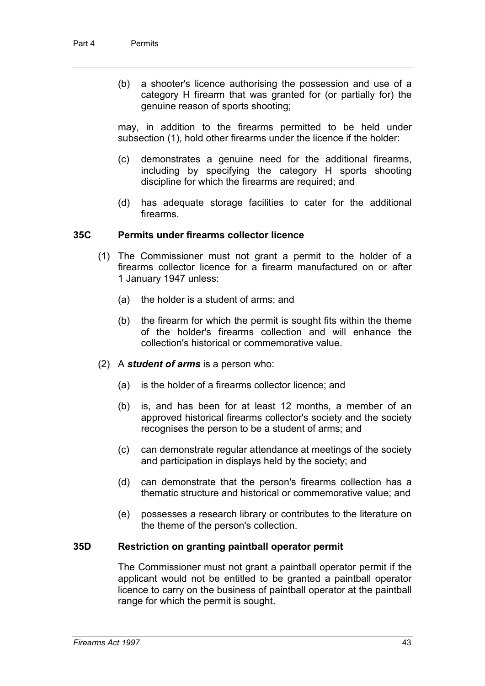(b) a shooter's licence authorising the possession and use of a category H firearm that was granted for (or partially for) the genuine reason of sports shooting;

may, in addition to the firearms permitted to be held under subsection (1), hold other firearms under the licence if the holder:

- (c) demonstrates a genuine need for the additional firearms, including by specifying the category H sports shooting discipline for which the firearms are required; and
- (d) has adequate storage facilities to cater for the additional firearms.

#### **35C Permits under firearms collector licence**

- (1) The Commissioner must not grant a permit to the holder of a firearms collector licence for a firearm manufactured on or after 1 January 1947 unless:
	- (a) the holder is a student of arms; and
	- (b) the firearm for which the permit is sought fits within the theme of the holder's firearms collection and will enhance the collection's historical or commemorative value.
- (2) A *student of arms* is a person who:
	- (a) is the holder of a firearms collector licence; and
	- (b) is, and has been for at least 12 months, a member of an approved historical firearms collector's society and the society recognises the person to be a student of arms; and
	- (c) can demonstrate regular attendance at meetings of the society and participation in displays held by the society; and
	- (d) can demonstrate that the person's firearms collection has a thematic structure and historical or commemorative value; and
	- (e) possesses a research library or contributes to the literature on the theme of the person's collection.

#### **35D Restriction on granting paintball operator permit**

The Commissioner must not grant a paintball operator permit if the applicant would not be entitled to be granted a paintball operator licence to carry on the business of paintball operator at the paintball range for which the permit is sought.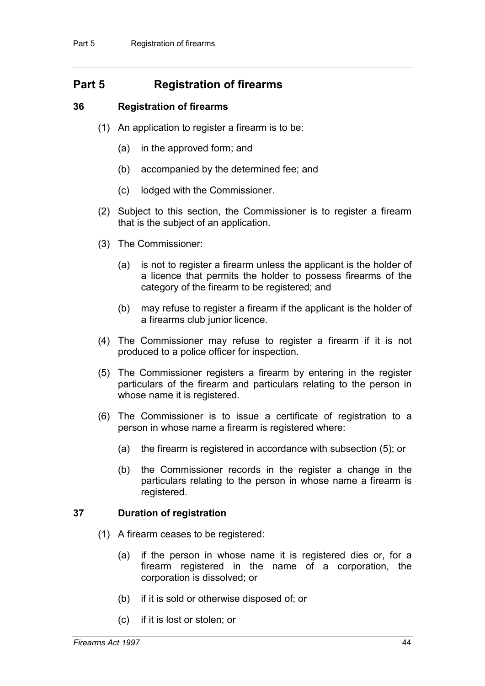# **Part 5 Registration of firearms**

### **36 Registration of firearms**

- (1) An application to register a firearm is to be:
	- (a) in the approved form; and
	- (b) accompanied by the determined fee; and
	- (c) lodged with the Commissioner.
- (2) Subject to this section, the Commissioner is to register a firearm that is the subject of an application.
- (3) The Commissioner:
	- (a) is not to register a firearm unless the applicant is the holder of a licence that permits the holder to possess firearms of the category of the firearm to be registered; and
	- (b) may refuse to register a firearm if the applicant is the holder of a firearms club junior licence.
- (4) The Commissioner may refuse to register a firearm if it is not produced to a police officer for inspection.
- (5) The Commissioner registers a firearm by entering in the register particulars of the firearm and particulars relating to the person in whose name it is registered.
- (6) The Commissioner is to issue a certificate of registration to a person in whose name a firearm is registered where:
	- (a) the firearm is registered in accordance with subsection (5); or
	- (b) the Commissioner records in the register a change in the particulars relating to the person in whose name a firearm is registered.

## **37 Duration of registration**

- (1) A firearm ceases to be registered:
	- (a) if the person in whose name it is registered dies or, for a firearm registered in the name of a corporation, the corporation is dissolved; or
	- (b) if it is sold or otherwise disposed of; or
	- (c) if it is lost or stolen; or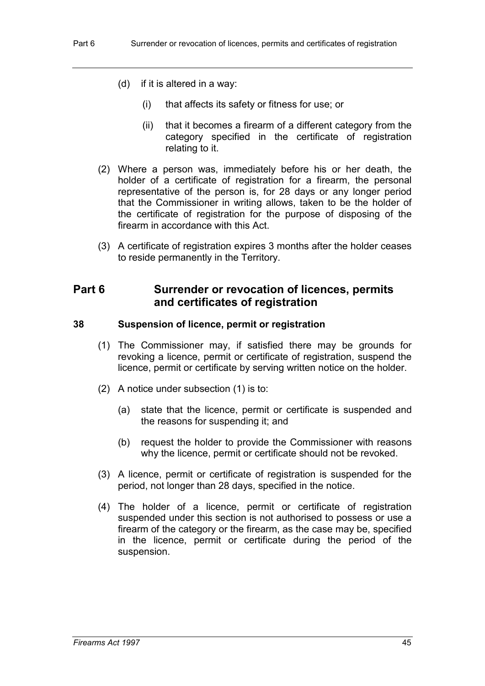- (d) if it is altered in a way:
	- (i) that affects its safety or fitness for use; or
	- (ii) that it becomes a firearm of a different category from the category specified in the certificate of registration relating to it.
- (2) Where a person was, immediately before his or her death, the holder of a certificate of registration for a firearm, the personal representative of the person is, for 28 days or any longer period that the Commissioner in writing allows, taken to be the holder of the certificate of registration for the purpose of disposing of the firearm in accordance with this Act.
- (3) A certificate of registration expires 3 months after the holder ceases to reside permanently in the Territory.

# **Part 6 Surrender or revocation of licences, permits and certificates of registration**

## **38 Suspension of licence, permit or registration**

- (1) The Commissioner may, if satisfied there may be grounds for revoking a licence, permit or certificate of registration, suspend the licence, permit or certificate by serving written notice on the holder.
- (2) A notice under subsection (1) is to:
	- (a) state that the licence, permit or certificate is suspended and the reasons for suspending it; and
	- (b) request the holder to provide the Commissioner with reasons why the licence, permit or certificate should not be revoked.
- (3) A licence, permit or certificate of registration is suspended for the period, not longer than 28 days, specified in the notice.
- (4) The holder of a licence, permit or certificate of registration suspended under this section is not authorised to possess or use a firearm of the category or the firearm, as the case may be, specified in the licence, permit or certificate during the period of the suspension.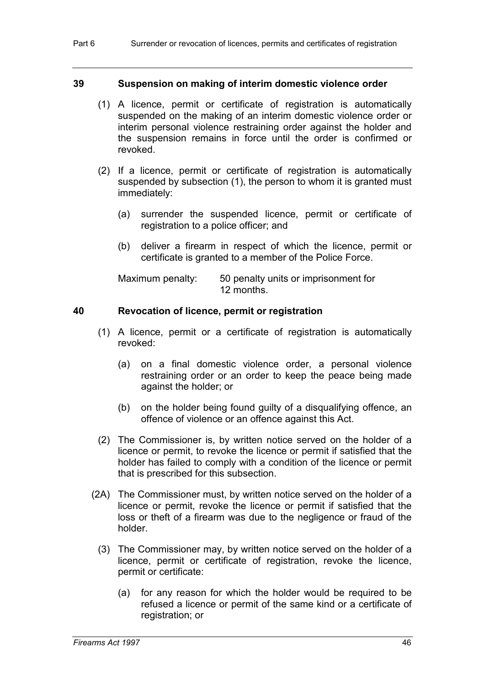### **39 Suspension on making of interim domestic violence order**

- (1) A licence, permit or certificate of registration is automatically suspended on the making of an interim domestic violence order or interim personal violence restraining order against the holder and the suspension remains in force until the order is confirmed or revoked.
- (2) If a licence, permit or certificate of registration is automatically suspended by subsection (1), the person to whom it is granted must immediately:
	- (a) surrender the suspended licence, permit or certificate of registration to a police officer; and
	- (b) deliver a firearm in respect of which the licence, permit or certificate is granted to a member of the Police Force.

| Maximum penalty: | 50 penalty units or imprisonment for |
|------------------|--------------------------------------|
|                  | 12 months.                           |

#### **40 Revocation of licence, permit or registration**

- (1) A licence, permit or a certificate of registration is automatically revoked:
	- (a) on a final domestic violence order, a personal violence restraining order or an order to keep the peace being made against the holder; or
	- (b) on the holder being found guilty of a disqualifying offence, an offence of violence or an offence against this Act.
- (2) The Commissioner is, by written notice served on the holder of a licence or permit, to revoke the licence or permit if satisfied that the holder has failed to comply with a condition of the licence or permit that is prescribed for this subsection.
- (2A) The Commissioner must, by written notice served on the holder of a licence or permit, revoke the licence or permit if satisfied that the loss or theft of a firearm was due to the negligence or fraud of the holder.
	- (3) The Commissioner may, by written notice served on the holder of a licence, permit or certificate of registration, revoke the licence, permit or certificate:
		- (a) for any reason for which the holder would be required to be refused a licence or permit of the same kind or a certificate of registration; or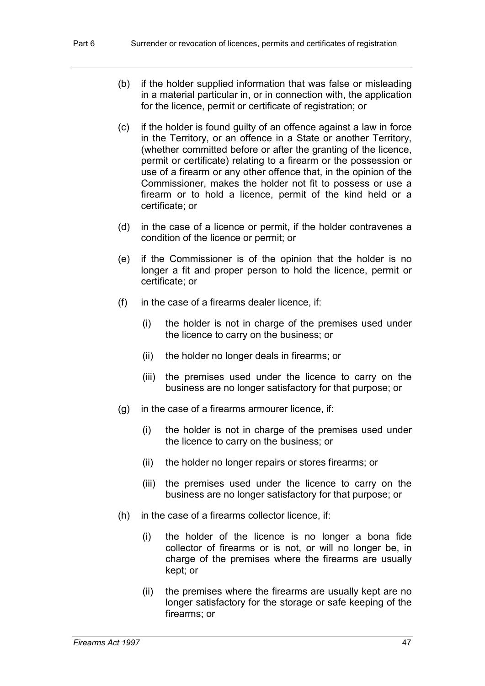- (b) if the holder supplied information that was false or misleading in a material particular in, or in connection with, the application for the licence, permit or certificate of registration; or
- (c) if the holder is found guilty of an offence against a law in force in the Territory, or an offence in a State or another Territory, (whether committed before or after the granting of the licence, permit or certificate) relating to a firearm or the possession or use of a firearm or any other offence that, in the opinion of the Commissioner, makes the holder not fit to possess or use a firearm or to hold a licence, permit of the kind held or a certificate; or
- (d) in the case of a licence or permit, if the holder contravenes a condition of the licence or permit; or
- (e) if the Commissioner is of the opinion that the holder is no longer a fit and proper person to hold the licence, permit or certificate; or
- (f) in the case of a firearms dealer licence, if:
	- (i) the holder is not in charge of the premises used under the licence to carry on the business; or
	- (ii) the holder no longer deals in firearms; or
	- (iii) the premises used under the licence to carry on the business are no longer satisfactory for that purpose; or
- (g) in the case of a firearms armourer licence, if:
	- (i) the holder is not in charge of the premises used under the licence to carry on the business; or
	- (ii) the holder no longer repairs or stores firearms; or
	- (iii) the premises used under the licence to carry on the business are no longer satisfactory for that purpose; or
- (h) in the case of a firearms collector licence, if:
	- (i) the holder of the licence is no longer a bona fide collector of firearms or is not, or will no longer be, in charge of the premises where the firearms are usually kept; or
	- (ii) the premises where the firearms are usually kept are no longer satisfactory for the storage or safe keeping of the firearms; or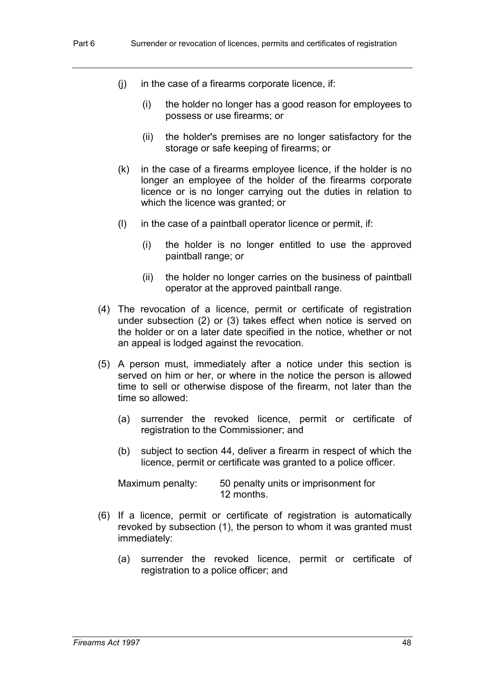- (j) in the case of a firearms corporate licence, if:
	- (i) the holder no longer has a good reason for employees to possess or use firearms; or
	- (ii) the holder's premises are no longer satisfactory for the storage or safe keeping of firearms; or
- (k) in the case of a firearms employee licence, if the holder is no longer an employee of the holder of the firearms corporate licence or is no longer carrying out the duties in relation to which the licence was granted; or
- (l) in the case of a paintball operator licence or permit, if:
	- (i) the holder is no longer entitled to use the approved paintball range; or
	- (ii) the holder no longer carries on the business of paintball operator at the approved paintball range.
- (4) The revocation of a licence, permit or certificate of registration under subsection (2) or (3) takes effect when notice is served on the holder or on a later date specified in the notice, whether or not an appeal is lodged against the revocation.
- (5) A person must, immediately after a notice under this section is served on him or her, or where in the notice the person is allowed time to sell or otherwise dispose of the firearm, not later than the time so allowed:
	- (a) surrender the revoked licence, permit or certificate of registration to the Commissioner; and
	- (b) subject to section 44, deliver a firearm in respect of which the licence, permit or certificate was granted to a police officer.

Maximum penalty: 50 penalty units or imprisonment for 12 months.

- (6) If a licence, permit or certificate of registration is automatically revoked by subsection (1), the person to whom it was granted must immediately:
	- (a) surrender the revoked licence, permit or certificate of registration to a police officer; and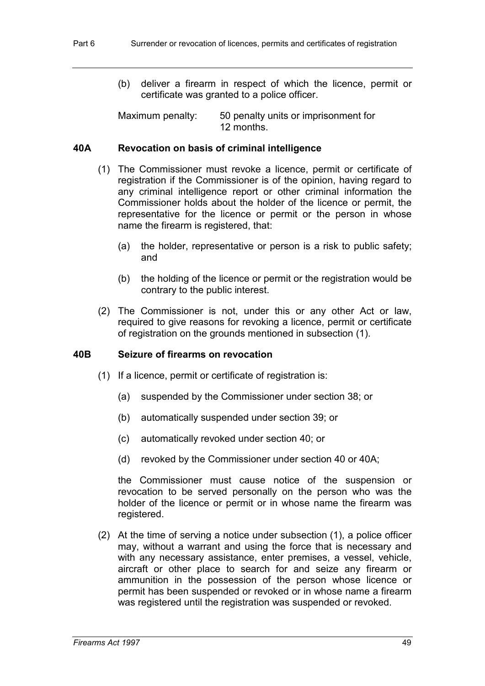(b) deliver a firearm in respect of which the licence, permit or certificate was granted to a police officer.

Maximum penalty: 50 penalty units or imprisonment for 12 months.

## **40A Revocation on basis of criminal intelligence**

- (1) The Commissioner must revoke a licence, permit or certificate of registration if the Commissioner is of the opinion, having regard to any criminal intelligence report or other criminal information the Commissioner holds about the holder of the licence or permit, the representative for the licence or permit or the person in whose name the firearm is registered, that:
	- (a) the holder, representative or person is a risk to public safety; and
	- (b) the holding of the licence or permit or the registration would be contrary to the public interest.
- (2) The Commissioner is not, under this or any other Act or law, required to give reasons for revoking a licence, permit or certificate of registration on the grounds mentioned in subsection (1).

## **40B Seizure of firearms on revocation**

- (1) If a licence, permit or certificate of registration is:
	- (a) suspended by the Commissioner under section 38; or
	- (b) automatically suspended under section 39; or
	- (c) automatically revoked under section 40; or
	- (d) revoked by the Commissioner under section 40 or 40A;

the Commissioner must cause notice of the suspension or revocation to be served personally on the person who was the holder of the licence or permit or in whose name the firearm was registered.

(2) At the time of serving a notice under subsection (1), a police officer may, without a warrant and using the force that is necessary and with any necessary assistance, enter premises, a vessel, vehicle, aircraft or other place to search for and seize any firearm or ammunition in the possession of the person whose licence or permit has been suspended or revoked or in whose name a firearm was registered until the registration was suspended or revoked.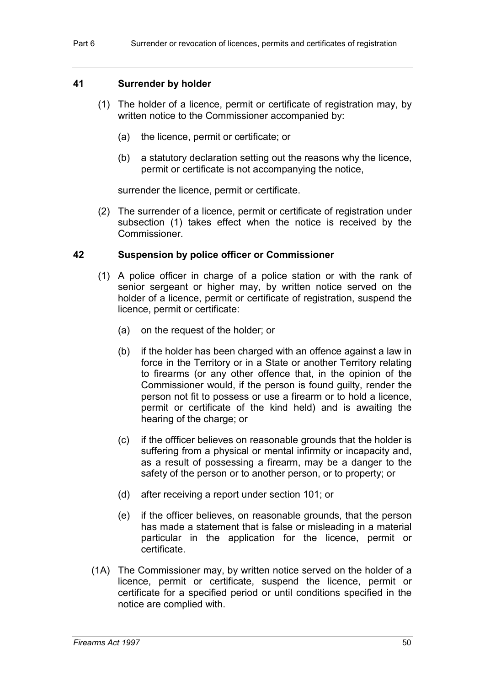### **41 Surrender by holder**

- (1) The holder of a licence, permit or certificate of registration may, by written notice to the Commissioner accompanied by:
	- (a) the licence, permit or certificate; or
	- (b) a statutory declaration setting out the reasons why the licence, permit or certificate is not accompanying the notice,

surrender the licence, permit or certificate.

(2) The surrender of a licence, permit or certificate of registration under subsection (1) takes effect when the notice is received by the Commissioner.

#### **42 Suspension by police officer or Commissioner**

- (1) A police officer in charge of a police station or with the rank of senior sergeant or higher may, by written notice served on the holder of a licence, permit or certificate of registration, suspend the licence, permit or certificate:
	- (a) on the request of the holder; or
	- (b) if the holder has been charged with an offence against a law in force in the Territory or in a State or another Territory relating to firearms (or any other offence that, in the opinion of the Commissioner would, if the person is found guilty, render the person not fit to possess or use a firearm or to hold a licence, permit or certificate of the kind held) and is awaiting the hearing of the charge; or
	- (c) if the offficer believes on reasonable grounds that the holder is suffering from a physical or mental infirmity or incapacity and, as a result of possessing a firearm, may be a danger to the safety of the person or to another person, or to property; or
	- (d) after receiving a report under section 101; or
	- (e) if the officer believes, on reasonable grounds, that the person has made a statement that is false or misleading in a material particular in the application for the licence, permit or certificate.
- (1A) The Commissioner may, by written notice served on the holder of a licence, permit or certificate, suspend the licence, permit or certificate for a specified period or until conditions specified in the notice are complied with.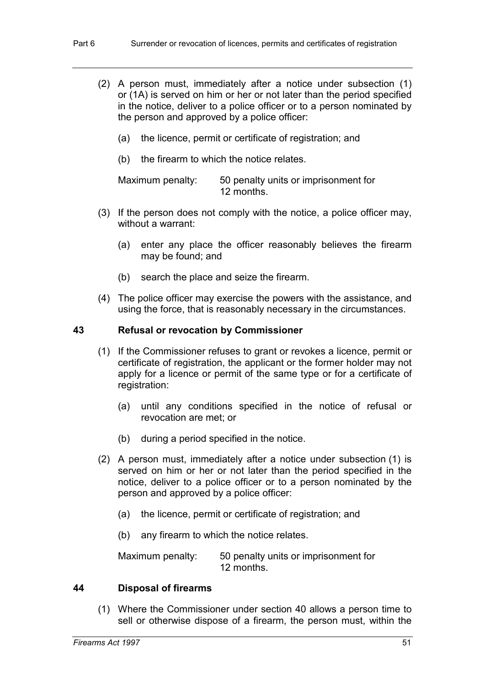- (2) A person must, immediately after a notice under subsection (1) or (1A) is served on him or her or not later than the period specified in the notice, deliver to a police officer or to a person nominated by the person and approved by a police officer:
	- (a) the licence, permit or certificate of registration; and
	- (b) the firearm to which the notice relates.

Maximum penalty: 50 penalty units or imprisonment for 12 months.

- (3) If the person does not comply with the notice, a police officer may, without a warrant:
	- (a) enter any place the officer reasonably believes the firearm may be found; and
	- (b) search the place and seize the firearm.
- (4) The police officer may exercise the powers with the assistance, and using the force, that is reasonably necessary in the circumstances.

#### **43 Refusal or revocation by Commissioner**

- (1) If the Commissioner refuses to grant or revokes a licence, permit or certificate of registration, the applicant or the former holder may not apply for a licence or permit of the same type or for a certificate of registration:
	- (a) until any conditions specified in the notice of refusal or revocation are met; or
	- (b) during a period specified in the notice.
- (2) A person must, immediately after a notice under subsection (1) is served on him or her or not later than the period specified in the notice, deliver to a police officer or to a person nominated by the person and approved by a police officer:
	- (a) the licence, permit or certificate of registration; and
	- (b) any firearm to which the notice relates.

Maximum penalty: 50 penalty units or imprisonment for 12 months.

#### **44 Disposal of firearms**

(1) Where the Commissioner under section 40 allows a person time to sell or otherwise dispose of a firearm, the person must, within the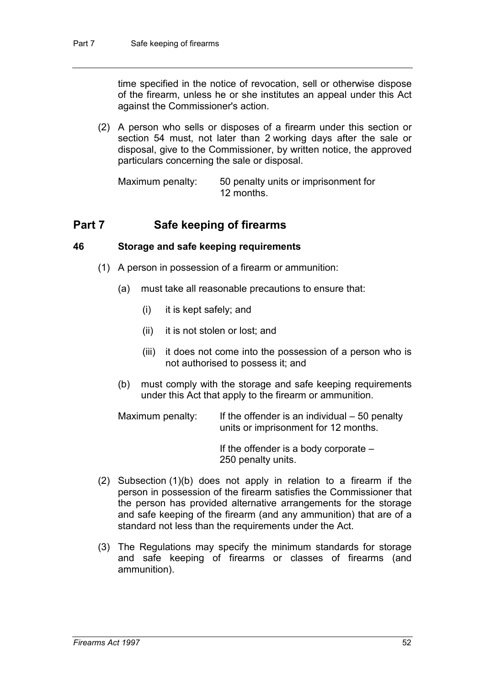time specified in the notice of revocation, sell or otherwise dispose of the firearm, unless he or she institutes an appeal under this Act against the Commissioner's action.

(2) A person who sells or disposes of a firearm under this section or section 54 must, not later than 2 working days after the sale or disposal, give to the Commissioner, by written notice, the approved particulars concerning the sale or disposal.

Maximum penalty: 50 penalty units or imprisonment for 12 months.

# **Part 7 Safe keeping of firearms**

# **46 Storage and safe keeping requirements**

- (1) A person in possession of a firearm or ammunition:
	- (a) must take all reasonable precautions to ensure that:
		- (i) it is kept safely; and
		- (ii) it is not stolen or lost; and
		- (iii) it does not come into the possession of a person who is not authorised to possess it; and
	- (b) must comply with the storage and safe keeping requirements under this Act that apply to the firearm or ammunition.

Maximum penalty: If the offender is an individual  $-50$  penalty units or imprisonment for 12 months.

> If the offender is a body corporate – 250 penalty units.

- (2) Subsection (1)(b) does not apply in relation to a firearm if the person in possession of the firearm satisfies the Commissioner that the person has provided alternative arrangements for the storage and safe keeping of the firearm (and any ammunition) that are of a standard not less than the requirements under the Act.
- (3) The Regulations may specify the minimum standards for storage and safe keeping of firearms or classes of firearms (and ammunition).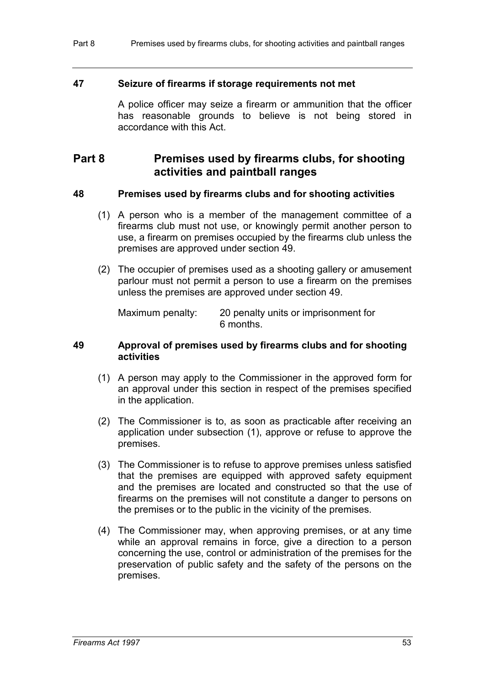#### **47 Seizure of firearms if storage requirements not met**

A police officer may seize a firearm or ammunition that the officer has reasonable grounds to believe is not being stored in accordance with this Act.

# **Part 8 Premises used by firearms clubs, for shooting activities and paintball ranges**

#### **48 Premises used by firearms clubs and for shooting activities**

- (1) A person who is a member of the management committee of a firearms club must not use, or knowingly permit another person to use, a firearm on premises occupied by the firearms club unless the premises are approved under section 49.
- (2) The occupier of premises used as a shooting gallery or amusement parlour must not permit a person to use a firearm on the premises unless the premises are approved under section 49.

Maximum penalty: 20 penalty units or imprisonment for 6 months.

#### **49 Approval of premises used by firearms clubs and for shooting activities**

- (1) A person may apply to the Commissioner in the approved form for an approval under this section in respect of the premises specified in the application.
- (2) The Commissioner is to, as soon as practicable after receiving an application under subsection (1), approve or refuse to approve the premises.
- (3) The Commissioner is to refuse to approve premises unless satisfied that the premises are equipped with approved safety equipment and the premises are located and constructed so that the use of firearms on the premises will not constitute a danger to persons on the premises or to the public in the vicinity of the premises.
- (4) The Commissioner may, when approving premises, or at any time while an approval remains in force, give a direction to a person concerning the use, control or administration of the premises for the preservation of public safety and the safety of the persons on the premises.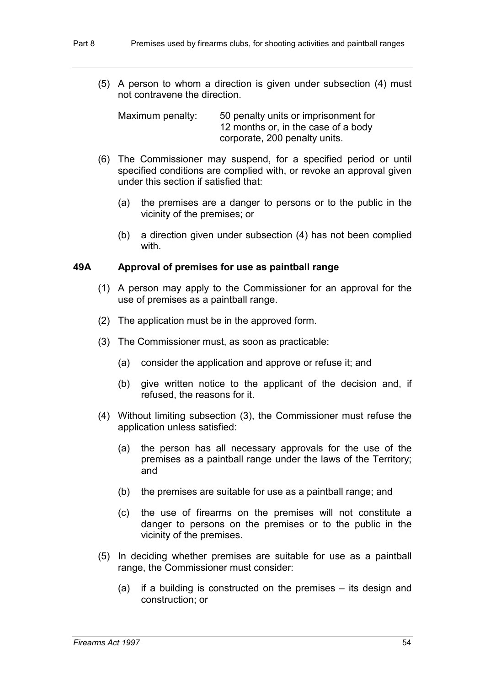(5) A person to whom a direction is given under subsection (4) must not contravene the direction.

Maximum penalty: 50 penalty units or imprisonment for 12 months or, in the case of a body corporate, 200 penalty units.

- (6) The Commissioner may suspend, for a specified period or until specified conditions are complied with, or revoke an approval given under this section if satisfied that:
	- (a) the premises are a danger to persons or to the public in the vicinity of the premises; or
	- (b) a direction given under subsection (4) has not been complied with.

## **49A Approval of premises for use as paintball range**

- (1) A person may apply to the Commissioner for an approval for the use of premises as a paintball range.
- (2) The application must be in the approved form.
- (3) The Commissioner must, as soon as practicable:
	- (a) consider the application and approve or refuse it; and
	- (b) give written notice to the applicant of the decision and, if refused, the reasons for it.
- (4) Without limiting subsection (3), the Commissioner must refuse the application unless satisfied:
	- (a) the person has all necessary approvals for the use of the premises as a paintball range under the laws of the Territory; and
	- (b) the premises are suitable for use as a paintball range; and
	- (c) the use of firearms on the premises will not constitute a danger to persons on the premises or to the public in the vicinity of the premises.
- (5) In deciding whether premises are suitable for use as a paintball range, the Commissioner must consider:
	- (a) if a building is constructed on the premises its design and construction; or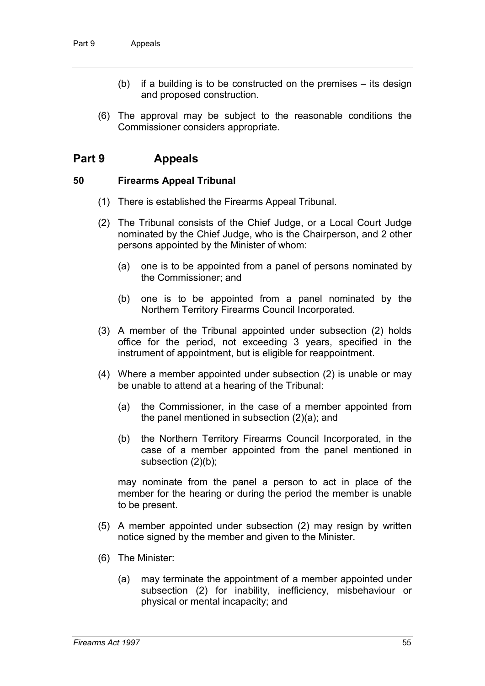- (b) if a building is to be constructed on the premises its design and proposed construction.
- (6) The approval may be subject to the reasonable conditions the Commissioner considers appropriate.

# **Part 9 Appeals**

#### **50 Firearms Appeal Tribunal**

- (1) There is established the Firearms Appeal Tribunal.
- (2) The Tribunal consists of the Chief Judge, or a Local Court Judge nominated by the Chief Judge, who is the Chairperson, and 2 other persons appointed by the Minister of whom:
	- (a) one is to be appointed from a panel of persons nominated by the Commissioner; and
	- (b) one is to be appointed from a panel nominated by the Northern Territory Firearms Council Incorporated.
- (3) A member of the Tribunal appointed under subsection (2) holds office for the period, not exceeding 3 years, specified in the instrument of appointment, but is eligible for reappointment.
- (4) Where a member appointed under subsection (2) is unable or may be unable to attend at a hearing of the Tribunal:
	- (a) the Commissioner, in the case of a member appointed from the panel mentioned in subsection (2)(a); and
	- (b) the Northern Territory Firearms Council Incorporated, in the case of a member appointed from the panel mentioned in subsection (2)(b);

may nominate from the panel a person to act in place of the member for the hearing or during the period the member is unable to be present.

- (5) A member appointed under subsection (2) may resign by written notice signed by the member and given to the Minister.
- (6) The Minister:
	- (a) may terminate the appointment of a member appointed under subsection (2) for inability, inefficiency, misbehaviour or physical or mental incapacity; and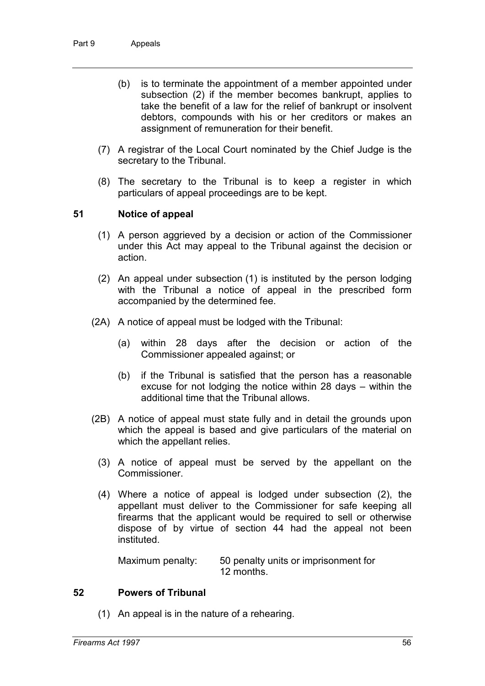- (b) is to terminate the appointment of a member appointed under subsection (2) if the member becomes bankrupt, applies to take the benefit of a law for the relief of bankrupt or insolvent debtors, compounds with his or her creditors or makes an assignment of remuneration for their benefit.
- (7) A registrar of the Local Court nominated by the Chief Judge is the secretary to the Tribunal.
- (8) The secretary to the Tribunal is to keep a register in which particulars of appeal proceedings are to be kept.

## **51 Notice of appeal**

- (1) A person aggrieved by a decision or action of the Commissioner under this Act may appeal to the Tribunal against the decision or action.
- (2) An appeal under subsection (1) is instituted by the person lodging with the Tribunal a notice of appeal in the prescribed form accompanied by the determined fee.
- (2A) A notice of appeal must be lodged with the Tribunal:
	- (a) within 28 days after the decision or action of the Commissioner appealed against; or
	- (b) if the Tribunal is satisfied that the person has a reasonable excuse for not lodging the notice within 28 days – within the additional time that the Tribunal allows.
- (2B) A notice of appeal must state fully and in detail the grounds upon which the appeal is based and give particulars of the material on which the appellant relies.
	- (3) A notice of appeal must be served by the appellant on the Commissioner.
	- (4) Where a notice of appeal is lodged under subsection (2), the appellant must deliver to the Commissioner for safe keeping all firearms that the applicant would be required to sell or otherwise dispose of by virtue of section 44 had the appeal not been instituted.

Maximum penalty: 50 penalty units or imprisonment for 12 months.

#### **52 Powers of Tribunal**

(1) An appeal is in the nature of a rehearing.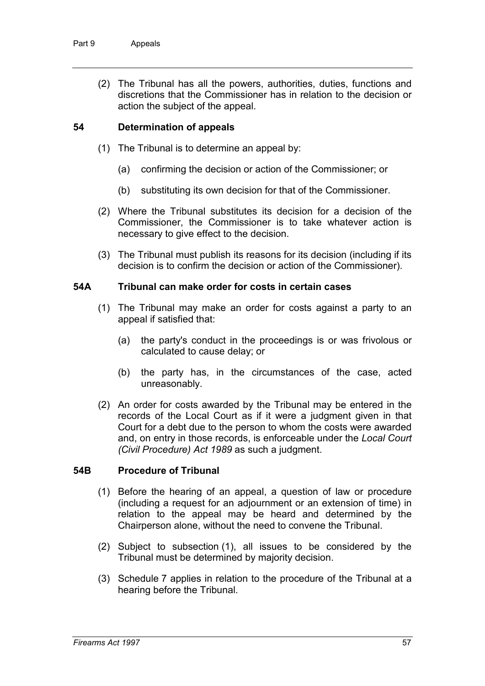(2) The Tribunal has all the powers, authorities, duties, functions and discretions that the Commissioner has in relation to the decision or action the subject of the appeal.

# **54 Determination of appeals**

- (1) The Tribunal is to determine an appeal by:
	- (a) confirming the decision or action of the Commissioner; or
	- (b) substituting its own decision for that of the Commissioner.
- (2) Where the Tribunal substitutes its decision for a decision of the Commissioner, the Commissioner is to take whatever action is necessary to give effect to the decision.
- (3) The Tribunal must publish its reasons for its decision (including if its decision is to confirm the decision or action of the Commissioner).

## **54A Tribunal can make order for costs in certain cases**

- (1) The Tribunal may make an order for costs against a party to an appeal if satisfied that:
	- (a) the party's conduct in the proceedings is or was frivolous or calculated to cause delay; or
	- (b) the party has, in the circumstances of the case, acted unreasonably.
- (2) An order for costs awarded by the Tribunal may be entered in the records of the Local Court as if it were a judgment given in that Court for a debt due to the person to whom the costs were awarded and, on entry in those records, is enforceable under the *Local Court (Civil Procedure) Act 1989* as such a judgment.

## **54B Procedure of Tribunal**

- (1) Before the hearing of an appeal, a question of law or procedure (including a request for an adjournment or an extension of time) in relation to the appeal may be heard and determined by the Chairperson alone, without the need to convene the Tribunal.
- (2) Subject to subsection (1), all issues to be considered by the Tribunal must be determined by majority decision.
- (3) Schedule 7 applies in relation to the procedure of the Tribunal at a hearing before the Tribunal.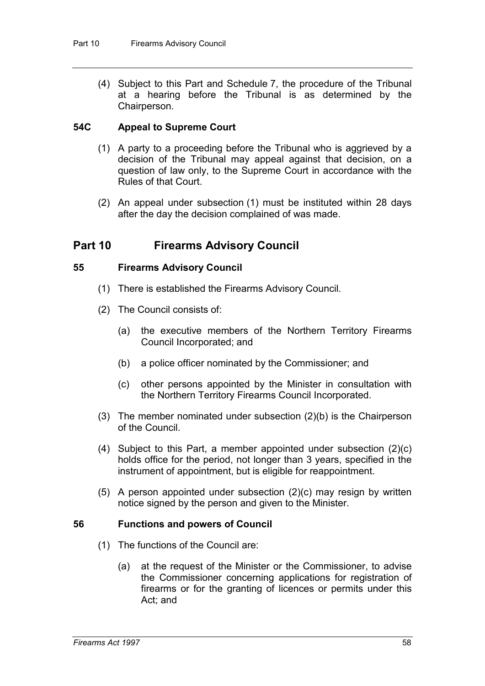(4) Subject to this Part and Schedule 7, the procedure of the Tribunal at a hearing before the Tribunal is as determined by the Chairperson.

## **54C Appeal to Supreme Court**

- (1) A party to a proceeding before the Tribunal who is aggrieved by a decision of the Tribunal may appeal against that decision, on a question of law only, to the Supreme Court in accordance with the Rules of that Court.
- (2) An appeal under subsection (1) must be instituted within 28 days after the day the decision complained of was made.

# **Part 10 Firearms Advisory Council**

#### **55 Firearms Advisory Council**

- (1) There is established the Firearms Advisory Council.
- (2) The Council consists of:
	- (a) the executive members of the Northern Territory Firearms Council Incorporated; and
	- (b) a police officer nominated by the Commissioner; and
	- (c) other persons appointed by the Minister in consultation with the Northern Territory Firearms Council Incorporated.
- (3) The member nominated under subsection (2)(b) is the Chairperson of the Council.
- (4) Subject to this Part, a member appointed under subsection (2)(c) holds office for the period, not longer than 3 years, specified in the instrument of appointment, but is eligible for reappointment.
- (5) A person appointed under subsection (2)(c) may resign by written notice signed by the person and given to the Minister.

#### **56 Functions and powers of Council**

- (1) The functions of the Council are:
	- (a) at the request of the Minister or the Commissioner, to advise the Commissioner concerning applications for registration of firearms or for the granting of licences or permits under this Act; and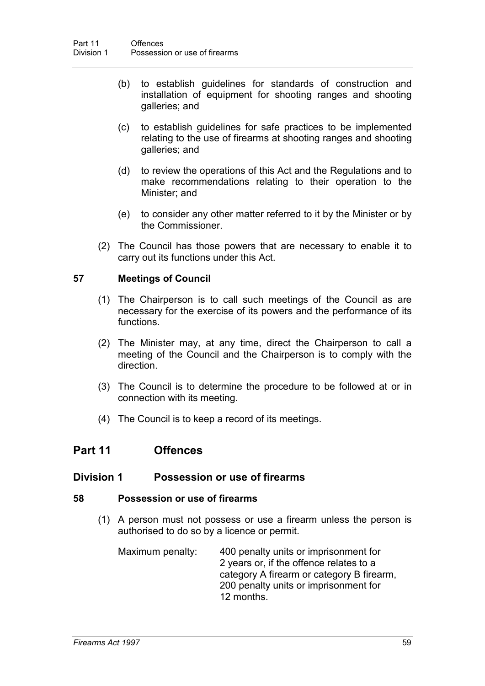- (b) to establish guidelines for standards of construction and installation of equipment for shooting ranges and shooting galleries; and
- (c) to establish guidelines for safe practices to be implemented relating to the use of firearms at shooting ranges and shooting galleries; and
- (d) to review the operations of this Act and the Regulations and to make recommendations relating to their operation to the Minister; and
- (e) to consider any other matter referred to it by the Minister or by the Commissioner.
- (2) The Council has those powers that are necessary to enable it to carry out its functions under this Act.

# **57 Meetings of Council**

- (1) The Chairperson is to call such meetings of the Council as are necessary for the exercise of its powers and the performance of its functions.
- (2) The Minister may, at any time, direct the Chairperson to call a meeting of the Council and the Chairperson is to comply with the direction.
- (3) The Council is to determine the procedure to be followed at or in connection with its meeting.
- (4) The Council is to keep a record of its meetings.

# **Part 11 Offences**

# **Division 1 Possession or use of firearms**

## **58 Possession or use of firearms**

- (1) A person must not possess or use a firearm unless the person is authorised to do so by a licence or permit.
	- Maximum penalty: 400 penalty units or imprisonment for 2 years or, if the offence relates to a category A firearm or category B firearm, 200 penalty units or imprisonment for 12 months.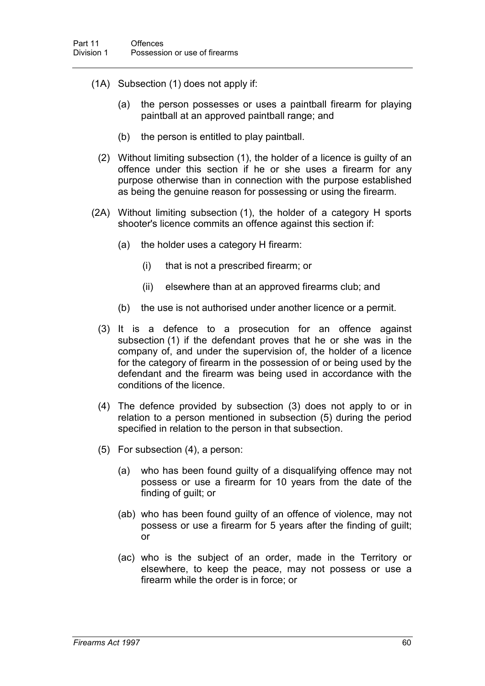- (1A) Subsection (1) does not apply if:
	- (a) the person possesses or uses a paintball firearm for playing paintball at an approved paintball range; and
	- (b) the person is entitled to play paintball.
	- (2) Without limiting subsection (1), the holder of a licence is guilty of an offence under this section if he or she uses a firearm for any purpose otherwise than in connection with the purpose established as being the genuine reason for possessing or using the firearm.
- (2A) Without limiting subsection (1), the holder of a category H sports shooter's licence commits an offence against this section if:
	- (a) the holder uses a category H firearm:
		- (i) that is not a prescribed firearm; or
		- (ii) elsewhere than at an approved firearms club; and
	- (b) the use is not authorised under another licence or a permit.
	- (3) It is a defence to a prosecution for an offence against subsection (1) if the defendant proves that he or she was in the company of, and under the supervision of, the holder of a licence for the category of firearm in the possession of or being used by the defendant and the firearm was being used in accordance with the conditions of the licence.
	- (4) The defence provided by subsection (3) does not apply to or in relation to a person mentioned in subsection (5) during the period specified in relation to the person in that subsection.
	- (5) For subsection (4), a person:
		- (a) who has been found guilty of a disqualifying offence may not possess or use a firearm for 10 years from the date of the finding of guilt; or
		- (ab) who has been found guilty of an offence of violence, may not possess or use a firearm for 5 years after the finding of guilt; or
		- (ac) who is the subject of an order, made in the Territory or elsewhere, to keep the peace, may not possess or use a firearm while the order is in force; or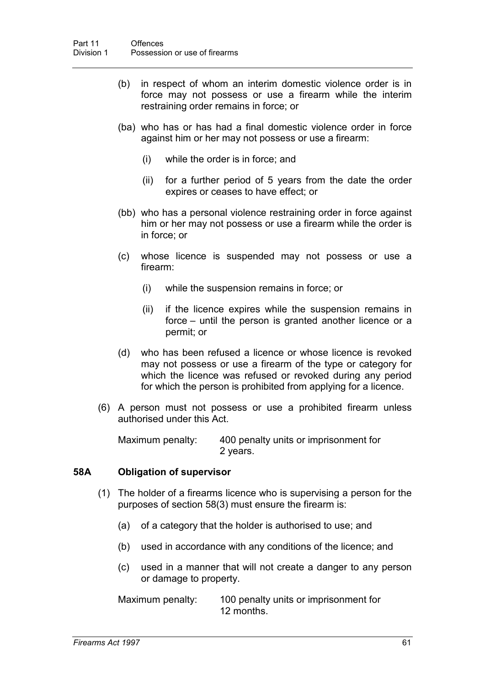- (b) in respect of whom an interim domestic violence order is in force may not possess or use a firearm while the interim restraining order remains in force; or
- (ba) who has or has had a final domestic violence order in force against him or her may not possess or use a firearm:
	- (i) while the order is in force; and
	- (ii) for a further period of 5 years from the date the order expires or ceases to have effect; or
- (bb) who has a personal violence restraining order in force against him or her may not possess or use a firearm while the order is in force; or
- (c) whose licence is suspended may not possess or use a firearm:
	- (i) while the suspension remains in force; or
	- (ii) if the licence expires while the suspension remains in force – until the person is granted another licence or a permit; or
- (d) who has been refused a licence or whose licence is revoked may not possess or use a firearm of the type or category for which the licence was refused or revoked during any period for which the person is prohibited from applying for a licence.
- (6) A person must not possess or use a prohibited firearm unless authorised under this Act.

Maximum penalty: 400 penalty units or imprisonment for 2 years.

#### **58A Obligation of supervisor**

- (1) The holder of a firearms licence who is supervising a person for the purposes of section 58(3) must ensure the firearm is:
	- (a) of a category that the holder is authorised to use; and
	- (b) used in accordance with any conditions of the licence; and
	- (c) used in a manner that will not create a danger to any person or damage to property.

Maximum penalty: 100 penalty units or imprisonment for 12 months.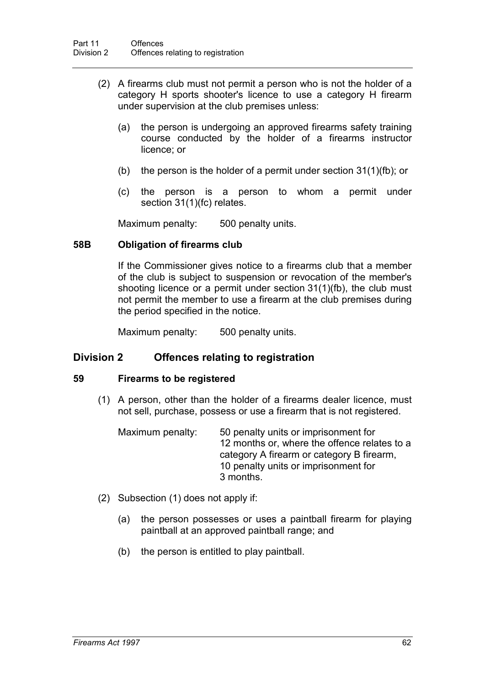- (2) A firearms club must not permit a person who is not the holder of a category H sports shooter's licence to use a category H firearm under supervision at the club premises unless:
	- (a) the person is undergoing an approved firearms safety training course conducted by the holder of a firearms instructor licence; or
	- (b) the person is the holder of a permit under section 31(1)(fb); or
	- (c) the person is a person to whom a permit under section 31(1)(fc) relates.

Maximum penalty: 500 penalty units.

#### **58B Obligation of firearms club**

If the Commissioner gives notice to a firearms club that a member of the club is subject to suspension or revocation of the member's shooting licence or a permit under section 31(1)(fb), the club must not permit the member to use a firearm at the club premises during the period specified in the notice.

Maximum penalty: 500 penalty units.

## **Division 2 Offences relating to registration**

#### **59 Firearms to be registered**

(1) A person, other than the holder of a firearms dealer licence, must not sell, purchase, possess or use a firearm that is not registered.

| Maximum penalty: | 50 penalty units or imprisonment for         |
|------------------|----------------------------------------------|
|                  | 12 months or, where the offence relates to a |
|                  | category A firearm or category B firearm,    |
|                  | 10 penalty units or imprisonment for         |
|                  | 3 months.                                    |

- (2) Subsection (1) does not apply if:
	- (a) the person possesses or uses a paintball firearm for playing paintball at an approved paintball range; and
	- (b) the person is entitled to play paintball.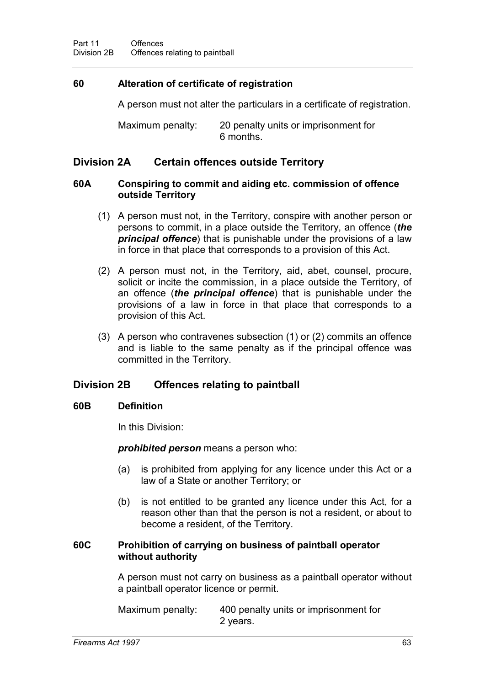# **60 Alteration of certificate of registration**

A person must not alter the particulars in a certificate of registration.

Maximum penalty: 20 penalty units or imprisonment for 6 months.

# **Division 2A Certain offences outside Territory**

# **60A Conspiring to commit and aiding etc. commission of offence outside Territory**

- (1) A person must not, in the Territory, conspire with another person or persons to commit, in a place outside the Territory, an offence (*the principal offence*) that is punishable under the provisions of a law in force in that place that corresponds to a provision of this Act.
- (2) A person must not, in the Territory, aid, abet, counsel, procure, solicit or incite the commission, in a place outside the Territory, of an offence (*the principal offence*) that is punishable under the provisions of a law in force in that place that corresponds to a provision of this Act.
- (3) A person who contravenes subsection (1) or (2) commits an offence and is liable to the same penalty as if the principal offence was committed in the Territory.

# **Division 2B Offences relating to paintball**

# **60B Definition**

In this Division:

*prohibited person* means a person who:

- (a) is prohibited from applying for any licence under this Act or a law of a State or another Territory; or
- (b) is not entitled to be granted any licence under this Act, for a reason other than that the person is not a resident, or about to become a resident, of the Territory.

## **60C Prohibition of carrying on business of paintball operator without authority**

A person must not carry on business as a paintball operator without a paintball operator licence or permit.

Maximum penalty: 400 penalty units or imprisonment for 2 years.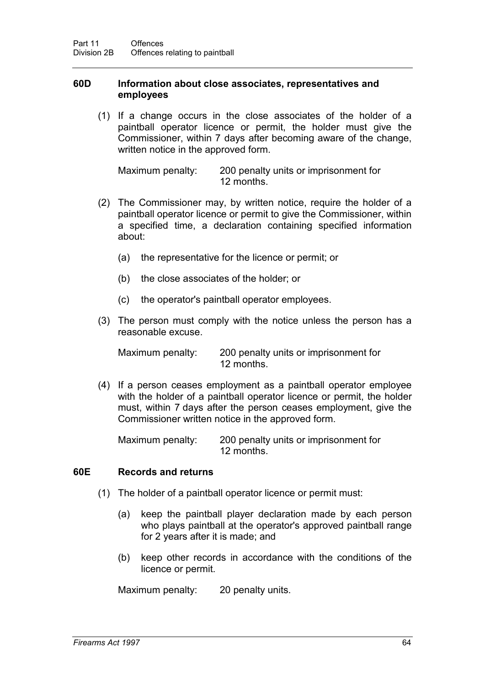## **60D Information about close associates, representatives and employees**

(1) If a change occurs in the close associates of the holder of a paintball operator licence or permit, the holder must give the Commissioner, within 7 days after becoming aware of the change, written notice in the approved form.

Maximum penalty: 200 penalty units or imprisonment for 12 months.

- (2) The Commissioner may, by written notice, require the holder of a paintball operator licence or permit to give the Commissioner, within a specified time, a declaration containing specified information about:
	- (a) the representative for the licence or permit; or
	- (b) the close associates of the holder; or
	- (c) the operator's paintball operator employees.
- (3) The person must comply with the notice unless the person has a reasonable excuse.

Maximum penalty: 200 penalty units or imprisonment for 12 months.

(4) If a person ceases employment as a paintball operator employee with the holder of a paintball operator licence or permit, the holder must, within 7 days after the person ceases employment, give the Commissioner written notice in the approved form.

Maximum penalty: 200 penalty units or imprisonment for 12 months.

#### **60E Records and returns**

- (1) The holder of a paintball operator licence or permit must:
	- (a) keep the paintball player declaration made by each person who plays paintball at the operator's approved paintball range for 2 years after it is made; and
	- (b) keep other records in accordance with the conditions of the licence or permit.

Maximum penalty: 20 penalty units.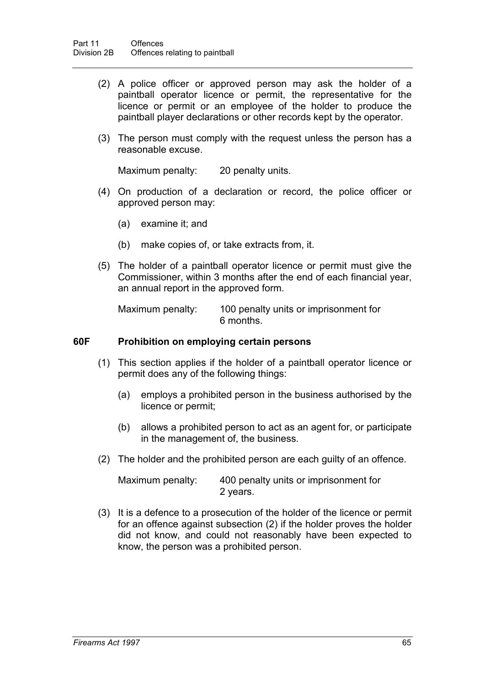- (2) A police officer or approved person may ask the holder of a paintball operator licence or permit, the representative for the licence or permit or an employee of the holder to produce the paintball player declarations or other records kept by the operator.
- (3) The person must comply with the request unless the person has a reasonable excuse.

Maximum penalty: 20 penalty units.

- (4) On production of a declaration or record, the police officer or approved person may:
	- (a) examine it; and
	- (b) make copies of, or take extracts from, it.
- (5) The holder of a paintball operator licence or permit must give the Commissioner, within 3 months after the end of each financial year, an annual report in the approved form.

Maximum penalty: 100 penalty units or imprisonment for 6 months.

### **60F Prohibition on employing certain persons**

- (1) This section applies if the holder of a paintball operator licence or permit does any of the following things:
	- (a) employs a prohibited person in the business authorised by the licence or permit;
	- (b) allows a prohibited person to act as an agent for, or participate in the management of, the business.
- (2) The holder and the prohibited person are each guilty of an offence.

Maximum penalty: 400 penalty units or imprisonment for 2 years.

(3) It is a defence to a prosecution of the holder of the licence or permit for an offence against subsection (2) if the holder proves the holder did not know, and could not reasonably have been expected to know, the person was a prohibited person.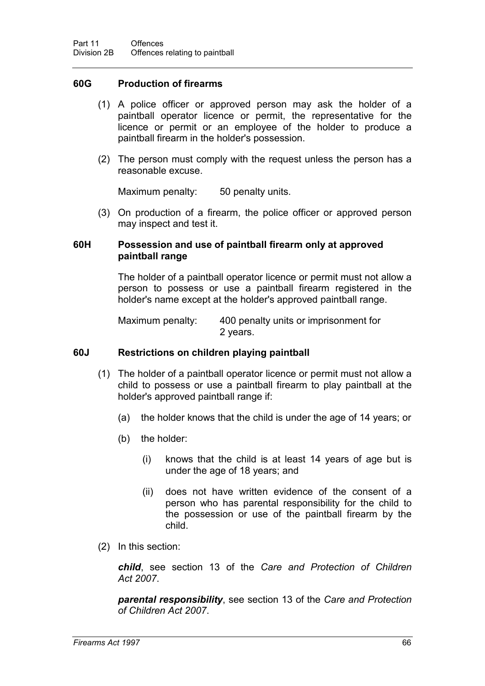## **60G Production of firearms**

- (1) A police officer or approved person may ask the holder of a paintball operator licence or permit, the representative for the licence or permit or an employee of the holder to produce a paintball firearm in the holder's possession.
- (2) The person must comply with the request unless the person has a reasonable excuse.

Maximum penalty: 50 penalty units.

(3) On production of a firearm, the police officer or approved person may inspect and test it.

## **60H Possession and use of paintball firearm only at approved paintball range**

The holder of a paintball operator licence or permit must not allow a person to possess or use a paintball firearm registered in the holder's name except at the holder's approved paintball range.

Maximum penalty: 400 penalty units or imprisonment for 2 years.

## **60J Restrictions on children playing paintball**

- (1) The holder of a paintball operator licence or permit must not allow a child to possess or use a paintball firearm to play paintball at the holder's approved paintball range if:
	- (a) the holder knows that the child is under the age of 14 years; or
	- (b) the holder:
		- (i) knows that the child is at least 14 years of age but is under the age of 18 years; and
		- (ii) does not have written evidence of the consent of a person who has parental responsibility for the child to the possession or use of the paintball firearm by the child.
- (2) In this section:

*child*, see section 13 of the *Care and Protection of Children Act 2007*.

*parental responsibility*, see section 13 of the *Care and Protection of Children Act 2007*.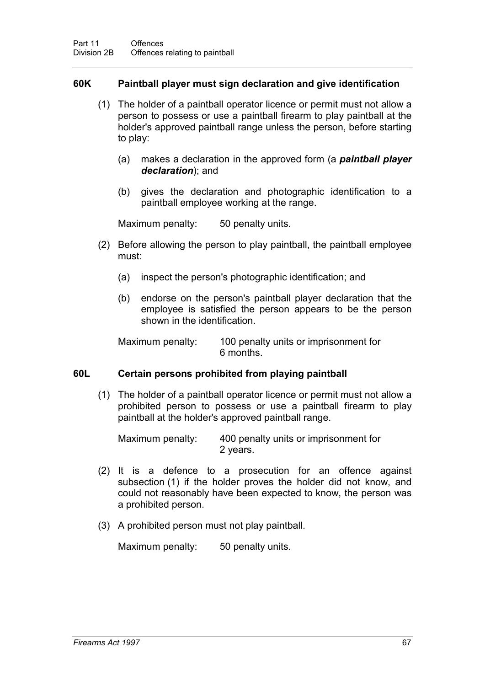## **60K Paintball player must sign declaration and give identification**

- (1) The holder of a paintball operator licence or permit must not allow a person to possess or use a paintball firearm to play paintball at the holder's approved paintball range unless the person, before starting to play:
	- (a) makes a declaration in the approved form (a *paintball player declaration*); and
	- (b) gives the declaration and photographic identification to a paintball employee working at the range.

Maximum penalty: 50 penalty units.

- (2) Before allowing the person to play paintball, the paintball employee must:
	- (a) inspect the person's photographic identification; and
	- (b) endorse on the person's paintball player declaration that the employee is satisfied the person appears to be the person shown in the identification.

Maximum penalty: 100 penalty units or imprisonment for 6 months.

## **60L Certain persons prohibited from playing paintball**

(1) The holder of a paintball operator licence or permit must not allow a prohibited person to possess or use a paintball firearm to play paintball at the holder's approved paintball range.

Maximum penalty: 400 penalty units or imprisonment for 2 years.

- (2) It is a defence to a prosecution for an offence against subsection (1) if the holder proves the holder did not know, and could not reasonably have been expected to know, the person was a prohibited person.
- (3) A prohibited person must not play paintball.

Maximum penalty: 50 penalty units.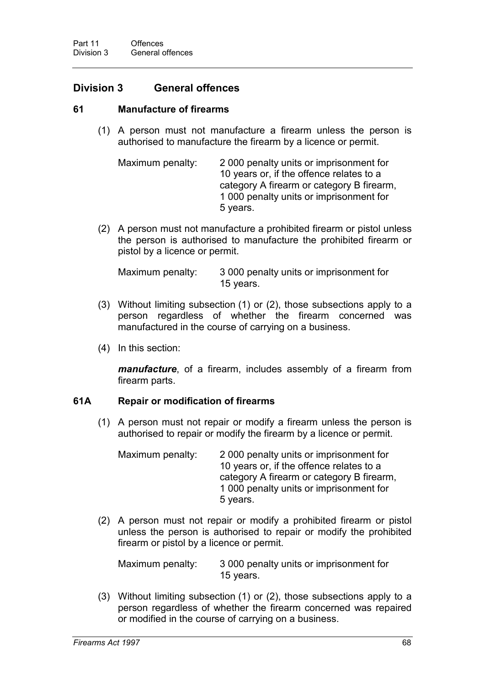# **Division 3 General offences**

### **61 Manufacture of firearms**

(1) A person must not manufacture a firearm unless the person is authorised to manufacture the firearm by a licence or permit.

```
Maximum penalty: 2 000 penalty units or imprisonment for 
           10 years or, if the offence relates to a
           category A firearm or category B firearm, 
           1 000 penalty units or imprisonment for 
           5 years.
```
(2) A person must not manufacture a prohibited firearm or pistol unless the person is authorised to manufacture the prohibited firearm or pistol by a licence or permit.

Maximum penalty: 3 000 penalty units or imprisonment for 15 years.

- (3) Without limiting subsection (1) or (2), those subsections apply to a person regardless of whether the firearm concerned was manufactured in the course of carrying on a business.
- (4) In this section:

*manufacture*, of a firearm, includes assembly of a firearm from firearm parts.

#### **61A Repair or modification of firearms**

(1) A person must not repair or modify a firearm unless the person is authorised to repair or modify the firearm by a licence or permit.

| Maximum penalty: | 2000 penalty units or imprisonment for    |
|------------------|-------------------------------------------|
|                  | 10 years or, if the offence relates to a  |
|                  | category A firearm or category B firearm, |
|                  | 1 000 penalty units or imprisonment for   |
|                  | 5 years.                                  |

(2) A person must not repair or modify a prohibited firearm or pistol unless the person is authorised to repair or modify the prohibited firearm or pistol by a licence or permit.

Maximum penalty: 3 000 penalty units or imprisonment for 15 years.

(3) Without limiting subsection (1) or (2), those subsections apply to a person regardless of whether the firearm concerned was repaired or modified in the course of carrying on a business.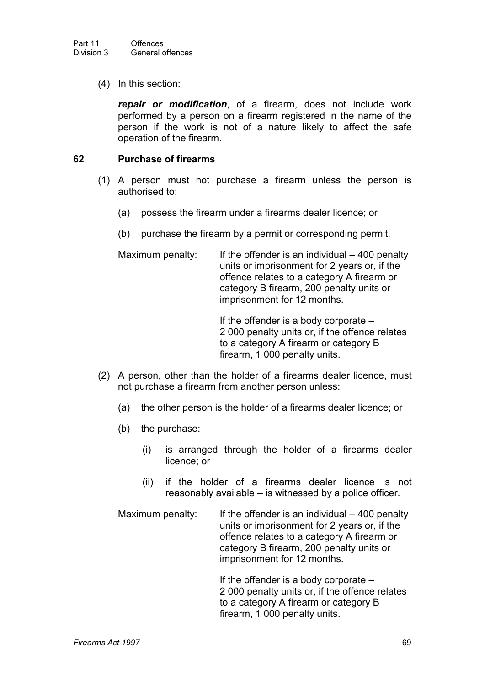(4) In this section:

*repair or modification*, of a firearm, does not include work performed by a person on a firearm registered in the name of the person if the work is not of a nature likely to affect the safe operation of the firearm.

## **62 Purchase of firearms**

- (1) A person must not purchase a firearm unless the person is authorised to:
	- (a) possess the firearm under a firearms dealer licence; or
	- (b) purchase the firearm by a permit or corresponding permit.

Maximum penalty: If the offender is an individual  $-400$  penalty units or imprisonment for 2 years or, if the offence relates to a category A firearm or category B firearm, 200 penalty units or imprisonment for 12 months.

> If the offender is a body corporate – 2 000 penalty units or, if the offence relates to a category A firearm or category B firearm, 1 000 penalty units.

- (2) A person, other than the holder of a firearms dealer licence, must not purchase a firearm from another person unless:
	- (a) the other person is the holder of a firearms dealer licence; or
	- (b) the purchase:
		- (i) is arranged through the holder of a firearms dealer licence; or
		- (ii) if the holder of a firearms dealer licence is not reasonably available – is witnessed by a police officer.
	- Maximum penalty: If the offender is an individual 400 penalty units or imprisonment for 2 years or, if the offence relates to a category A firearm or category B firearm, 200 penalty units or imprisonment for 12 months.

If the offender is a body corporate – 2 000 penalty units or, if the offence relates to a category A firearm or category B firearm, 1 000 penalty units.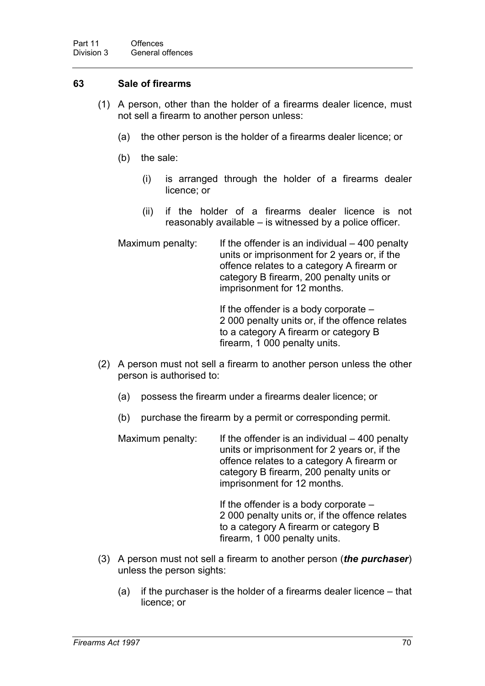# **63 Sale of firearms**

- (1) A person, other than the holder of a firearms dealer licence, must not sell a firearm to another person unless:
	- (a) the other person is the holder of a firearms dealer licence; or
	- (b) the sale:
		- (i) is arranged through the holder of a firearms dealer licence; or
		- (ii) if the holder of a firearms dealer licence is not reasonably available – is witnessed by a police officer.
	- Maximum penalty: If the offender is an individual 400 penalty units or imprisonment for 2 years or, if the offence relates to a category A firearm or category B firearm, 200 penalty units or imprisonment for 12 months.

If the offender is a body corporate – 2 000 penalty units or, if the offence relates to a category A firearm or category B firearm, 1 000 penalty units.

- (2) A person must not sell a firearm to another person unless the other person is authorised to:
	- (a) possess the firearm under a firearms dealer licence; or
	- (b) purchase the firearm by a permit or corresponding permit.

Maximum penalty: If the offender is an individual – 400 penalty units or imprisonment for 2 years or, if the offence relates to a category A firearm or category B firearm, 200 penalty units or imprisonment for 12 months.

> If the offender is a body corporate – 2 000 penalty units or, if the offence relates to a category A firearm or category B firearm, 1 000 penalty units.

- (3) A person must not sell a firearm to another person (*the purchaser*) unless the person sights:
	- (a) if the purchaser is the holder of a firearms dealer licence that licence; or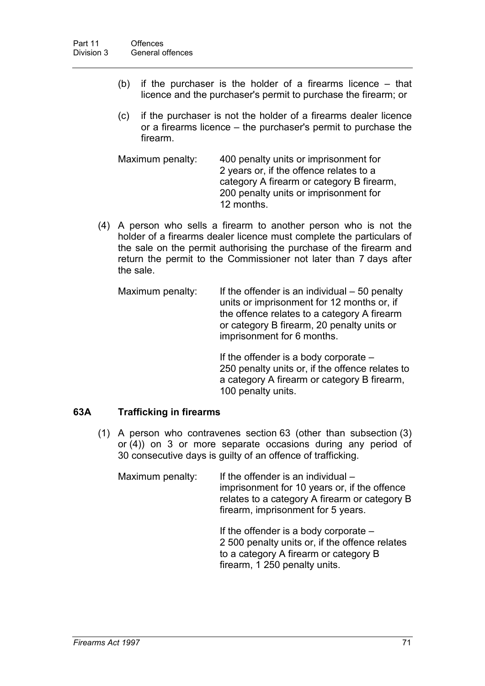- (b) if the purchaser is the holder of a firearms licence that licence and the purchaser's permit to purchase the firearm; or
- (c) if the purchaser is not the holder of a firearms dealer licence or a firearms licence – the purchaser's permit to purchase the firearm.

Maximum penalty: 400 penalty units or imprisonment for 2 years or, if the offence relates to a category A firearm or category B firearm, 200 penalty units or imprisonment for 12 months.

(4) A person who sells a firearm to another person who is not the holder of a firearms dealer licence must complete the particulars of the sale on the permit authorising the purchase of the firearm and return the permit to the Commissioner not later than 7 days after the sale.

Maximum penalty: If the offender is an individual  $-50$  penalty units or imprisonment for 12 months or, if the offence relates to a category A firearm or category B firearm, 20 penalty units or imprisonment for 6 months.

> If the offender is a body corporate – 250 penalty units or, if the offence relates to a category A firearm or category B firearm, 100 penalty units.

## **63A Trafficking in firearms**

(1) A person who contravenes section 63 (other than subsection (3) or (4)) on 3 or more separate occasions during any period of 30 consecutive days is guilty of an offence of trafficking.

Maximum penalty: If the offender is an individual  $$ imprisonment for 10 years or, if the offence relates to a category A firearm or category B firearm, imprisonment for 5 years.

> If the offender is a body corporate – 2 500 penalty units or, if the offence relates to a category A firearm or category B firearm, 1 250 penalty units.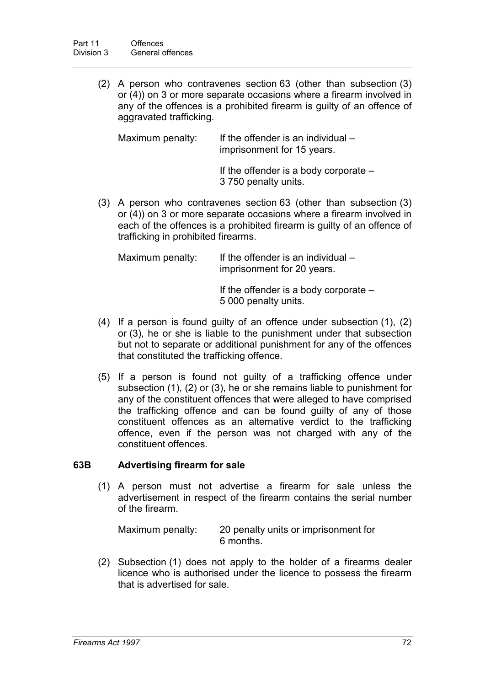(2) A person who contravenes section 63 (other than subsection (3) or (4)) on 3 or more separate occasions where a firearm involved in any of the offences is a prohibited firearm is guilty of an offence of aggravated trafficking.

| Maximum penalty: | If the offender is an individual $-$ |
|------------------|--------------------------------------|
|                  | imprisonment for 15 years.           |

If the offender is a body corporate – 3 750 penalty units.

(3) A person who contravenes section 63 (other than subsection (3) or (4)) on 3 or more separate occasions where a firearm involved in each of the offences is a prohibited firearm is guilty of an offence of trafficking in prohibited firearms.

| Maximum penalty: | If the offender is an individual $-$<br>imprisonment for 20 years. |
|------------------|--------------------------------------------------------------------|
|                  | If the offender is a body corporate $-$<br>5 000 penalty units.    |

- (4) If a person is found guilty of an offence under subsection (1), (2) or (3), he or she is liable to the punishment under that subsection but not to separate or additional punishment for any of the offences that constituted the trafficking offence.
- (5) If a person is found not guilty of a trafficking offence under subsection (1), (2) or (3), he or she remains liable to punishment for any of the constituent offences that were alleged to have comprised the trafficking offence and can be found guilty of any of those constituent offences as an alternative verdict to the trafficking offence, even if the person was not charged with any of the constituent offences.

# **63B Advertising firearm for sale**

(1) A person must not advertise a firearm for sale unless the advertisement in respect of the firearm contains the serial number of the firearm.

| Maximum penalty: | 20 penalty units or imprisonment for |
|------------------|--------------------------------------|
|                  | 6 months.                            |

(2) Subsection (1) does not apply to the holder of a firearms dealer licence who is authorised under the licence to possess the firearm that is advertised for sale.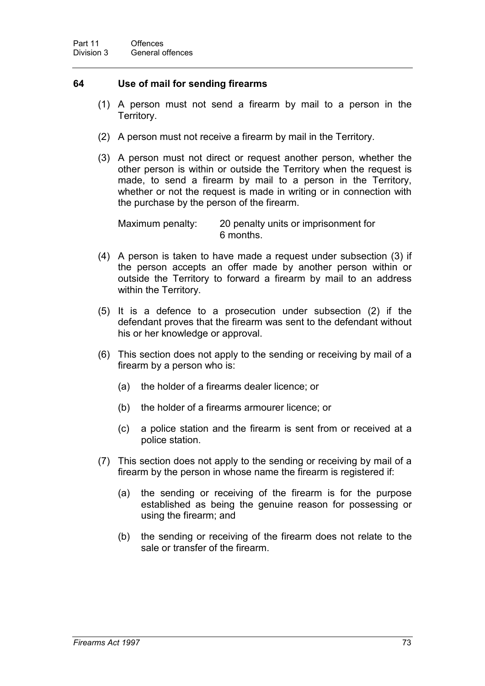## **64 Use of mail for sending firearms**

- (1) A person must not send a firearm by mail to a person in the Territory.
- (2) A person must not receive a firearm by mail in the Territory.
- (3) A person must not direct or request another person, whether the other person is within or outside the Territory when the request is made, to send a firearm by mail to a person in the Territory, whether or not the request is made in writing or in connection with the purchase by the person of the firearm.

Maximum penalty: 20 penalty units or imprisonment for 6 months.

- (4) A person is taken to have made a request under subsection (3) if the person accepts an offer made by another person within or outside the Territory to forward a firearm by mail to an address within the Territory.
- (5) It is a defence to a prosecution under subsection (2) if the defendant proves that the firearm was sent to the defendant without his or her knowledge or approval.
- (6) This section does not apply to the sending or receiving by mail of a firearm by a person who is:
	- (a) the holder of a firearms dealer licence; or
	- (b) the holder of a firearms armourer licence; or
	- (c) a police station and the firearm is sent from or received at a police station.
- (7) This section does not apply to the sending or receiving by mail of a firearm by the person in whose name the firearm is registered if:
	- (a) the sending or receiving of the firearm is for the purpose established as being the genuine reason for possessing or using the firearm; and
	- (b) the sending or receiving of the firearm does not relate to the sale or transfer of the firearm.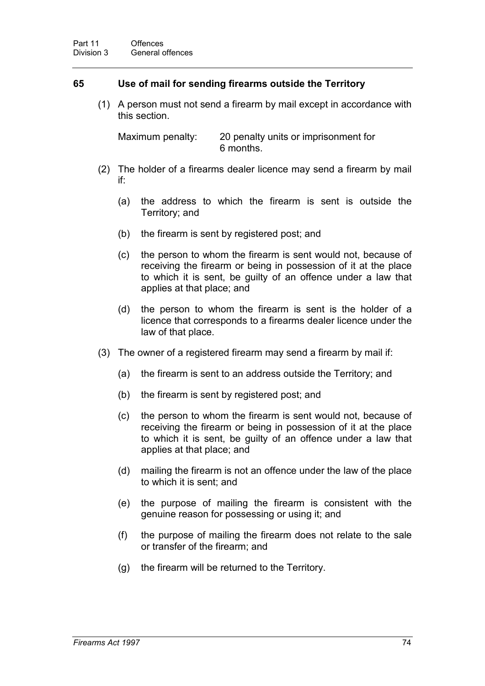## **65 Use of mail for sending firearms outside the Territory**

(1) A person must not send a firearm by mail except in accordance with this section.

Maximum penalty: 20 penalty units or imprisonment for 6 months.

- (2) The holder of a firearms dealer licence may send a firearm by mail if:
	- (a) the address to which the firearm is sent is outside the Territory; and
	- (b) the firearm is sent by registered post; and
	- (c) the person to whom the firearm is sent would not, because of receiving the firearm or being in possession of it at the place to which it is sent, be guilty of an offence under a law that applies at that place; and
	- (d) the person to whom the firearm is sent is the holder of a licence that corresponds to a firearms dealer licence under the law of that place.
- (3) The owner of a registered firearm may send a firearm by mail if:
	- (a) the firearm is sent to an address outside the Territory; and
	- (b) the firearm is sent by registered post; and
	- (c) the person to whom the firearm is sent would not, because of receiving the firearm or being in possession of it at the place to which it is sent, be guilty of an offence under a law that applies at that place; and
	- (d) mailing the firearm is not an offence under the law of the place to which it is sent; and
	- (e) the purpose of mailing the firearm is consistent with the genuine reason for possessing or using it; and
	- (f) the purpose of mailing the firearm does not relate to the sale or transfer of the firearm; and
	- (g) the firearm will be returned to the Territory.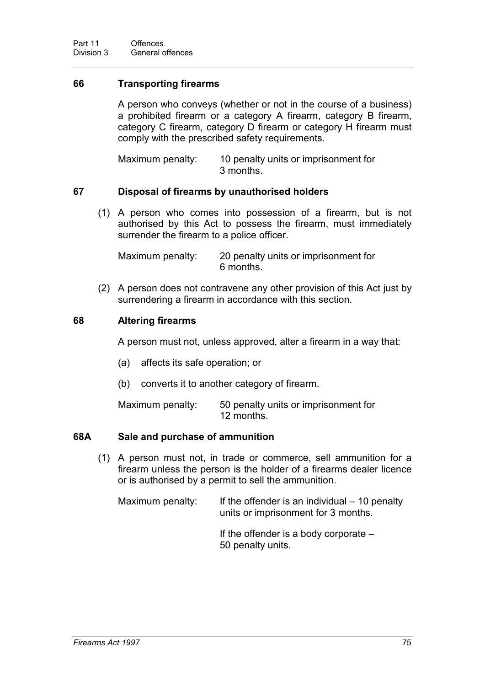# **66 Transporting firearms**

A person who conveys (whether or not in the course of a business) a prohibited firearm or a category A firearm, category B firearm, category C firearm, category D firearm or category H firearm must comply with the prescribed safety requirements.

Maximum penalty: 10 penalty units or imprisonment for 3 months.

## **67 Disposal of firearms by unauthorised holders**

(1) A person who comes into possession of a firearm, but is not authorised by this Act to possess the firearm, must immediately surrender the firearm to a police officer.

Maximum penalty: 20 penalty units or imprisonment for 6 months.

(2) A person does not contravene any other provision of this Act just by surrendering a firearm in accordance with this section.

### **68 Altering firearms**

A person must not, unless approved, alter a firearm in a way that:

- (a) affects its safe operation; or
- (b) converts it to another category of firearm.

Maximum penalty: 50 penalty units or imprisonment for 12 months.

#### **68A Sale and purchase of ammunition**

(1) A person must not, in trade or commerce, sell ammunition for a firearm unless the person is the holder of a firearms dealer licence or is authorised by a permit to sell the ammunition.

Maximum penalty: If the offender is an individual  $-10$  penalty units or imprisonment for 3 months. If the offender is a body corporate – 50 penalty units.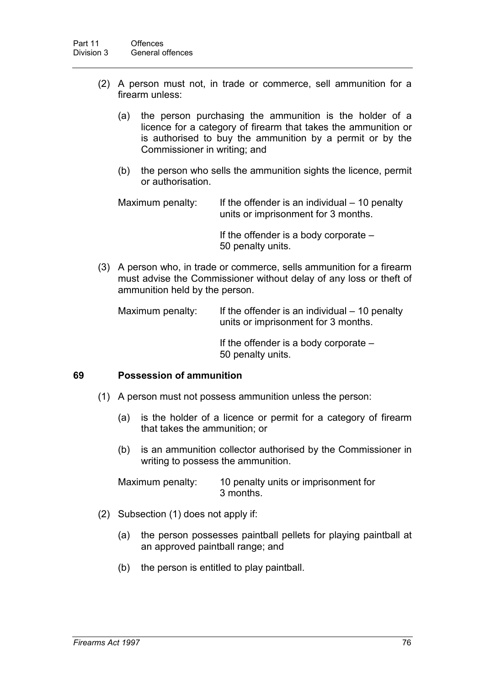- (2) A person must not, in trade or commerce, sell ammunition for a firearm unless:
	- (a) the person purchasing the ammunition is the holder of a licence for a category of firearm that takes the ammunition or is authorised to buy the ammunition by a permit or by the Commissioner in writing; and
	- (b) the person who sells the ammunition sights the licence, permit or authorisation.

Maximum penalty: If the offender is an individual  $-10$  penalty units or imprisonment for 3 months.

> If the offender is a body corporate – 50 penalty units.

(3) A person who, in trade or commerce, sells ammunition for a firearm must advise the Commissioner without delay of any loss or theft of ammunition held by the person.

Maximum penalty: If the offender is an individual  $-10$  penalty units or imprisonment for 3 months.

> If the offender is a body corporate – 50 penalty units.

## **69 Possession of ammunition**

- (1) A person must not possess ammunition unless the person:
	- (a) is the holder of a licence or permit for a category of firearm that takes the ammunition; or
	- (b) is an ammunition collector authorised by the Commissioner in writing to possess the ammunition.

Maximum penalty: 10 penalty units or imprisonment for 3 months.

- (2) Subsection (1) does not apply if:
	- (a) the person possesses paintball pellets for playing paintball at an approved paintball range; and
	- (b) the person is entitled to play paintball.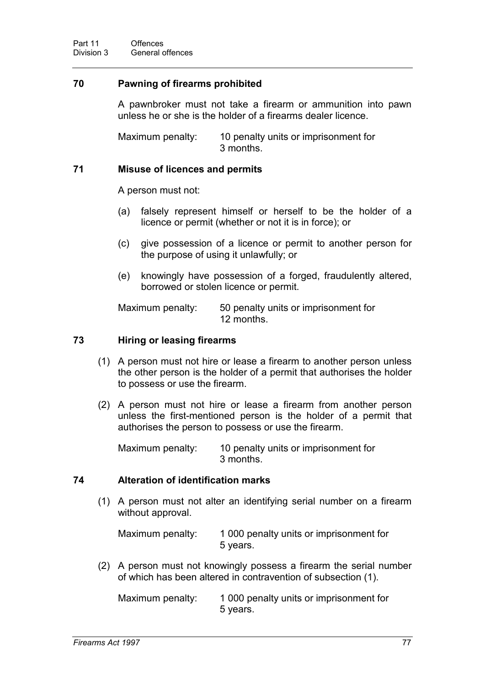# **70 Pawning of firearms prohibited**

A pawnbroker must not take a firearm or ammunition into pawn unless he or she is the holder of a firearms dealer licence.

Maximum penalty: 10 penalty units or imprisonment for 3 months.

## **71 Misuse of licences and permits**

A person must not:

- (a) falsely represent himself or herself to be the holder of a licence or permit (whether or not it is in force); or
- (c) give possession of a licence or permit to another person for the purpose of using it unlawfully; or
- (e) knowingly have possession of a forged, fraudulently altered, borrowed or stolen licence or permit.

Maximum penalty: 50 penalty units or imprisonment for 12 months.

### **73 Hiring or leasing firearms**

- (1) A person must not hire or lease a firearm to another person unless the other person is the holder of a permit that authorises the holder to possess or use the firearm.
- (2) A person must not hire or lease a firearm from another person unless the first-mentioned person is the holder of a permit that authorises the person to possess or use the firearm.

Maximum penalty: 10 penalty units or imprisonment for 3 months.

## **74 Alteration of identification marks**

(1) A person must not alter an identifying serial number on a firearm without approval.

Maximum penalty: 1 000 penalty units or imprisonment for 5 years.

(2) A person must not knowingly possess a firearm the serial number of which has been altered in contravention of subsection (1).

Maximum penalty: 1 000 penalty units or imprisonment for 5 years.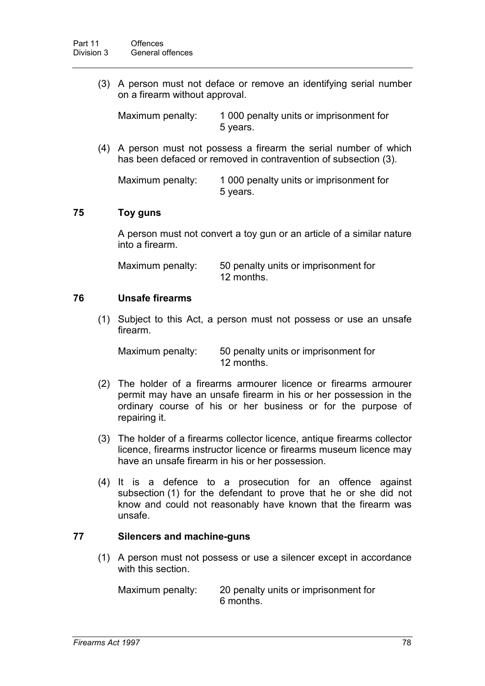(3) A person must not deface or remove an identifying serial number on a firearm without approval.

Maximum penalty: 1 000 penalty units or imprisonment for 5 years.

(4) A person must not possess a firearm the serial number of which has been defaced or removed in contravention of subsection (3).

Maximum penalty: 1 000 penalty units or imprisonment for 5 years.

# **75 Toy guns**

A person must not convert a toy gun or an article of a similar nature into a firearm.

Maximum penalty: 50 penalty units or imprisonment for 12 months.

## **76 Unsafe firearms**

(1) Subject to this Act, a person must not possess or use an unsafe firearm.

Maximum penalty: 50 penalty units or imprisonment for 12 months.

- (2) The holder of a firearms armourer licence or firearms armourer permit may have an unsafe firearm in his or her possession in the ordinary course of his or her business or for the purpose of repairing it.
- (3) The holder of a firearms collector licence, antique firearms collector licence, firearms instructor licence or firearms museum licence may have an unsafe firearm in his or her possession.
- (4) It is a defence to a prosecution for an offence against subsection (1) for the defendant to prove that he or she did not know and could not reasonably have known that the firearm was unsafe.

## **77 Silencers and machine-guns**

(1) A person must not possess or use a silencer except in accordance with this section.

Maximum penalty: 20 penalty units or imprisonment for 6 months.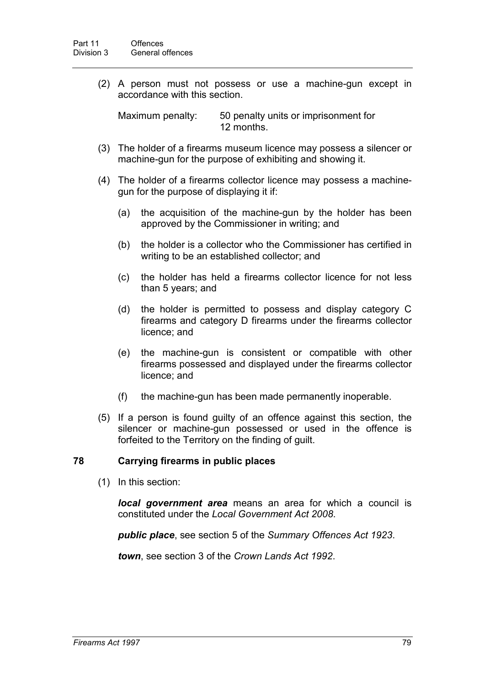(2) A person must not possess or use a machine-gun except in accordance with this section.

Maximum penalty: 50 penalty units or imprisonment for 12 months.

- (3) The holder of a firearms museum licence may possess a silencer or machine-gun for the purpose of exhibiting and showing it.
- (4) The holder of a firearms collector licence may possess a machinegun for the purpose of displaying it if:
	- (a) the acquisition of the machine-gun by the holder has been approved by the Commissioner in writing; and
	- (b) the holder is a collector who the Commissioner has certified in writing to be an established collector; and
	- (c) the holder has held a firearms collector licence for not less than 5 years; and
	- (d) the holder is permitted to possess and display category C firearms and category D firearms under the firearms collector licence; and
	- (e) the machine-gun is consistent or compatible with other firearms possessed and displayed under the firearms collector licence; and
	- (f) the machine-gun has been made permanently inoperable.
- (5) If a person is found guilty of an offence against this section, the silencer or machine-gun possessed or used in the offence is forfeited to the Territory on the finding of guilt.

## **78 Carrying firearms in public places**

(1) In this section:

*local government area* means an area for which a council is constituted under the *Local Government Act 2008*.

*public place*, see section 5 of the *Summary Offences Act 1923*.

*town*, see section 3 of the *Crown Lands Act 1992*.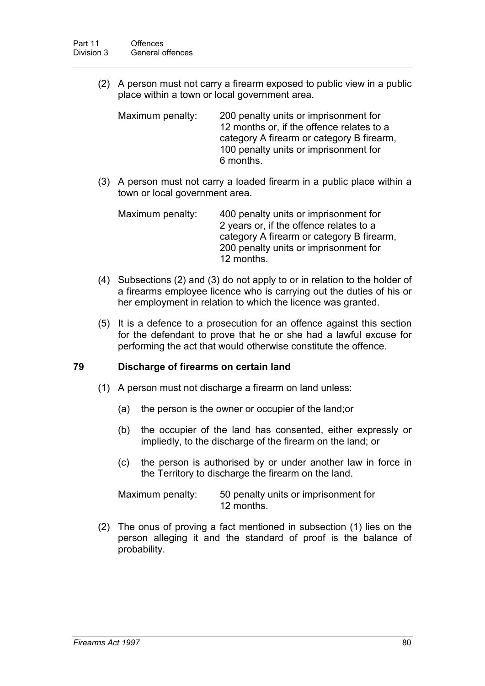(2) A person must not carry a firearm exposed to public view in a public place within a town or local government area.

| Maximum penalty: | 200 penalty units or imprisonment for     |
|------------------|-------------------------------------------|
|                  | 12 months or, if the offence relates to a |
|                  | category A firearm or category B firearm, |
|                  | 100 penalty units or imprisonment for     |
|                  | 6 months.                                 |

(3) A person must not carry a loaded firearm in a public place within a town or local government area.

| Maximum penalty: | 400 penalty units or imprisonment for     |
|------------------|-------------------------------------------|
|                  | 2 years or, if the offence relates to a   |
|                  | category A firearm or category B firearm, |
|                  | 200 penalty units or imprisonment for     |
|                  | 12 months.                                |

- (4) Subsections (2) and (3) do not apply to or in relation to the holder of a firearms employee licence who is carrying out the duties of his or her employment in relation to which the licence was granted.
- (5) It is a defence to a prosecution for an offence against this section for the defendant to prove that he or she had a lawful excuse for performing the act that would otherwise constitute the offence.

## **79 Discharge of firearms on certain land**

- (1) A person must not discharge a firearm on land unless:
	- (a) the person is the owner or occupier of the land;or
	- (b) the occupier of the land has consented, either expressly or impliedly, to the discharge of the firearm on the land; or
	- (c) the person is authorised by or under another law in force in the Territory to discharge the firearm on the land.

| Maximum penalty: | 50 penalty units or imprisonment for |
|------------------|--------------------------------------|
|                  | 12 months.                           |

(2) The onus of proving a fact mentioned in subsection (1) lies on the person alleging it and the standard of proof is the balance of probability.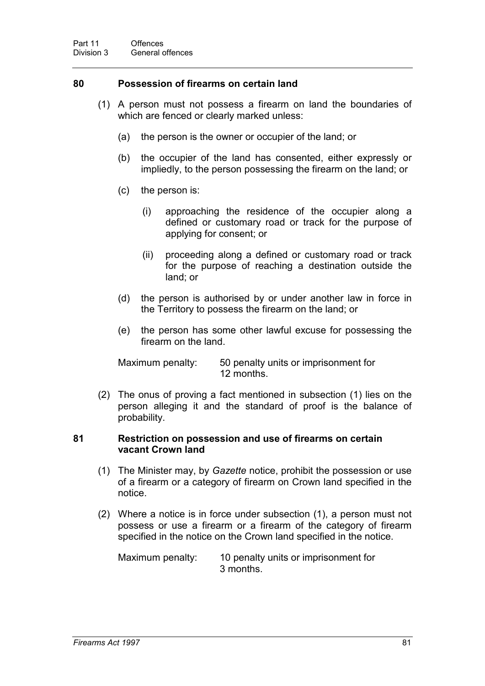## **80 Possession of firearms on certain land**

- (1) A person must not possess a firearm on land the boundaries of which are fenced or clearly marked unless:
	- (a) the person is the owner or occupier of the land; or
	- (b) the occupier of the land has consented, either expressly or impliedly, to the person possessing the firearm on the land; or
	- (c) the person is:
		- (i) approaching the residence of the occupier along a defined or customary road or track for the purpose of applying for consent; or
		- (ii) proceeding along a defined or customary road or track for the purpose of reaching a destination outside the land; or
	- (d) the person is authorised by or under another law in force in the Territory to possess the firearm on the land; or
	- (e) the person has some other lawful excuse for possessing the firearm on the land.

Maximum penalty: 50 penalty units or imprisonment for 12 months.

(2) The onus of proving a fact mentioned in subsection (1) lies on the person alleging it and the standard of proof is the balance of probability.

### **81 Restriction on possession and use of firearms on certain vacant Crown land**

- (1) The Minister may, by *Gazette* notice, prohibit the possession or use of a firearm or a category of firearm on Crown land specified in the notice.
- (2) Where a notice is in force under subsection (1), a person must not possess or use a firearm or a firearm of the category of firearm specified in the notice on the Crown land specified in the notice.

Maximum penalty: 10 penalty units or imprisonment for 3 months.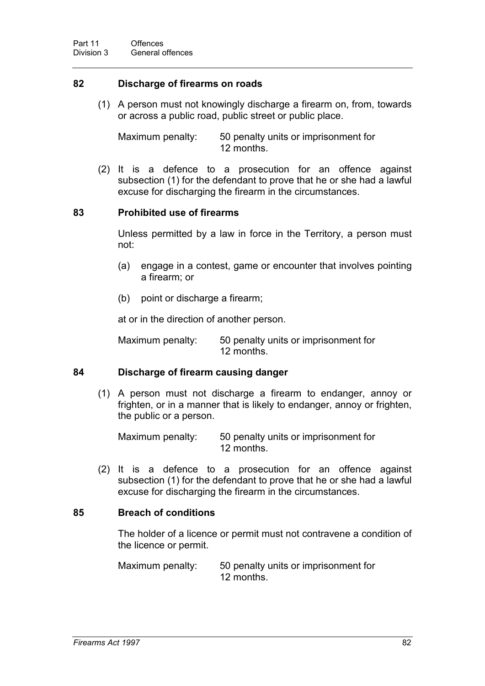### **82 Discharge of firearms on roads**

(1) A person must not knowingly discharge a firearm on, from, towards or across a public road, public street or public place.

Maximum penalty: 50 penalty units or imprisonment for 12 months.

(2) It is a defence to a prosecution for an offence against subsection (1) for the defendant to prove that he or she had a lawful excuse for discharging the firearm in the circumstances.

### **83 Prohibited use of firearms**

Unless permitted by a law in force in the Territory, a person must not:

- (a) engage in a contest, game or encounter that involves pointing a firearm; or
- (b) point or discharge a firearm;

at or in the direction of another person.

Maximum penalty: 50 penalty units or imprisonment for 12 months.

### **84 Discharge of firearm causing danger**

(1) A person must not discharge a firearm to endanger, annoy or frighten, or in a manner that is likely to endanger, annoy or frighten, the public or a person.

Maximum penalty: 50 penalty units or imprisonment for 12 months.

(2) It is a defence to a prosecution for an offence against subsection (1) for the defendant to prove that he or she had a lawful excuse for discharging the firearm in the circumstances.

## **85 Breach of conditions**

The holder of a licence or permit must not contravene a condition of the licence or permit.

Maximum penalty: 50 penalty units or imprisonment for 12 months.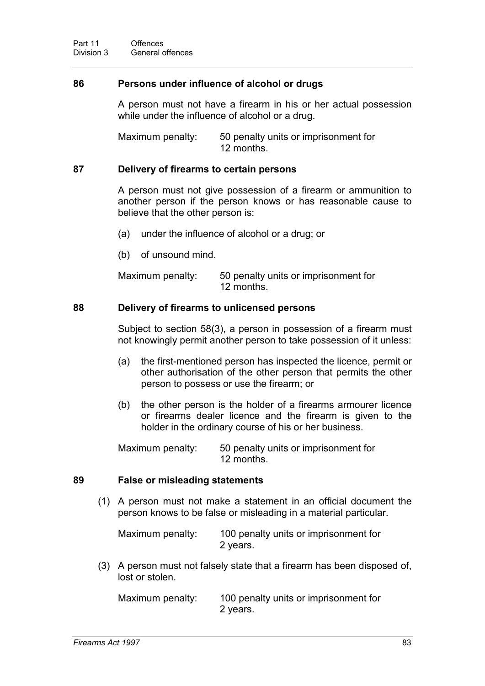### **86 Persons under influence of alcohol or drugs**

A person must not have a firearm in his or her actual possession while under the influence of alcohol or a drug.

Maximum penalty: 50 penalty units or imprisonment for 12 months.

#### **87 Delivery of firearms to certain persons**

A person must not give possession of a firearm or ammunition to another person if the person knows or has reasonable cause to believe that the other person is:

- (a) under the influence of alcohol or a drug; or
- (b) of unsound mind.

Maximum penalty: 50 penalty units or imprisonment for 12 months.

### **88 Delivery of firearms to unlicensed persons**

Subject to section 58(3), a person in possession of a firearm must not knowingly permit another person to take possession of it unless:

- (a) the first-mentioned person has inspected the licence, permit or other authorisation of the other person that permits the other person to possess or use the firearm; or
- (b) the other person is the holder of a firearms armourer licence or firearms dealer licence and the firearm is given to the holder in the ordinary course of his or her business.

Maximum penalty: 50 penalty units or imprisonment for 12 months.

### **89 False or misleading statements**

(1) A person must not make a statement in an official document the person knows to be false or misleading in a material particular.

| Maximum penalty: | 100 penalty units or imprisonment for |
|------------------|---------------------------------------|
|                  | 2 years.                              |

(3) A person must not falsely state that a firearm has been disposed of, lost or stolen.

Maximum penalty: 100 penalty units or imprisonment for 2 years.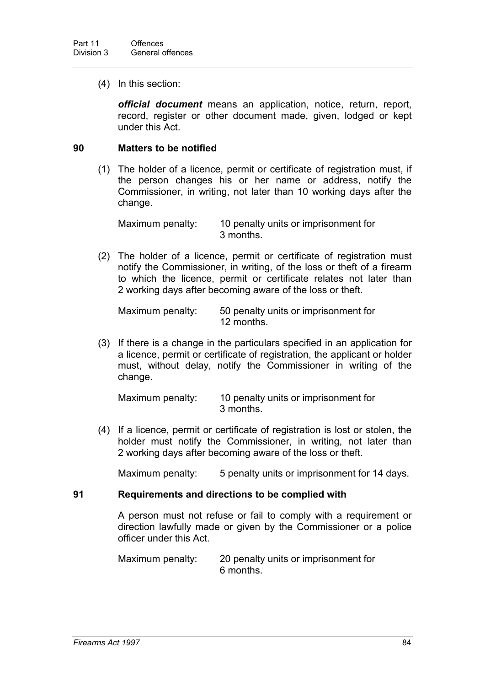(4) In this section:

*official document* means an application, notice, return, report, record, register or other document made, given, lodged or kept under this Act.

### **90 Matters to be notified**

(1) The holder of a licence, permit or certificate of registration must, if the person changes his or her name or address, notify the Commissioner, in writing, not later than 10 working days after the change.

Maximum penalty: 10 penalty units or imprisonment for 3 months.

(2) The holder of a licence, permit or certificate of registration must notify the Commissioner, in writing, of the loss or theft of a firearm to which the licence, permit or certificate relates not later than 2 working days after becoming aware of the loss or theft.

Maximum penalty: 50 penalty units or imprisonment for 12 months.

(3) If there is a change in the particulars specified in an application for a licence, permit or certificate of registration, the applicant or holder must, without delay, notify the Commissioner in writing of the change.

Maximum penalty: 10 penalty units or imprisonment for 3 months.

(4) If a licence, permit or certificate of registration is lost or stolen, the holder must notify the Commissioner, in writing, not later than 2 working days after becoming aware of the loss or theft.

Maximum penalty: 5 penalty units or imprisonment for 14 days.

#### **91 Requirements and directions to be complied with**

A person must not refuse or fail to comply with a requirement or direction lawfully made or given by the Commissioner or a police officer under this Act.

Maximum penalty: 20 penalty units or imprisonment for 6 months.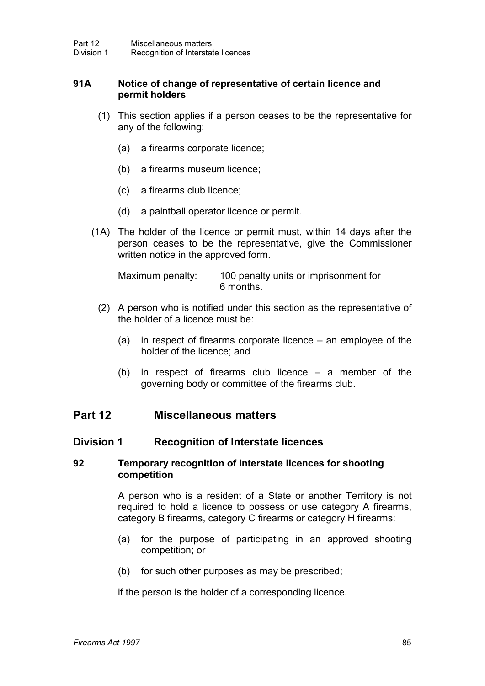## **91A Notice of change of representative of certain licence and permit holders**

- (1) This section applies if a person ceases to be the representative for any of the following:
	- (a) a firearms corporate licence;
	- (b) a firearms museum licence;
	- (c) a firearms club licence;
	- (d) a paintball operator licence or permit.
- (1A) The holder of the licence or permit must, within 14 days after the person ceases to be the representative, give the Commissioner written notice in the approved form.

Maximum penalty: 100 penalty units or imprisonment for 6 months.

- (2) A person who is notified under this section as the representative of the holder of a licence must be:
	- (a) in respect of firearms corporate licence an employee of the holder of the licence; and
	- (b) in respect of firearms club licence a member of the governing body or committee of the firearms club.

# **Part 12 Miscellaneous matters**

## **Division 1 Recognition of Interstate licences**

### **92 Temporary recognition of interstate licences for shooting competition**

A person who is a resident of a State or another Territory is not required to hold a licence to possess or use category A firearms, category B firearms, category C firearms or category H firearms:

- (a) for the purpose of participating in an approved shooting competition; or
- (b) for such other purposes as may be prescribed;

if the person is the holder of a corresponding licence.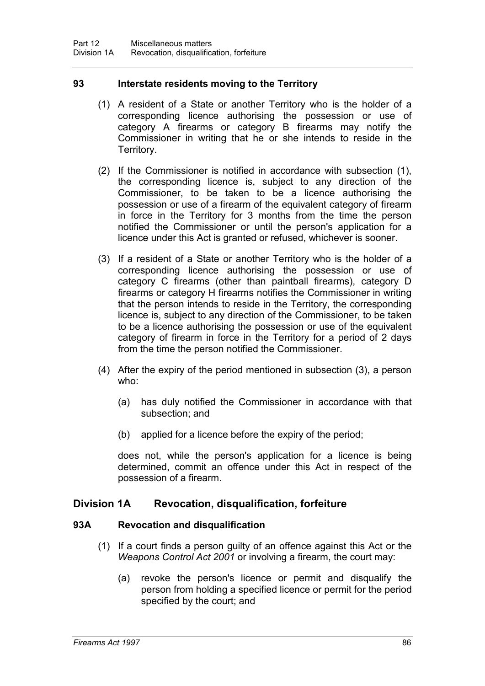# **93 Interstate residents moving to the Territory**

- (1) A resident of a State or another Territory who is the holder of a corresponding licence authorising the possession or use of category A firearms or category B firearms may notify the Commissioner in writing that he or she intends to reside in the Territory.
- (2) If the Commissioner is notified in accordance with subsection (1), the corresponding licence is, subject to any direction of the Commissioner, to be taken to be a licence authorising the possession or use of a firearm of the equivalent category of firearm in force in the Territory for 3 months from the time the person notified the Commissioner or until the person's application for a licence under this Act is granted or refused, whichever is sooner.
- (3) If a resident of a State or another Territory who is the holder of a corresponding licence authorising the possession or use of category C firearms (other than paintball firearms), category D firearms or category H firearms notifies the Commissioner in writing that the person intends to reside in the Territory, the corresponding licence is, subject to any direction of the Commissioner, to be taken to be a licence authorising the possession or use of the equivalent category of firearm in force in the Territory for a period of 2 days from the time the person notified the Commissioner.
- (4) After the expiry of the period mentioned in subsection (3), a person who:
	- (a) has duly notified the Commissioner in accordance with that subsection; and
	- (b) applied for a licence before the expiry of the period;

does not, while the person's application for a licence is being determined, commit an offence under this Act in respect of the possession of a firearm.

# **Division 1A Revocation, disqualification, forfeiture**

## **93A Revocation and disqualification**

- (1) If a court finds a person guilty of an offence against this Act or the *Weapons Control Act 2001* or involving a firearm, the court may:
	- (a) revoke the person's licence or permit and disqualify the person from holding a specified licence or permit for the period specified by the court; and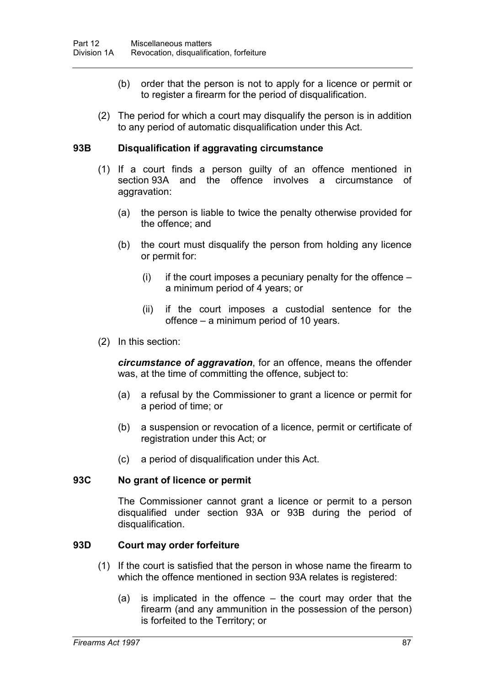- (b) order that the person is not to apply for a licence or permit or to register a firearm for the period of disqualification.
- (2) The period for which a court may disqualify the person is in addition to any period of automatic disqualification under this Act.

### **93B Disqualification if aggravating circumstance**

- (1) If a court finds a person guilty of an offence mentioned in section 93A and the offence involves a circumstance of aggravation:
	- (a) the person is liable to twice the penalty otherwise provided for the offence; and
	- (b) the court must disqualify the person from holding any licence or permit for:
		- $(i)$  if the court imposes a pecuniary penalty for the offence a minimum period of 4 years; or
		- (ii) if the court imposes a custodial sentence for the offence – a minimum period of 10 years.
- (2) In this section:

*circumstance of aggravation*, for an offence, means the offender was, at the time of committing the offence, subject to:

- (a) a refusal by the Commissioner to grant a licence or permit for a period of time; or
- (b) a suspension or revocation of a licence, permit or certificate of registration under this Act; or
- (c) a period of disqualification under this Act.

## **93C No grant of licence or permit**

The Commissioner cannot grant a licence or permit to a person disqualified under section 93A or 93B during the period of disqualification.

## **93D Court may order forfeiture**

- (1) If the court is satisfied that the person in whose name the firearm to which the offence mentioned in section 93A relates is registered:
	- (a) is implicated in the offence the court may order that the firearm (and any ammunition in the possession of the person) is forfeited to the Territory; or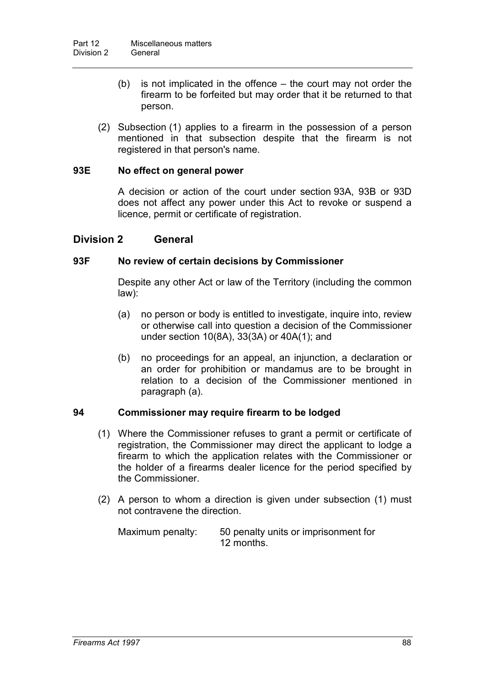- (b) is not implicated in the offence the court may not order the firearm to be forfeited but may order that it be returned to that person.
- (2) Subsection (1) applies to a firearm in the possession of a person mentioned in that subsection despite that the firearm is not registered in that person's name.

# **93E No effect on general power**

A decision or action of the court under section 93A, 93B or 93D does not affect any power under this Act to revoke or suspend a licence, permit or certificate of registration.

# **Division 2 General**

## **93F No review of certain decisions by Commissioner**

Despite any other Act or law of the Territory (including the common law):

- (a) no person or body is entitled to investigate, inquire into, review or otherwise call into question a decision of the Commissioner under section 10(8A), 33(3A) or 40A(1); and
- (b) no proceedings for an appeal, an injunction, a declaration or an order for prohibition or mandamus are to be brought in relation to a decision of the Commissioner mentioned in paragraph (a).

## **94 Commissioner may require firearm to be lodged**

- (1) Where the Commissioner refuses to grant a permit or certificate of registration, the Commissioner may direct the applicant to lodge a firearm to which the application relates with the Commissioner or the holder of a firearms dealer licence for the period specified by the Commissioner.
- (2) A person to whom a direction is given under subsection (1) must not contravene the direction.

| Maximum penalty: | 50 penalty units or imprisonment for |
|------------------|--------------------------------------|
|                  | 12 months.                           |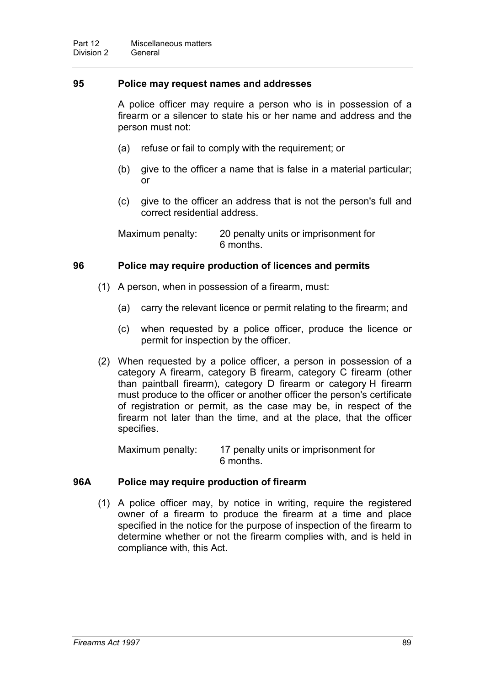## **95 Police may request names and addresses**

A police officer may require a person who is in possession of a firearm or a silencer to state his or her name and address and the person must not:

- (a) refuse or fail to comply with the requirement; or
- (b) give to the officer a name that is false in a material particular; or
- (c) give to the officer an address that is not the person's full and correct residential address.

Maximum penalty: 20 penalty units or imprisonment for 6 months.

# **96 Police may require production of licences and permits**

- (1) A person, when in possession of a firearm, must:
	- (a) carry the relevant licence or permit relating to the firearm; and
	- (c) when requested by a police officer, produce the licence or permit for inspection by the officer.
- (2) When requested by a police officer, a person in possession of a category A firearm, category B firearm, category C firearm (other than paintball firearm), category D firearm or category H firearm must produce to the officer or another officer the person's certificate of registration or permit, as the case may be, in respect of the firearm not later than the time, and at the place, that the officer specifies.

Maximum penalty: 17 penalty units or imprisonment for 6 months.

## **96A Police may require production of firearm**

(1) A police officer may, by notice in writing, require the registered owner of a firearm to produce the firearm at a time and place specified in the notice for the purpose of inspection of the firearm to determine whether or not the firearm complies with, and is held in compliance with, this Act.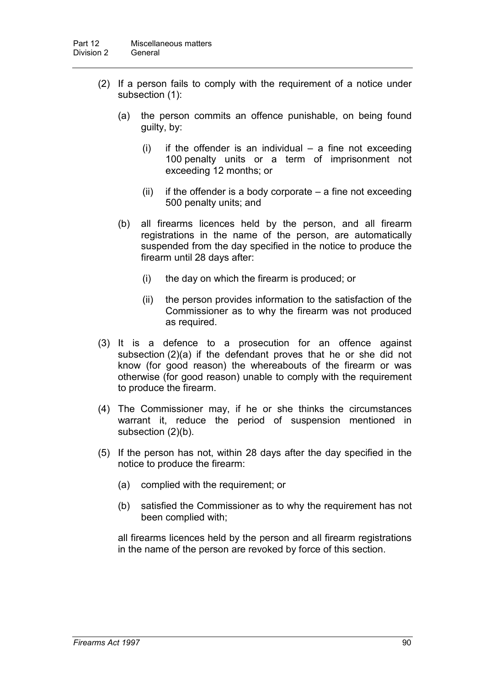- (2) If a person fails to comply with the requirement of a notice under subsection (1):
	- (a) the person commits an offence punishable, on being found guilty, by:
		- $(i)$  if the offender is an individual a fine not exceeding 100 penalty units or a term of imprisonment not exceeding 12 months; or
		- (ii) if the offender is a body corporate  $-$  a fine not exceeding 500 penalty units; and
	- (b) all firearms licences held by the person, and all firearm registrations in the name of the person, are automatically suspended from the day specified in the notice to produce the firearm until 28 days after:
		- (i) the day on which the firearm is produced; or
		- (ii) the person provides information to the satisfaction of the Commissioner as to why the firearm was not produced as required.
- (3) It is a defence to a prosecution for an offence against subsection (2)(a) if the defendant proves that he or she did not know (for good reason) the whereabouts of the firearm or was otherwise (for good reason) unable to comply with the requirement to produce the firearm.
- (4) The Commissioner may, if he or she thinks the circumstances warrant it, reduce the period of suspension mentioned in subsection (2)(b).
- (5) If the person has not, within 28 days after the day specified in the notice to produce the firearm:
	- (a) complied with the requirement; or
	- (b) satisfied the Commissioner as to why the requirement has not been complied with;

all firearms licences held by the person and all firearm registrations in the name of the person are revoked by force of this section.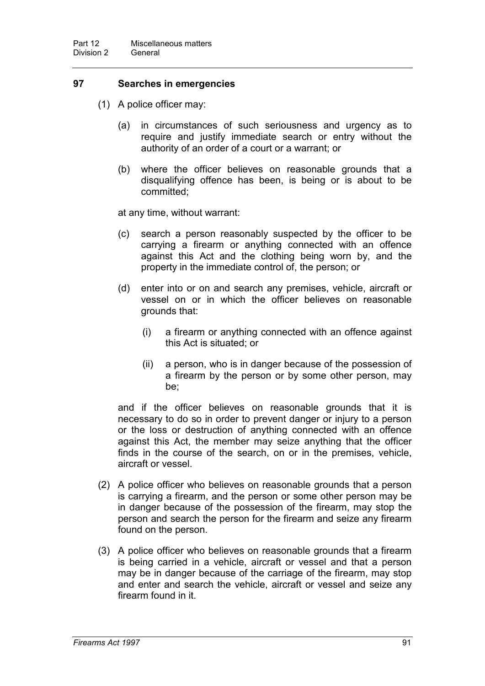## **97 Searches in emergencies**

- (1) A police officer may:
	- (a) in circumstances of such seriousness and urgency as to require and justify immediate search or entry without the authority of an order of a court or a warrant; or
	- (b) where the officer believes on reasonable grounds that a disqualifying offence has been, is being or is about to be committed;

at any time, without warrant:

- (c) search a person reasonably suspected by the officer to be carrying a firearm or anything connected with an offence against this Act and the clothing being worn by, and the property in the immediate control of, the person; or
- (d) enter into or on and search any premises, vehicle, aircraft or vessel on or in which the officer believes on reasonable grounds that:
	- (i) a firearm or anything connected with an offence against this Act is situated; or
	- (ii) a person, who is in danger because of the possession of a firearm by the person or by some other person, may be;

and if the officer believes on reasonable grounds that it is necessary to do so in order to prevent danger or injury to a person or the loss or destruction of anything connected with an offence against this Act, the member may seize anything that the officer finds in the course of the search, on or in the premises, vehicle, aircraft or vessel.

- (2) A police officer who believes on reasonable grounds that a person is carrying a firearm, and the person or some other person may be in danger because of the possession of the firearm, may stop the person and search the person for the firearm and seize any firearm found on the person.
- (3) A police officer who believes on reasonable grounds that a firearm is being carried in a vehicle, aircraft or vessel and that a person may be in danger because of the carriage of the firearm, may stop and enter and search the vehicle, aircraft or vessel and seize any firearm found in it.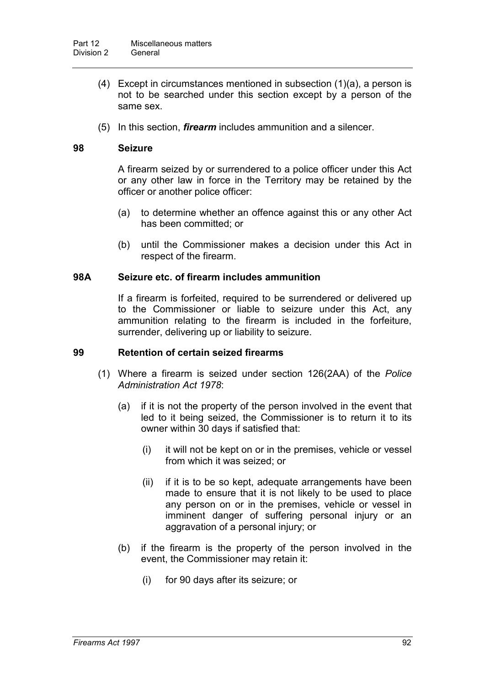- (4) Except in circumstances mentioned in subsection (1)(a), a person is not to be searched under this section except by a person of the same sex.
- (5) In this section, *firearm* includes ammunition and a silencer.

## **98 Seizure**

A firearm seized by or surrendered to a police officer under this Act or any other law in force in the Territory may be retained by the officer or another police officer:

- (a) to determine whether an offence against this or any other Act has been committed; or
- (b) until the Commissioner makes a decision under this Act in respect of the firearm.

## **98A Seizure etc. of firearm includes ammunition**

If a firearm is forfeited, required to be surrendered or delivered up to the Commissioner or liable to seizure under this Act, any ammunition relating to the firearm is included in the forfeiture, surrender, delivering up or liability to seizure.

## **99 Retention of certain seized firearms**

- (1) Where a firearm is seized under section 126(2AA) of the *Police Administration Act 1978*:
	- (a) if it is not the property of the person involved in the event that led to it being seized, the Commissioner is to return it to its owner within 30 days if satisfied that:
		- (i) it will not be kept on or in the premises, vehicle or vessel from which it was seized; or
		- (ii) if it is to be so kept, adequate arrangements have been made to ensure that it is not likely to be used to place any person on or in the premises, vehicle or vessel in imminent danger of suffering personal injury or an aggravation of a personal injury; or
	- (b) if the firearm is the property of the person involved in the event, the Commissioner may retain it:
		- (i) for 90 days after its seizure; or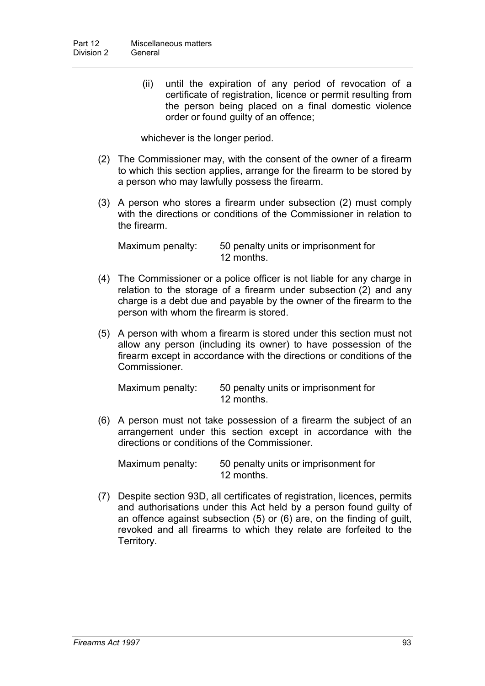(ii) until the expiration of any period of revocation of a certificate of registration, licence or permit resulting from the person being placed on a final domestic violence order or found guilty of an offence;

whichever is the longer period.

- (2) The Commissioner may, with the consent of the owner of a firearm to which this section applies, arrange for the firearm to be stored by a person who may lawfully possess the firearm.
- (3) A person who stores a firearm under subsection (2) must comply with the directions or conditions of the Commissioner in relation to the firearm.

Maximum penalty: 50 penalty units or imprisonment for 12 months.

- (4) The Commissioner or a police officer is not liable for any charge in relation to the storage of a firearm under subsection (2) and any charge is a debt due and payable by the owner of the firearm to the person with whom the firearm is stored.
- (5) A person with whom a firearm is stored under this section must not allow any person (including its owner) to have possession of the firearm except in accordance with the directions or conditions of the Commissioner.

Maximum penalty: 50 penalty units or imprisonment for 12 months.

(6) A person must not take possession of a firearm the subject of an arrangement under this section except in accordance with the directions or conditions of the Commissioner.

Maximum penalty: 50 penalty units or imprisonment for 12 months.

(7) Despite section 93D, all certificates of registration, licences, permits and authorisations under this Act held by a person found guilty of an offence against subsection (5) or (6) are, on the finding of guilt, revoked and all firearms to which they relate are forfeited to the Territory.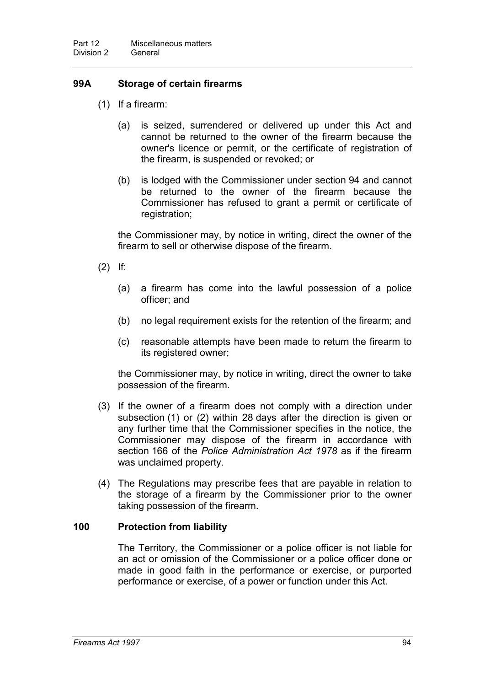# **99A Storage of certain firearms**

- (1) If a firearm:
	- (a) is seized, surrendered or delivered up under this Act and cannot be returned to the owner of the firearm because the owner's licence or permit, or the certificate of registration of the firearm, is suspended or revoked; or
	- (b) is lodged with the Commissioner under section 94 and cannot be returned to the owner of the firearm because the Commissioner has refused to grant a permit or certificate of registration;

the Commissioner may, by notice in writing, direct the owner of the firearm to sell or otherwise dispose of the firearm.

- (2) If:
	- (a) a firearm has come into the lawful possession of a police officer; and
	- (b) no legal requirement exists for the retention of the firearm; and
	- (c) reasonable attempts have been made to return the firearm to its registered owner;

the Commissioner may, by notice in writing, direct the owner to take possession of the firearm.

- (3) If the owner of a firearm does not comply with a direction under subsection (1) or (2) within 28 days after the direction is given or any further time that the Commissioner specifies in the notice, the Commissioner may dispose of the firearm in accordance with section 166 of the *Police Administration Act 1978* as if the firearm was unclaimed property.
- (4) The Regulations may prescribe fees that are payable in relation to the storage of a firearm by the Commissioner prior to the owner taking possession of the firearm.

## **100 Protection from liability**

The Territory, the Commissioner or a police officer is not liable for an act or omission of the Commissioner or a police officer done or made in good faith in the performance or exercise, or purported performance or exercise, of a power or function under this Act.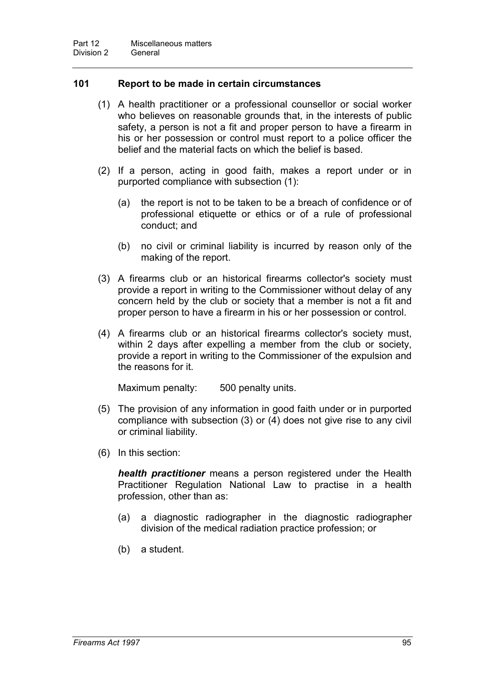## **101 Report to be made in certain circumstances**

- (1) A health practitioner or a professional counsellor or social worker who believes on reasonable grounds that, in the interests of public safety, a person is not a fit and proper person to have a firearm in his or her possession or control must report to a police officer the belief and the material facts on which the belief is based.
- (2) If a person, acting in good faith, makes a report under or in purported compliance with subsection (1):
	- (a) the report is not to be taken to be a breach of confidence or of professional etiquette or ethics or of a rule of professional conduct; and
	- (b) no civil or criminal liability is incurred by reason only of the making of the report.
- (3) A firearms club or an historical firearms collector's society must provide a report in writing to the Commissioner without delay of any concern held by the club or society that a member is not a fit and proper person to have a firearm in his or her possession or control.
- (4) A firearms club or an historical firearms collector's society must, within 2 days after expelling a member from the club or society, provide a report in writing to the Commissioner of the expulsion and the reasons for it.

Maximum penalty: 500 penalty units.

- (5) The provision of any information in good faith under or in purported compliance with subsection (3) or (4) does not give rise to any civil or criminal liability.
- (6) In this section:

*health practitioner* means a person registered under the Health Practitioner Regulation National Law to practise in a health profession, other than as:

- (a) a diagnostic radiographer in the diagnostic radiographer division of the medical radiation practice profession; or
- (b) a student.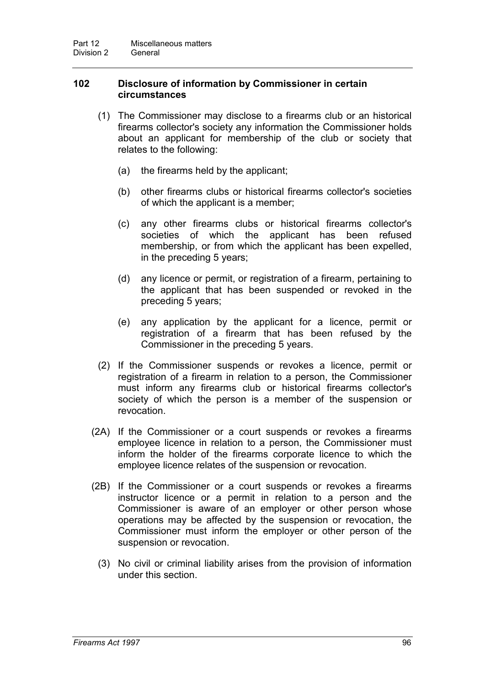# **102 Disclosure of information by Commissioner in certain circumstances**

- (1) The Commissioner may disclose to a firearms club or an historical firearms collector's society any information the Commissioner holds about an applicant for membership of the club or society that relates to the following:
	- (a) the firearms held by the applicant;
	- (b) other firearms clubs or historical firearms collector's societies of which the applicant is a member;
	- (c) any other firearms clubs or historical firearms collector's societies of which the applicant has been refused membership, or from which the applicant has been expelled, in the preceding 5 years;
	- (d) any licence or permit, or registration of a firearm, pertaining to the applicant that has been suspended or revoked in the preceding 5 years;
	- (e) any application by the applicant for a licence, permit or registration of a firearm that has been refused by the Commissioner in the preceding 5 years.
- (2) If the Commissioner suspends or revokes a licence, permit or registration of a firearm in relation to a person, the Commissioner must inform any firearms club or historical firearms collector's society of which the person is a member of the suspension or revocation.
- (2A) If the Commissioner or a court suspends or revokes a firearms employee licence in relation to a person, the Commissioner must inform the holder of the firearms corporate licence to which the employee licence relates of the suspension or revocation.
- (2B) If the Commissioner or a court suspends or revokes a firearms instructor licence or a permit in relation to a person and the Commissioner is aware of an employer or other person whose operations may be affected by the suspension or revocation, the Commissioner must inform the employer or other person of the suspension or revocation.
	- (3) No civil or criminal liability arises from the provision of information under this section.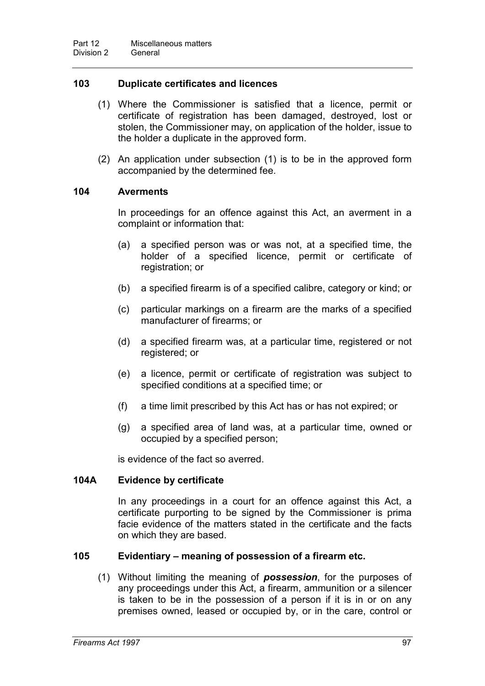# **103 Duplicate certificates and licences**

- (1) Where the Commissioner is satisfied that a licence, permit or certificate of registration has been damaged, destroyed, lost or stolen, the Commissioner may, on application of the holder, issue to the holder a duplicate in the approved form.
- (2) An application under subsection (1) is to be in the approved form accompanied by the determined fee.

## **104 Averments**

In proceedings for an offence against this Act, an averment in a complaint or information that:

- (a) a specified person was or was not, at a specified time, the holder of a specified licence, permit or certificate of registration; or
- (b) a specified firearm is of a specified calibre, category or kind; or
- (c) particular markings on a firearm are the marks of a specified manufacturer of firearms; or
- (d) a specified firearm was, at a particular time, registered or not registered; or
- (e) a licence, permit or certificate of registration was subject to specified conditions at a specified time; or
- (f) a time limit prescribed by this Act has or has not expired; or
- (g) a specified area of land was, at a particular time, owned or occupied by a specified person;

is evidence of the fact so averred.

## **104A Evidence by certificate**

In any proceedings in a court for an offence against this Act, a certificate purporting to be signed by the Commissioner is prima facie evidence of the matters stated in the certificate and the facts on which they are based.

## **105 Evidentiary – meaning of possession of a firearm etc.**

(1) Without limiting the meaning of *possession*, for the purposes of any proceedings under this Act, a firearm, ammunition or a silencer is taken to be in the possession of a person if it is in or on any premises owned, leased or occupied by, or in the care, control or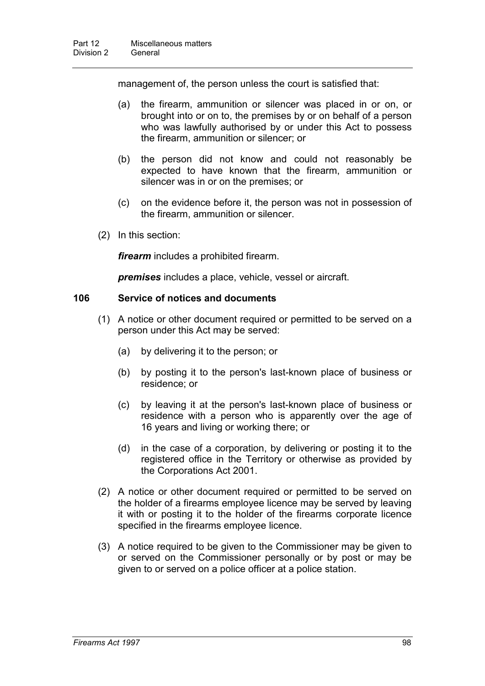management of, the person unless the court is satisfied that:

- (a) the firearm, ammunition or silencer was placed in or on, or brought into or on to, the premises by or on behalf of a person who was lawfully authorised by or under this Act to possess the firearm, ammunition or silencer; or
- (b) the person did not know and could not reasonably be expected to have known that the firearm, ammunition or silencer was in or on the premises; or
- (c) on the evidence before it, the person was not in possession of the firearm, ammunition or silencer.
- (2) In this section:

*firearm* includes a prohibited firearm.

*premises* includes a place, vehicle, vessel or aircraft.

## **106 Service of notices and documents**

- (1) A notice or other document required or permitted to be served on a person under this Act may be served:
	- (a) by delivering it to the person; or
	- (b) by posting it to the person's last-known place of business or residence; or
	- (c) by leaving it at the person's last-known place of business or residence with a person who is apparently over the age of 16 years and living or working there; or
	- (d) in the case of a corporation, by delivering or posting it to the registered office in the Territory or otherwise as provided by the Corporations Act 2001.
- (2) A notice or other document required or permitted to be served on the holder of a firearms employee licence may be served by leaving it with or posting it to the holder of the firearms corporate licence specified in the firearms employee licence.
- (3) A notice required to be given to the Commissioner may be given to or served on the Commissioner personally or by post or may be given to or served on a police officer at a police station.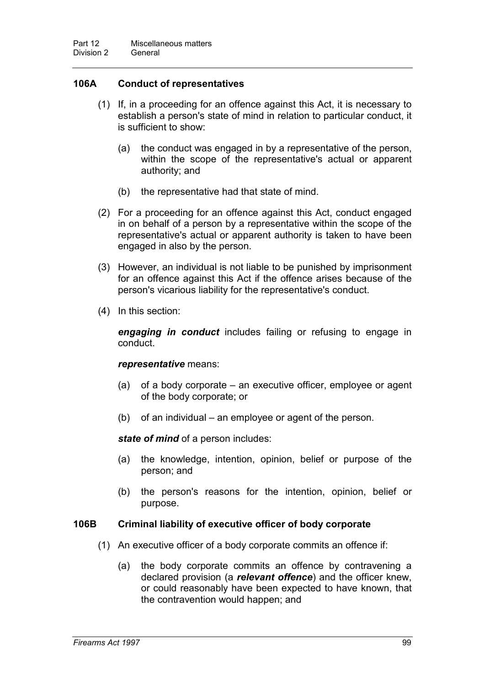# **106A Conduct of representatives**

- (1) If, in a proceeding for an offence against this Act, it is necessary to establish a person's state of mind in relation to particular conduct, it is sufficient to show:
	- (a) the conduct was engaged in by a representative of the person, within the scope of the representative's actual or apparent authority; and
	- (b) the representative had that state of mind.
- (2) For a proceeding for an offence against this Act, conduct engaged in on behalf of a person by a representative within the scope of the representative's actual or apparent authority is taken to have been engaged in also by the person.
- (3) However, an individual is not liable to be punished by imprisonment for an offence against this Act if the offence arises because of the person's vicarious liability for the representative's conduct.
- (4) In this section:

*engaging in conduct* includes failing or refusing to engage in conduct.

#### *representative* means:

- (a) of a body corporate an executive officer, employee or agent of the body corporate; or
- (b) of an individual an employee or agent of the person.

*state of mind* of a person includes:

- (a) the knowledge, intention, opinion, belief or purpose of the person; and
- (b) the person's reasons for the intention, opinion, belief or purpose.

#### **106B Criminal liability of executive officer of body corporate**

- (1) An executive officer of a body corporate commits an offence if:
	- (a) the body corporate commits an offence by contravening a declared provision (a *relevant offence*) and the officer knew, or could reasonably have been expected to have known, that the contravention would happen; and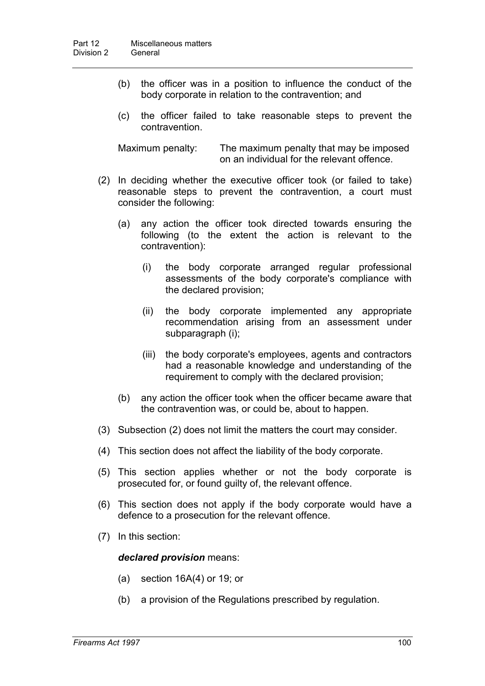- (b) the officer was in a position to influence the conduct of the body corporate in relation to the contravention; and
- (c) the officer failed to take reasonable steps to prevent the contravention.

Maximum penalty: The maximum penalty that may be imposed on an individual for the relevant offence.

- (2) In deciding whether the executive officer took (or failed to take) reasonable steps to prevent the contravention, a court must consider the following:
	- (a) any action the officer took directed towards ensuring the following (to the extent the action is relevant to the contravention):
		- (i) the body corporate arranged regular professional assessments of the body corporate's compliance with the declared provision;
		- (ii) the body corporate implemented any appropriate recommendation arising from an assessment under subparagraph (i);
		- (iii) the body corporate's employees, agents and contractors had a reasonable knowledge and understanding of the requirement to comply with the declared provision;
	- (b) any action the officer took when the officer became aware that the contravention was, or could be, about to happen.
- (3) Subsection (2) does not limit the matters the court may consider.
- (4) This section does not affect the liability of the body corporate.
- (5) This section applies whether or not the body corporate is prosecuted for, or found guilty of, the relevant offence.
- (6) This section does not apply if the body corporate would have a defence to a prosecution for the relevant offence.
- (7) In this section:

*declared provision* means:

- (a) section 16A(4) or 19; or
- (b) a provision of the Regulations prescribed by regulation.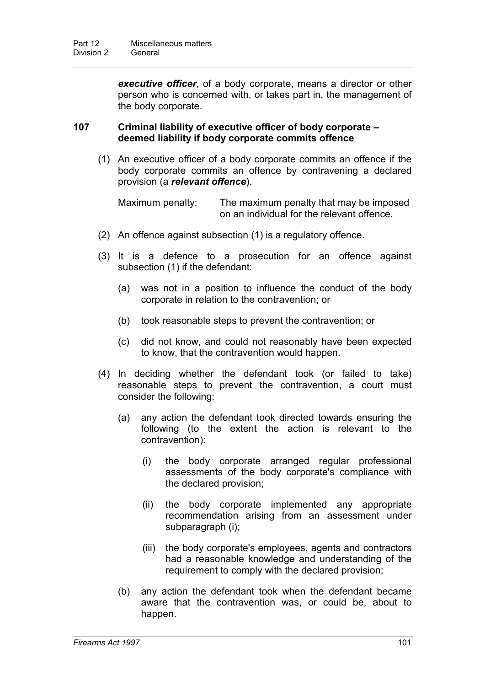*executive officer*, of a body corporate, means a director or other person who is concerned with, or takes part in, the management of the body corporate.

## **107 Criminal liability of executive officer of body corporate – deemed liability if body corporate commits offence**

(1) An executive officer of a body corporate commits an offence if the body corporate commits an offence by contravening a declared provision (a *relevant offence*).

Maximum penalty: The maximum penalty that may be imposed on an individual for the relevant offence.

- (2) An offence against subsection (1) is a regulatory offence.
- (3) It is a defence to a prosecution for an offence against subsection (1) if the defendant:
	- (a) was not in a position to influence the conduct of the body corporate in relation to the contravention; or
	- (b) took reasonable steps to prevent the contravention; or
	- (c) did not know, and could not reasonably have been expected to know, that the contravention would happen.
- (4) In deciding whether the defendant took (or failed to take) reasonable steps to prevent the contravention, a court must consider the following:
	- (a) any action the defendant took directed towards ensuring the following (to the extent the action is relevant to the contravention):
		- (i) the body corporate arranged regular professional assessments of the body corporate's compliance with the declared provision;
		- (ii) the body corporate implemented any appropriate recommendation arising from an assessment under subparagraph (i);
		- (iii) the body corporate's employees, agents and contractors had a reasonable knowledge and understanding of the requirement to comply with the declared provision;
	- (b) any action the defendant took when the defendant became aware that the contravention was, or could be, about to happen.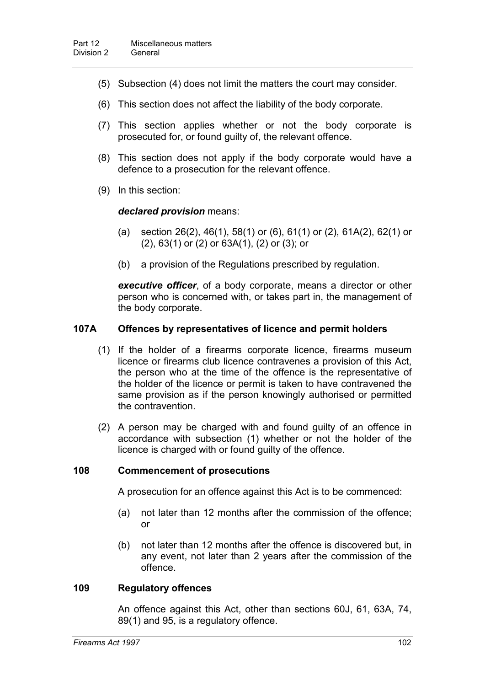- (5) Subsection (4) does not limit the matters the court may consider.
- (6) This section does not affect the liability of the body corporate.
- (7) This section applies whether or not the body corporate is prosecuted for, or found guilty of, the relevant offence.
- (8) This section does not apply if the body corporate would have a defence to a prosecution for the relevant offence.
- (9) In this section:

#### *declared provision* means:

- (a) section  $26(2)$ ,  $46(1)$ ,  $58(1)$  or  $(6)$ ,  $61(1)$  or  $(2)$ ,  $61A(2)$ ,  $62(1)$  or (2), 63(1) or (2) or 63A(1), (2) or (3); or
- (b) a provision of the Regulations prescribed by regulation.

*executive officer*, of a body corporate, means a director or other person who is concerned with, or takes part in, the management of the body corporate.

#### **107A Offences by representatives of licence and permit holders**

- (1) If the holder of a firearms corporate licence, firearms museum licence or firearms club licence contravenes a provision of this Act, the person who at the time of the offence is the representative of the holder of the licence or permit is taken to have contravened the same provision as if the person knowingly authorised or permitted the contravention.
- (2) A person may be charged with and found guilty of an offence in accordance with subsection (1) whether or not the holder of the licence is charged with or found guilty of the offence.

#### **108 Commencement of prosecutions**

A prosecution for an offence against this Act is to be commenced:

- (a) not later than 12 months after the commission of the offence; or
- (b) not later than 12 months after the offence is discovered but, in any event, not later than 2 years after the commission of the offence.

#### **109 Regulatory offences**

An offence against this Act, other than sections 60J, 61, 63A, 74, 89(1) and 95, is a regulatory offence.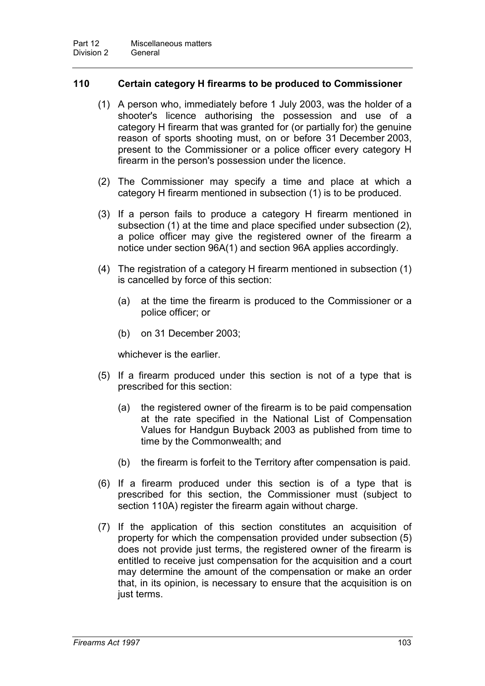## **110 Certain category H firearms to be produced to Commissioner**

- (1) A person who, immediately before 1 July 2003, was the holder of a shooter's licence authorising the possession and use of a category H firearm that was granted for (or partially for) the genuine reason of sports shooting must, on or before 31 December 2003, present to the Commissioner or a police officer every category H firearm in the person's possession under the licence.
- (2) The Commissioner may specify a time and place at which a category H firearm mentioned in subsection (1) is to be produced.
- (3) If a person fails to produce a category H firearm mentioned in subsection (1) at the time and place specified under subsection (2), a police officer may give the registered owner of the firearm a notice under section 96A(1) and section 96A applies accordingly.
- (4) The registration of a category H firearm mentioned in subsection (1) is cancelled by force of this section:
	- (a) at the time the firearm is produced to the Commissioner or a police officer; or
	- (b) on 31 December 2003;

whichever is the earlier.

- (5) If a firearm produced under this section is not of a type that is prescribed for this section:
	- (a) the registered owner of the firearm is to be paid compensation at the rate specified in the National List of Compensation Values for Handgun Buyback 2003 as published from time to time by the Commonwealth; and
	- (b) the firearm is forfeit to the Territory after compensation is paid.
- (6) If a firearm produced under this section is of a type that is prescribed for this section, the Commissioner must (subject to section 110A) register the firearm again without charge.
- (7) If the application of this section constitutes an acquisition of property for which the compensation provided under subsection (5) does not provide just terms, the registered owner of the firearm is entitled to receive just compensation for the acquisition and a court may determine the amount of the compensation or make an order that, in its opinion, is necessary to ensure that the acquisition is on just terms.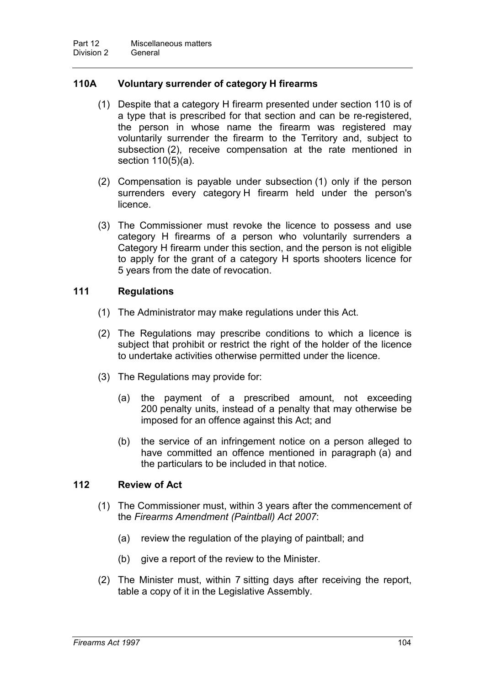## **110A Voluntary surrender of category H firearms**

- (1) Despite that a category H firearm presented under section 110 is of a type that is prescribed for that section and can be re-registered, the person in whose name the firearm was registered may voluntarily surrender the firearm to the Territory and, subject to subsection (2), receive compensation at the rate mentioned in section 110(5)(a).
- (2) Compensation is payable under subsection (1) only if the person surrenders every category H firearm held under the person's licence.
- (3) The Commissioner must revoke the licence to possess and use category H firearms of a person who voluntarily surrenders a Category H firearm under this section, and the person is not eligible to apply for the grant of a category H sports shooters licence for 5 years from the date of revocation.

## **111 Regulations**

- (1) The Administrator may make regulations under this Act.
- (2) The Regulations may prescribe conditions to which a licence is subject that prohibit or restrict the right of the holder of the licence to undertake activities otherwise permitted under the licence.
- (3) The Regulations may provide for:
	- (a) the payment of a prescribed amount, not exceeding 200 penalty units, instead of a penalty that may otherwise be imposed for an offence against this Act; and
	- (b) the service of an infringement notice on a person alleged to have committed an offence mentioned in paragraph (a) and the particulars to be included in that notice.

## **112 Review of Act**

- (1) The Commissioner must, within 3 years after the commencement of the *Firearms Amendment (Paintball) Act 2007*:
	- (a) review the regulation of the playing of paintball; and
	- (b) give a report of the review to the Minister.
- (2) The Minister must, within 7 sitting days after receiving the report, table a copy of it in the Legislative Assembly.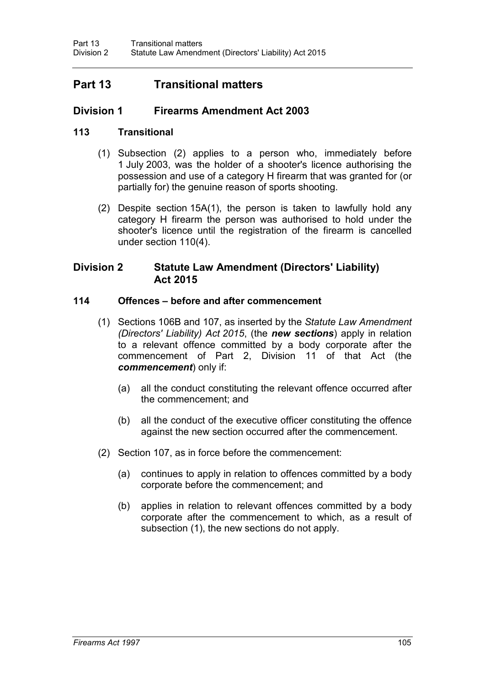## **Part 13 Transitional matters**

## **Division 1 Firearms Amendment Act 2003**

## **113 Transitional**

- (1) Subsection (2) applies to a person who, immediately before 1 July 2003, was the holder of a shooter's licence authorising the possession and use of a category H firearm that was granted for (or partially for) the genuine reason of sports shooting.
- (2) Despite section 15A(1), the person is taken to lawfully hold any category H firearm the person was authorised to hold under the shooter's licence until the registration of the firearm is cancelled under section 110(4).

## **Division 2 Statute Law Amendment (Directors' Liability) Act 2015**

## **114 Offences – before and after commencement**

- (1) Sections 106B and 107, as inserted by the *Statute Law Amendment (Directors' Liability) Act 2015*, (the *new sections*) apply in relation to a relevant offence committed by a body corporate after the commencement of Part 2, Division 11 of that Act (the *commencement*) only if:
	- (a) all the conduct constituting the relevant offence occurred after the commencement; and
	- (b) all the conduct of the executive officer constituting the offence against the new section occurred after the commencement.
- (2) Section 107, as in force before the commencement:
	- (a) continues to apply in relation to offences committed by a body corporate before the commencement; and
	- (b) applies in relation to relevant offences committed by a body corporate after the commencement to which, as a result of subsection (1), the new sections do not apply.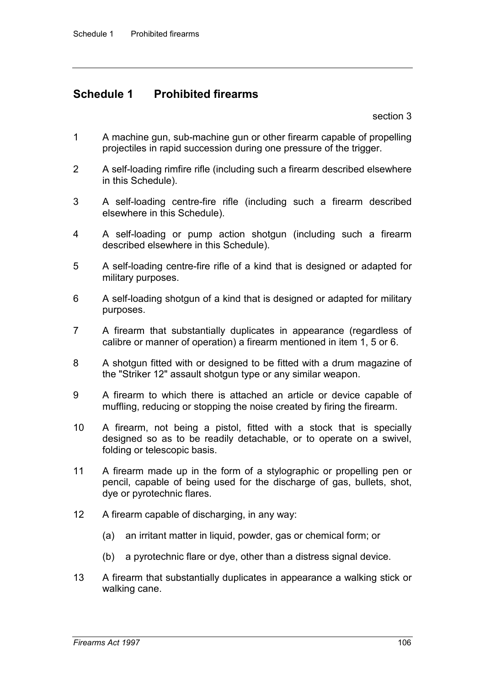## **Schedule 1 Prohibited firearms**

section 3

- 1 A machine gun, sub-machine gun or other firearm capable of propelling projectiles in rapid succession during one pressure of the trigger.
- 2 A self-loading rimfire rifle (including such a firearm described elsewhere in this Schedule).
- 3 A self-loading centre-fire rifle (including such a firearm described elsewhere in this Schedule).
- 4 A self-loading or pump action shotgun (including such a firearm described elsewhere in this Schedule).
- 5 A self-loading centre-fire rifle of a kind that is designed or adapted for military purposes.
- 6 A self-loading shotgun of a kind that is designed or adapted for military purposes.
- 7 A firearm that substantially duplicates in appearance (regardless of calibre or manner of operation) a firearm mentioned in item 1, 5 or 6.
- 8 A shotgun fitted with or designed to be fitted with a drum magazine of the "Striker 12" assault shotgun type or any similar weapon.
- 9 A firearm to which there is attached an article or device capable of muffling, reducing or stopping the noise created by firing the firearm.
- 10 A firearm, not being a pistol, fitted with a stock that is specially designed so as to be readily detachable, or to operate on a swivel, folding or telescopic basis.
- 11 A firearm made up in the form of a stylographic or propelling pen or pencil, capable of being used for the discharge of gas, bullets, shot, dye or pyrotechnic flares.
- 12 A firearm capable of discharging, in any way:
	- (a) an irritant matter in liquid, powder, gas or chemical form; or
	- (b) a pyrotechnic flare or dye, other than a distress signal device.
- 13 A firearm that substantially duplicates in appearance a walking stick or walking cane.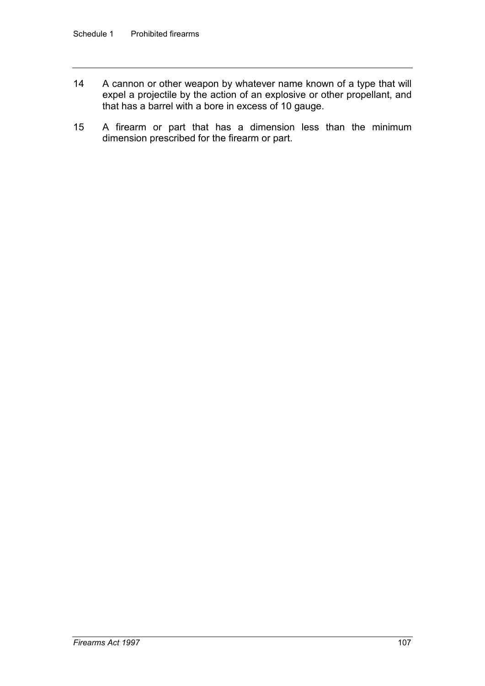- 14 A cannon or other weapon by whatever name known of a type that will expel a projectile by the action of an explosive or other propellant, and that has a barrel with a bore in excess of 10 gauge.
- 15 A firearm or part that has a dimension less than the minimum dimension prescribed for the firearm or part.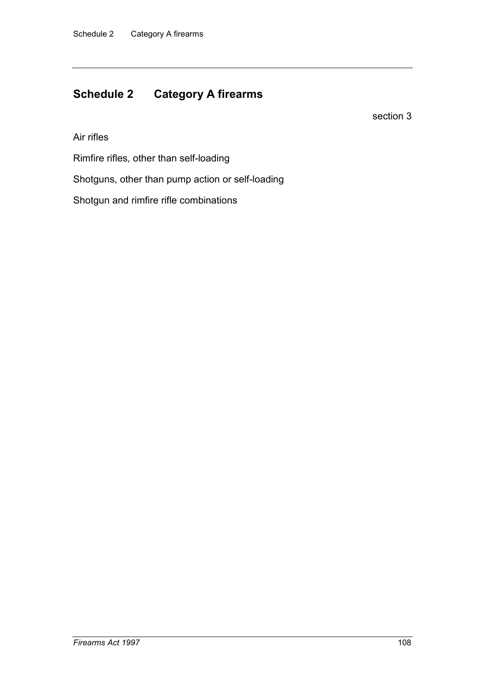## **Schedule 2 Category A firearms**

section 3

Air rifles

Rimfire rifles, other than self-loading

Shotguns, other than pump action or self-loading

Shotgun and rimfire rifle combinations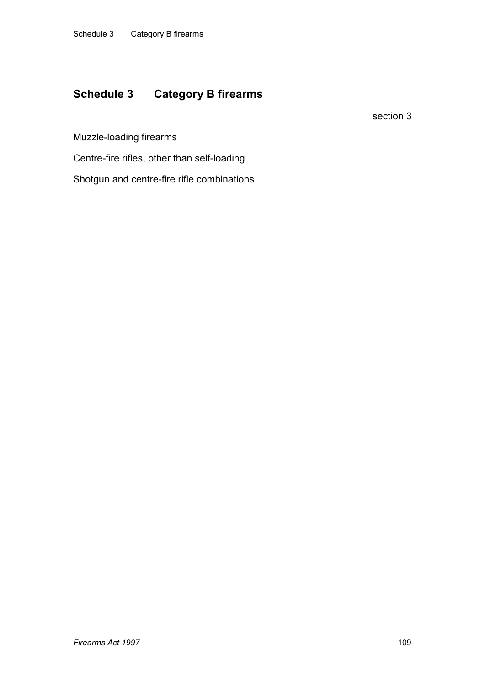## **Schedule 3 Category B firearms**

section 3

Muzzle-loading firearms

Centre-fire rifles, other than self-loading

Shotgun and centre-fire rifle combinations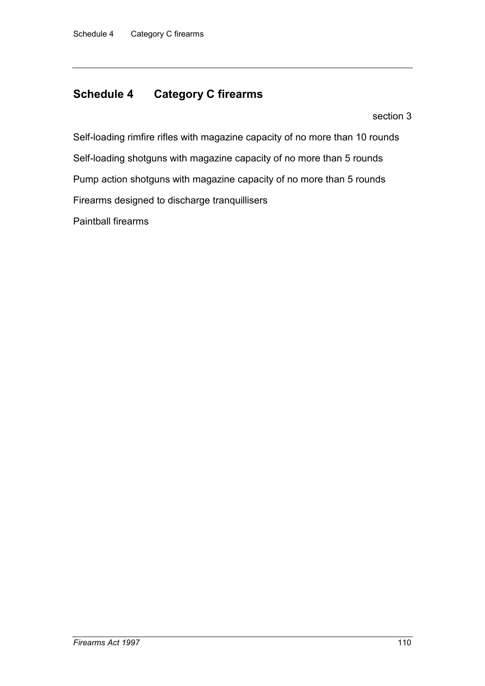## **Schedule 4 Category C firearms**

section 3

Self-loading rimfire rifles with magazine capacity of no more than 10 rounds Self-loading shotguns with magazine capacity of no more than 5 rounds Pump action shotguns with magazine capacity of no more than 5 rounds Firearms designed to discharge tranquillisers Paintball firearms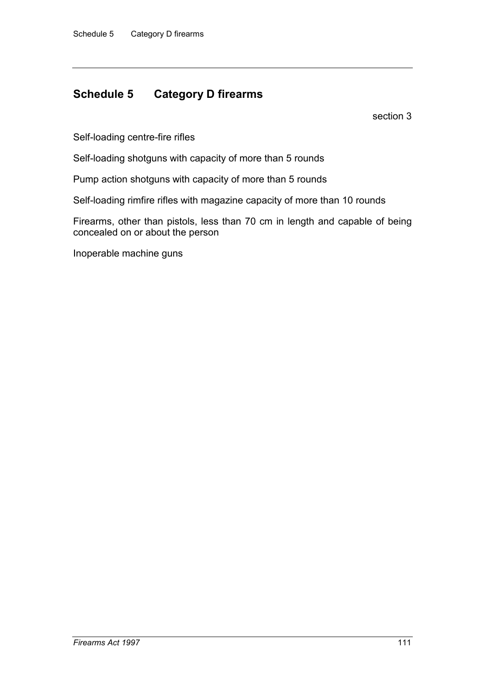## **Schedule 5 Category D firearms**

section 3

Self-loading centre-fire rifles

Self-loading shotguns with capacity of more than 5 rounds

Pump action shotguns with capacity of more than 5 rounds

Self-loading rimfire rifles with magazine capacity of more than 10 rounds

Firearms, other than pistols, less than 70 cm in length and capable of being concealed on or about the person

Inoperable machine guns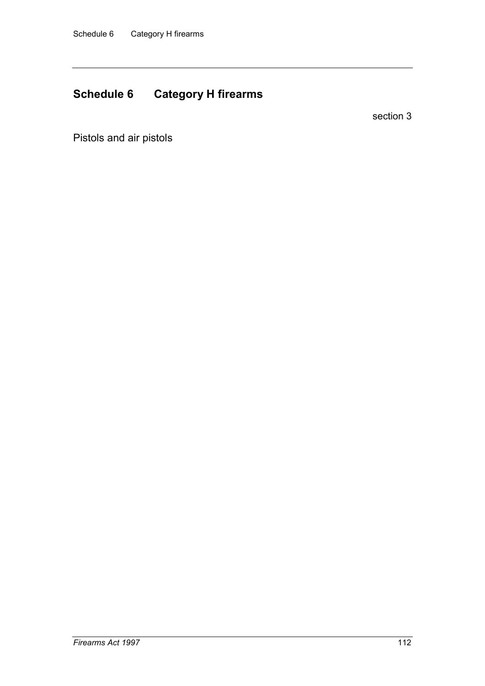## **Schedule 6 Category H firearms**

section 3

Pistols and air pistols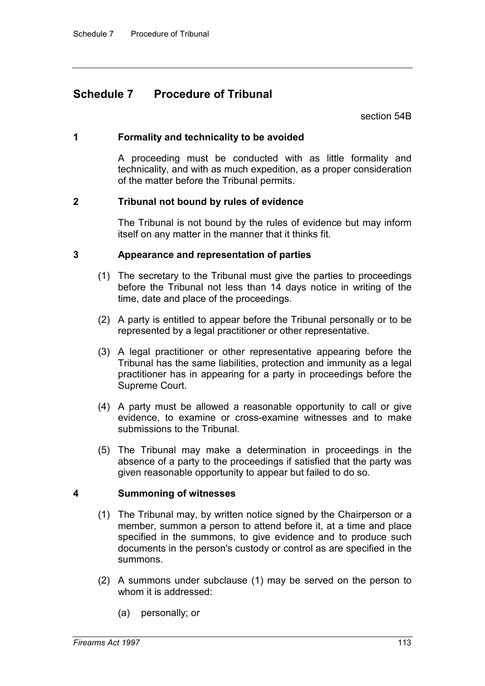## **Schedule 7 Procedure of Tribunal**

section 54B

## **1 Formality and technicality to be avoided**

A proceeding must be conducted with as little formality and technicality, and with as much expedition, as a proper consideration of the matter before the Tribunal permits.

## **2 Tribunal not bound by rules of evidence**

The Tribunal is not bound by the rules of evidence but may inform itself on any matter in the manner that it thinks fit.

## **3 Appearance and representation of parties**

- (1) The secretary to the Tribunal must give the parties to proceedings before the Tribunal not less than 14 days notice in writing of the time, date and place of the proceedings.
- (2) A party is entitled to appear before the Tribunal personally or to be represented by a legal practitioner or other representative.
- (3) A legal practitioner or other representative appearing before the Tribunal has the same liabilities, protection and immunity as a legal practitioner has in appearing for a party in proceedings before the Supreme Court.
- (4) A party must be allowed a reasonable opportunity to call or give evidence, to examine or cross-examine witnesses and to make submissions to the Tribunal.
- (5) The Tribunal may make a determination in proceedings in the absence of a party to the proceedings if satisfied that the party was given reasonable opportunity to appear but failed to do so.

## **4 Summoning of witnesses**

- (1) The Tribunal may, by written notice signed by the Chairperson or a member, summon a person to attend before it, at a time and place specified in the summons, to give evidence and to produce such documents in the person's custody or control as are specified in the summons.
- (2) A summons under subclause (1) may be served on the person to whom it is addressed:
	- (a) personally; or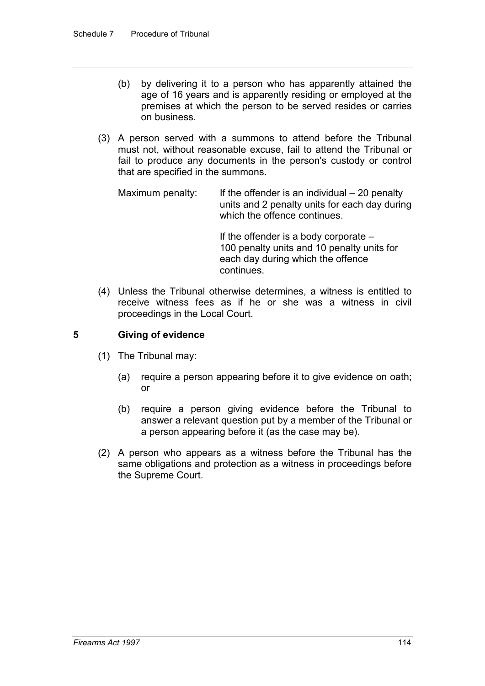- (b) by delivering it to a person who has apparently attained the age of 16 years and is apparently residing or employed at the premises at which the person to be served resides or carries on business.
- (3) A person served with a summons to attend before the Tribunal must not, without reasonable excuse, fail to attend the Tribunal or fail to produce any documents in the person's custody or control that are specified in the summons.

Maximum penalty: If the offender is an individual  $-20$  penalty units and 2 penalty units for each day during which the offence continues.

> If the offender is a body corporate – 100 penalty units and 10 penalty units for each day during which the offence continues.

(4) Unless the Tribunal otherwise determines, a witness is entitled to receive witness fees as if he or she was a witness in civil proceedings in the Local Court.

## **5 Giving of evidence**

- (1) The Tribunal may:
	- (a) require a person appearing before it to give evidence on oath; or
	- (b) require a person giving evidence before the Tribunal to answer a relevant question put by a member of the Tribunal or a person appearing before it (as the case may be).
- (2) A person who appears as a witness before the Tribunal has the same obligations and protection as a witness in proceedings before the Supreme Court.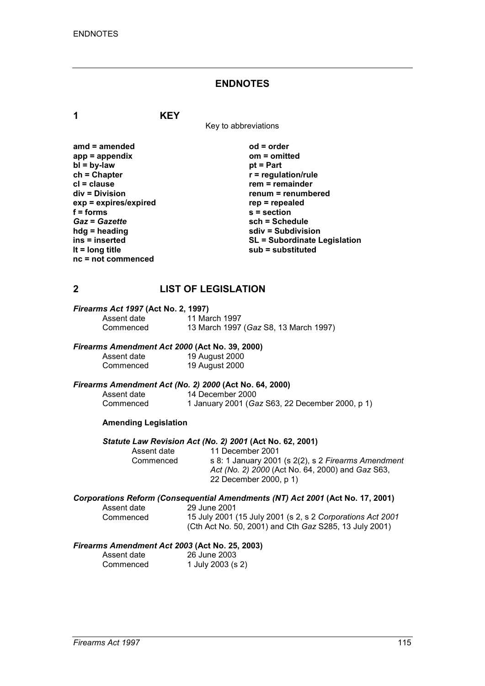#### **ENDNOTES**

**1 KEY**

Key to abbreviations

**amd = amended od = order app = appendix om = omitted bl = by-law**<br>**ch = Chapter ch = Chapter r = regulation/rule cl = clause rem = remainder**  $exp = exp$ **ires/expired**<br>**f** = forms **f** = forms <br> **s** = section<br> **Gaz** = Gazette <br> **sch** = Sche *Gaz* **=** *Gazette* **sch = Schedule hdg = heading sdiv = Subdivision nc = not commenced**

**renum = renumbered**<br>rep = repealed **ins = inserted SL = Subordinate Legislation lt = long title sub = substituted**

## **2 LIST OF LEGISLATION**

# *Firearms Act 1997* **(Act No. 2, 1997)**

Assent date 11 March 1997<br>Commenced 13 March 1997 Commenced 13 March 1997 (*Gaz* S8, 13 March 1997)

# *Firearms Amendment Act 2000* **(Act No. 39, 2000)**

Assent date 19 August 2000<br>Commenced 19 August 2000 19 August 2000

# *Firearms Amendment Act (No. 2) 2000* **(Act No. 64, 2000)**

Assent date 14 December 2000<br>Commenced 1 January 2001 (Ga 1 January 2001 (*Gaz* S63, 22 December 2000, p 1)

#### **Amending Legislation**

# *Statute Law Revision Act (No. 2) 2001* **(Act No. 62, 2001)**

Assent date 11 December 2001<br>Commenced s 8: 1 January 2001 s 8: 1 January 2001 (s 2(2), s 2 *Firearms Amendment Act (No. 2) 2000* (Act No. 64, 2000) and *Gaz* S63, 22 December 2000, p 1)

# *Corporations Reform (Consequential Amendments (NT) Act 2001* **(Act No. 17, 2001)**

Assent date 29 June 2001<br>Commenced 15 July 2001

15 July 2001 (15 July 2001 (s 2, s 2 *Corporations Act 2001* (Cth Act No. 50, 2001) and Cth *Gaz* S285, 13 July 2001)

#### *Firearms Amendment Act 2003* **(Act No. 25, 2003)**

| Assent date | 26 June 2003      |
|-------------|-------------------|
| Commenced   | 1 July 2003 (s 2) |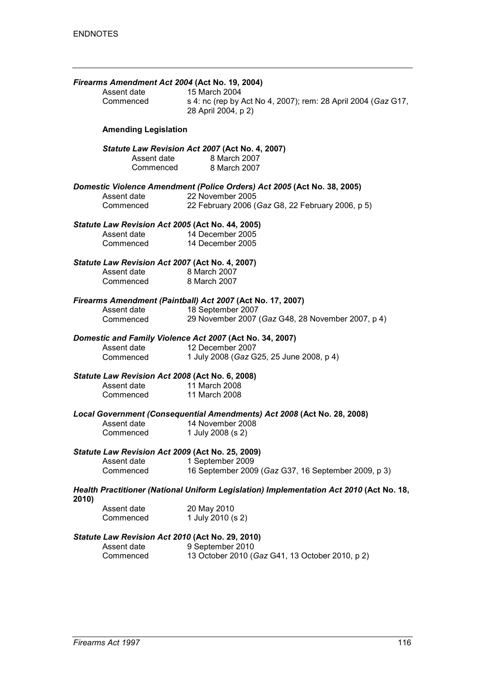|       | Firearms Amendment Act 2004 (Act No. 19, 2004)   |                                                                                         |
|-------|--------------------------------------------------|-----------------------------------------------------------------------------------------|
|       | Assent date                                      | 15 March 2004                                                                           |
|       | Commenced                                        | s 4: nc (rep by Act No 4, 2007); rem: 28 April 2004 (Gaz G17,<br>28 April 2004, p 2)    |
|       | <b>Amending Legislation</b>                      |                                                                                         |
|       | Assent date                                      | Statute Law Revision Act 2007 (Act No. 4, 2007)<br>8 March 2007                         |
|       |                                                  | Commenced 8 March 2007                                                                  |
|       |                                                  | Domestic Violence Amendment (Police Orders) Act 2005 (Act No. 38, 2005)                 |
|       | Assent date                                      | 22 November 2005                                                                        |
|       | Commenced                                        | 22 February 2006 (Gaz G8, 22 February 2006, p 5)                                        |
|       | Statute Law Revision Act 2005 (Act No. 44, 2005) |                                                                                         |
|       | Assent date                                      | 14 December 2005                                                                        |
|       | Commenced                                        | 14 December 2005                                                                        |
|       | Statute Law Revision Act 2007 (Act No. 4, 2007)  |                                                                                         |
|       | Assent date                                      | 8 March 2007                                                                            |
|       | Commenced                                        | 8 March 2007                                                                            |
|       |                                                  | Firearms Amendment (Paintball) Act 2007 (Act No. 17, 2007)                              |
|       | Assent date                                      | 18 September 2007                                                                       |
|       | Commenced                                        | 29 November 2007 (Gaz G48, 28 November 2007, p 4)                                       |
|       |                                                  | Domestic and Family Violence Act 2007 (Act No. 34, 2007)                                |
|       | Assent date                                      | 12 December 2007                                                                        |
|       | Commenced                                        | 1 July 2008 (Gaz G25, 25 June 2008, p 4)                                                |
|       | Statute Law Revision Act 2008 (Act No. 6, 2008)  |                                                                                         |
|       | Assent date                                      | 11 March 2008                                                                           |
|       | Commenced                                        | 11 March 2008                                                                           |
|       |                                                  | Local Government (Consequential Amendments) Act 2008 (Act No. 28, 2008)                 |
|       | Assent date                                      | 14 November 2008                                                                        |
|       | Commenced                                        | 1 July 2008 (s 2)                                                                       |
|       | Statute Law Revision Act 2009 (Act No. 25, 2009) |                                                                                         |
|       | Assent date                                      | 1 September 2009                                                                        |
|       | Commenced                                        | 16 September 2009 (Gaz G37, 16 September 2009, p 3)                                     |
| 2010) |                                                  | Health Practitioner (National Uniform Legislation) Implementation Act 2010 (Act No. 18, |
|       | Assent date                                      | 20 May 2010                                                                             |
|       | Commenced                                        | 1 July 2010 (s 2)                                                                       |
|       | Statute Law Revision Act 2010 (Act No. 29, 2010) |                                                                                         |
|       | Assent date                                      | 9 September 2010                                                                        |
|       | Commenced                                        | 13 October 2010 (Gaz G41, 13 October 2010, p 2)                                         |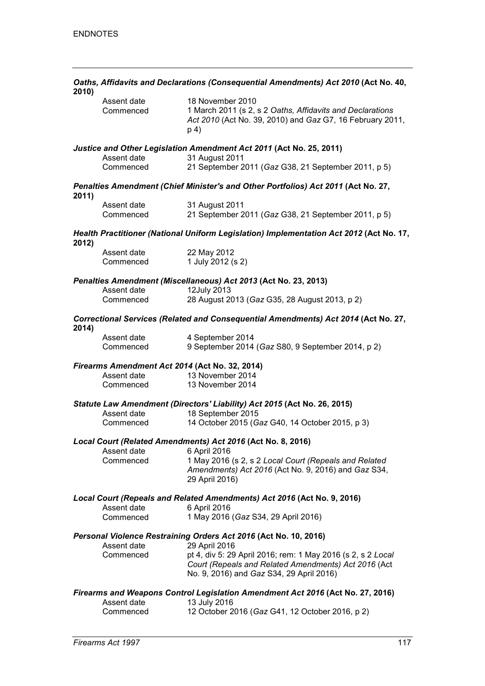| 2010) | Oaths, Affidavits and Declarations (Consequential Amendments) Act 2010 (Act No. 40, |                                                                                                                                                                 |
|-------|-------------------------------------------------------------------------------------|-----------------------------------------------------------------------------------------------------------------------------------------------------------------|
|       | Assent date<br>Commenced                                                            | 18 November 2010<br>1 March 2011 (s 2, s 2 Oaths, Affidavits and Declarations<br>Act 2010 (Act No. 39, 2010) and Gaz G7, 16 February 2011,<br>p 4)              |
|       | Assent date<br>Commenced                                                            | Justice and Other Legislation Amendment Act 2011 (Act No. 25, 2011)<br>31 August 2011<br>21 September 2011 (Gaz G38, 21 September 2011, p 5)                    |
|       |                                                                                     | Penalties Amendment (Chief Minister's and Other Portfolios) Act 2011 (Act No. 27,                                                                               |
| 2011) | Assent date                                                                         | 31 August 2011                                                                                                                                                  |
|       | Commenced                                                                           | 21 September 2011 (Gaz G38, 21 September 2011, p 5)                                                                                                             |
| 2012) |                                                                                     | Health Practitioner (National Uniform Legislation) Implementation Act 2012 (Act No. 17,                                                                         |
|       | Assent date                                                                         | 22 May 2012                                                                                                                                                     |
|       | Commenced                                                                           | 1 July 2012 (s 2)                                                                                                                                               |
|       |                                                                                     | Penalties Amendment (Miscellaneous) Act 2013 (Act No. 23, 2013)                                                                                                 |
|       | Assent date                                                                         | 12July 2013                                                                                                                                                     |
|       | Commenced                                                                           | 28 August 2013 (Gaz G35, 28 August 2013, p 2)                                                                                                                   |
| 2014) |                                                                                     | Correctional Services (Related and Consequential Amendments) Act 2014 (Act No. 27,                                                                              |
|       | Assent date<br>Commenced                                                            | 4 September 2014<br>9 September 2014 (Gaz S80, 9 September 2014, p 2)                                                                                           |
|       |                                                                                     |                                                                                                                                                                 |
|       | Firearms Amendment Act 2014 (Act No. 32, 2014)<br>Assent date                       | 13 November 2014                                                                                                                                                |
|       | Commenced                                                                           | 13 November 2014                                                                                                                                                |
|       | Assent date                                                                         | Statute Law Amendment (Directors' Liability) Act 2015 (Act No. 26, 2015)                                                                                        |
|       | Commenced                                                                           | 18 September 2015<br>14 October 2015 (Gaz G40, 14 October 2015, p 3)                                                                                            |
|       |                                                                                     | Local Court (Related Amendments) Act 2016 (Act No. 8, 2016)                                                                                                     |
|       | Assent date                                                                         | 6 April 2016                                                                                                                                                    |
|       | Commenced                                                                           | 1 May 2016 (s 2, s 2 Local Court (Repeals and Related<br>Amendments) Act 2016 (Act No. 9, 2016) and Gaz S34,<br>29 April 2016)                                  |
|       |                                                                                     | Local Court (Repeals and Related Amendments) Act 2016 (Act No. 9, 2016)                                                                                         |
|       | Assent date<br>Commenced                                                            | 6 April 2016<br>1 May 2016 (Gaz S34, 29 April 2016)                                                                                                             |
|       |                                                                                     | Personal Violence Restraining Orders Act 2016 (Act No. 10, 2016)                                                                                                |
|       | Assent date                                                                         | 29 April 2016                                                                                                                                                   |
|       | Commenced                                                                           | pt 4, div 5: 29 April 2016; rem: 1 May 2016 (s 2, s 2 Local<br>Court (Repeals and Related Amendments) Act 2016 (Act<br>No. 9, 2016) and Gaz S34, 29 April 2016) |
|       |                                                                                     | Firearms and Weapons Control Legislation Amendment Act 2016 (Act No. 27, 2016)                                                                                  |
|       | Assent date<br>Commenced                                                            | 13 July 2016<br>12 October 2016 (Gaz G41, 12 October 2016, p 2)                                                                                                 |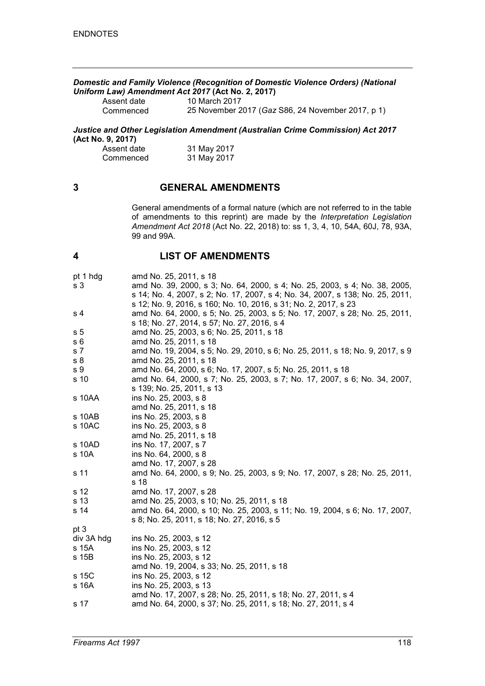*Domestic and Family Violence (Recognition of Domestic Violence Orders) (National Uniform Law) Amendment Act 2017* **(Act No. 2, 2017)**

Assent date 10 March 2017<br>Commenced 25 November 2 25 November 2017 (*Gaz* S86, 24 November 2017, p 1)

*Justice and Other Legislation Amendment (Australian Crime Commission) Act 2017* **(Act No. 9, 2017)**

| Assent date | 31 May 2017 |
|-------------|-------------|
| Commenced   | 31 May 2017 |

## **3 GENERAL AMENDMENTS**

General amendments of a formal nature (which are not referred to in the table of amendments to this reprint) are made by the *Interpretation Legislation Amendment Act 2018* (Act No. 22, 2018) to: ss 1, 3, 4, 10, 54A, 60J, 78, 93A, 99 and 99A.

## **4 LIST OF AMENDMENTS**

| pt 1 hdg<br>s <sub>3</sub> | amd No. 25, 2011, s 18<br>amd No. 39, 2000, s 3; No. 64, 2000, s 4; No. 25, 2003, s 4; No. 38, 2005,<br>s 14; No. 4, 2007, s 2; No. 17, 2007, s 4; No. 34, 2007, s 138; No. 25, 2011,         |
|----------------------------|-----------------------------------------------------------------------------------------------------------------------------------------------------------------------------------------------|
| s 4                        | s 12; No. 9, 2016, s 160; No. 10, 2016, s 31; No. 2, 2017, s 23<br>amd No. 64, 2000, s 5; No. 25, 2003, s 5; No. 17, 2007, s 28; No. 25, 2011,<br>s 18; No. 27, 2014, s 57; No. 27, 2016, s 4 |
| s <sub>5</sub>             | amd No. 25, 2003, s 6; No. 25, 2011, s 18                                                                                                                                                     |
| s 6                        | amd No. 25, 2011, s 18                                                                                                                                                                        |
| s 7                        | amd No. 19, 2004, s 5; No. 29, 2010, s 6; No. 25, 2011, s 18; No. 9, 2017, s 9                                                                                                                |
| s 8                        | amd No. 25, 2011, s 18                                                                                                                                                                        |
| s <sub>9</sub>             | amd No. 64, 2000, s 6; No. 17, 2007, s 5; No. 25, 2011, s 18                                                                                                                                  |
| s 10                       | amd No. 64, 2000, s 7; No. 25, 2003, s 7; No. 17, 2007, s 6; No. 34, 2007,<br>s 139; No. 25, 2011, s 13                                                                                       |
| s 10AA                     | ins No. 25, 2003, s 8<br>amd No. 25, 2011, s 18                                                                                                                                               |
| s 10AB                     | ins No. 25, 2003, s 8                                                                                                                                                                         |
| s 10AC                     | ins No. 25, 2003, s 8                                                                                                                                                                         |
|                            | amd No. 25, 2011, s 18                                                                                                                                                                        |
| s 10AD                     | ins No. 17, 2007, s 7                                                                                                                                                                         |
| s 10A                      | ins No. 64, 2000, s 8                                                                                                                                                                         |
|                            | amd No. 17, 2007, s 28                                                                                                                                                                        |
| s 11                       | amd No. 64, 2000, s 9; No. 25, 2003, s 9; No. 17, 2007, s 28; No. 25, 2011,<br>s 18                                                                                                           |
| s 12                       | amd No. 17, 2007, s 28                                                                                                                                                                        |
| s 13                       | amd No. 25, 2003, s 10; No. 25, 2011, s 18                                                                                                                                                    |
| s 14                       | amd No. 64, 2000, s 10; No. 25, 2003, s 11; No. 19, 2004, s 6; No. 17, 2007,<br>s 8; No. 25, 2011, s 18; No. 27, 2016, s 5                                                                    |
| pt 3                       |                                                                                                                                                                                               |
| div 3A hdg                 | ins No. 25, 2003, s 12                                                                                                                                                                        |
| s 15A                      | ins No. 25, 2003, s 12                                                                                                                                                                        |
| s 15B                      | ins No. 25, 2003, s 12<br>amd No. 19, 2004, s 33; No. 25, 2011, s 18                                                                                                                          |
| s 15C                      | ins No. 25, 2003, s 12                                                                                                                                                                        |
| s 16A                      | ins No. 25, 2003, s 13<br>amd No. 17, 2007, s 28; No. 25, 2011, s 18; No. 27, 2011, s 4                                                                                                       |
| s 17                       | amd No. 64, 2000, s 37; No. 25, 2011, s 18; No. 27, 2011, s 4                                                                                                                                 |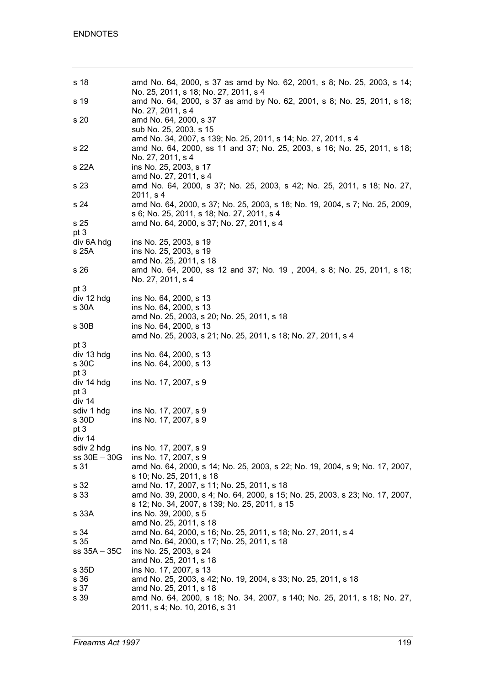| s 18         | amd No. 64, 2000, s 37 as amd by No. 62, 2001, s 8; No. 25, 2003, s 14;<br>No. 25, 2011, s 18; No. 27, 2011, s 4                                               |
|--------------|----------------------------------------------------------------------------------------------------------------------------------------------------------------|
| s 19         | amd No. 64, 2000, s 37 as amd by No. 62, 2001, s 8; No. 25, 2011, s 18;<br>No. 27, 2011, s 4                                                                   |
| s 20         | amd No. 64, 2000, s 37<br>sub No. 25, 2003, s 15                                                                                                               |
| s 22         | amd No. 34, 2007, s 139; No. 25, 2011, s 14; No. 27, 2011, s 4<br>amd No. 64, 2000, ss 11 and 37; No. 25, 2003, s 16; No. 25, 2011, s 18;<br>No. 27, 2011, s 4 |
| s 22A        | ins No. 25, 2003, s 17<br>amd No. 27, 2011, s 4                                                                                                                |
| s 23         | amd No. 64, 2000, s 37; No. 25, 2003, s 42; No. 25, 2011, s 18; No. 27,<br>2011, s 4                                                                           |
| s 24         | amd No. 64, 2000, s 37; No. 25, 2003, s 18; No. 19, 2004, s 7; No. 25, 2009,<br>s 6; No. 25, 2011, s 18; No. 27, 2011, s 4                                     |
| s 25         | amd No. 64, 2000, s 37; No. 27, 2011, s 4                                                                                                                      |
| pt 3         |                                                                                                                                                                |
|              |                                                                                                                                                                |
| div 6A hdg   | ins No. 25, 2003, s 19                                                                                                                                         |
| s 25A        | ins No. 25, 2003, s 19                                                                                                                                         |
|              | amd No. 25, 2011, s 18                                                                                                                                         |
| s 26         | amd No. 64, 2000, ss 12 and 37; No. 19, 2004, s 8; No. 25, 2011, s 18;<br>No. 27, 2011, s 4                                                                    |
| pt 3         |                                                                                                                                                                |
| div 12 hdg   | ins No. 64, 2000, s 13                                                                                                                                         |
| s 30A        | ins No. 64, 2000, s 13                                                                                                                                         |
|              |                                                                                                                                                                |
|              | amd No. 25, 2003, s 20; No. 25, 2011, s 18                                                                                                                     |
| s 30B        | ins No. 64, 2000, s 13                                                                                                                                         |
|              | amd No. 25, 2003, s 21; No. 25, 2011, s 18; No. 27, 2011, s 4                                                                                                  |
|              |                                                                                                                                                                |
|              |                                                                                                                                                                |
| pt 3         |                                                                                                                                                                |
| div 13 hdg   | ins No. 64, 2000, s 13                                                                                                                                         |
| s 30C        | ins No. 64, 2000, s 13                                                                                                                                         |
| pt 3         |                                                                                                                                                                |
|              |                                                                                                                                                                |
| div 14 hdg   | ins No. 17, 2007, s 9                                                                                                                                          |
| pt 3         |                                                                                                                                                                |
| div 14       |                                                                                                                                                                |
| sdiv 1 hdg   | ins No. 17, 2007, s 9                                                                                                                                          |
|              |                                                                                                                                                                |
| s 30D        | ins No. 17, 2007, s 9                                                                                                                                          |
| pt 3         |                                                                                                                                                                |
| div 14       |                                                                                                                                                                |
| sdiv 2 hdg   | ins No. 17, 2007, s 9                                                                                                                                          |
| ss 30E - 30G | ins No. 17, 2007, s 9                                                                                                                                          |
| s 31         | amd No. 64, 2000, s 14; No. 25, 2003, s 22; No. 19, 2004, s 9; No. 17, 2007,                                                                                   |
|              |                                                                                                                                                                |
|              | s 10; No. 25, 2011, s 18                                                                                                                                       |
| s 32         | amd No. 17, 2007, s 11; No. 25, 2011, s 18                                                                                                                     |
| s 33         | amd No. 39, 2000, s 4; No. 64, 2000, s 15; No. 25, 2003, s 23; No. 17, 2007,                                                                                   |
|              | s 12; No. 34, 2007, s 139; No. 25, 2011, s 15                                                                                                                  |
|              |                                                                                                                                                                |
| s 33A        | ins No. 39, 2000, s 5                                                                                                                                          |
|              | amd No. 25, 2011, s 18                                                                                                                                         |
| s 34         | amd No. 64, 2000, s 16; No. 25, 2011, s 18; No. 27, 2011, s 4                                                                                                  |
| s 35         | amd No. 64, 2000, s 17; No. 25, 2011, s 18                                                                                                                     |
| ss 35A - 35C | ins No. 25, 2003, s 24                                                                                                                                         |
|              | amd No. 25, 2011, s 18                                                                                                                                         |
|              |                                                                                                                                                                |
| s 35D        | ins No. 17, 2007, s 13                                                                                                                                         |
| s 36         | amd No. 25, 2003, s 42; No. 19, 2004, s 33; No. 25, 2011, s 18                                                                                                 |
| s 37         | amd No. 25, 2011, s 18                                                                                                                                         |
| s 39         | amd No. 64, 2000, s 18; No. 34, 2007, s 140; No. 25, 2011, s 18; No. 27,                                                                                       |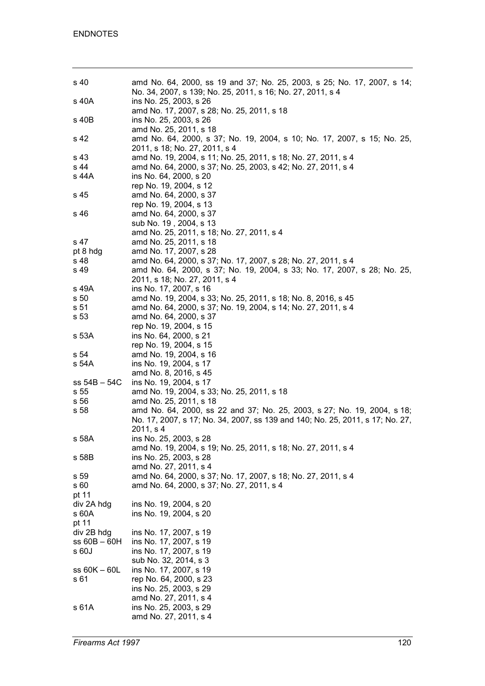| s 40             | amd No. 64, 2000, ss 19 and 37; No. 25, 2003, s 25; No. 17, 2007, s 14;       |
|------------------|-------------------------------------------------------------------------------|
|                  | No. 34, 2007, s 139; No. 25, 2011, s 16; No. 27, 2011, s 4                    |
| s 40A            | ins No. 25, 2003, s 26                                                        |
|                  | amd No. 17, 2007, s 28; No. 25, 2011, s 18                                    |
| s 40B            | ins No. 25, 2003, s 26                                                        |
|                  | amd No. 25, 2011, s 18                                                        |
| s 42             | amd No. 64, 2000, s 37; No. 19, 2004, s 10; No. 17, 2007, s 15; No. 25,       |
|                  | 2011, s 18; No. 27, 2011, s 4                                                 |
| s 43             | amd No. 19, 2004, s 11; No. 25, 2011, s 18; No. 27, 2011, s 4                 |
| s 44             | amd No. 64, 2000, s 37; No. 25, 2003, s 42; No. 27, 2011, s 4                 |
| s 44A            | ins No. 64, 2000, s 20                                                        |
|                  | rep No. 19, 2004, s 12                                                        |
| s 45             | amd No. 64, 2000, s 37                                                        |
|                  | rep No. 19, 2004, s 13                                                        |
| s 46             | amd No. 64, 2000, s 37                                                        |
|                  | sub No. 19, 2004, s 13                                                        |
|                  | amd No. 25, 2011, s 18; No. 27, 2011, s 4                                     |
| s 47             | amd No. 25, 2011, s 18                                                        |
| pt 8 hdg         | amd No. 17, 2007, s 28                                                        |
| s 48             | amd No. 64, 2000, s 37; No. 17, 2007, s 28; No. 27, 2011, s 4                 |
| s 49             | amd No. 64, 2000, s 37; No. 19, 2004, s 33; No. 17, 2007, s 28; No. 25,       |
|                  | 2011, s 18; No. 27, 2011, s 4                                                 |
| s 49A            | ins No. 17, 2007, s 16                                                        |
| s <sub>50</sub>  | amd No. 19, 2004, s 33; No. 25, 2011, s 18; No. 8, 2016, s 45                 |
| s 51             | amd No. 64, 2000, s 37; No. 19, 2004, s 14; No. 27, 2011, s 4                 |
| s 53             | amd No. 64, 2000, s 37                                                        |
|                  | rep No. 19, 2004, s 15                                                        |
| s 53A            | ins No. 64, 2000, s 21                                                        |
|                  | rep No. 19, 2004, s 15                                                        |
| s 54             | amd No. 19, 2004, s 16                                                        |
| s 54A            | ins No. 19, 2004, s 17                                                        |
|                  | amd No. 8, 2016, s 45                                                         |
| $ss 54B - 54C$   | ins No. 19, 2004, s 17                                                        |
| s 55             | amd No. 19, 2004, s 33; No. 25, 2011, s 18                                    |
| s 56             | amd No. 25, 2011, s 18                                                        |
| s 58             | amd No. 64, 2000, ss 22 and 37; No. 25, 2003, s 27; No. 19, 2004, s 18;       |
|                  | No. 17, 2007, s 17; No. 34, 2007, ss 139 and 140; No. 25, 2011, s 17; No. 27, |
|                  | 2011, s 4                                                                     |
| s 58A            | ins No. 25, 2003, s 28                                                        |
|                  | amd No. 19, 2004, s 19; No. 25, 2011, s 18; No. 27, 2011, s 4                 |
| s 58B            | ins No. 25, 2003, s 28                                                        |
|                  | amd No. 27, 2011, s 4                                                         |
| s 59             | amd No. 64, 2000, s 37; No. 17, 2007, s 18; No. 27, 2011, s 4                 |
| s 60             | amd No. 64, 2000, s 37; No. 27, 2011, s 4                                     |
| pt 11            |                                                                               |
| div 2A hdg       | ins No. 19, 2004, s 20                                                        |
| s 60A            | ins No. 19, 2004, s 20                                                        |
| pt 11            |                                                                               |
| div 2B hdg       | ins No. 17, 2007, s 19                                                        |
| $ss$ 60B $-$ 60H | ins No. 17, 2007, s 19                                                        |
| s60J             | ins No. 17, 2007, s 19                                                        |
|                  | sub No. 32, 2014, s 3                                                         |
| ss 60K - 60L     | ins No. 17, 2007, s 19                                                        |
| s 61             | rep No. 64, 2000, s 23                                                        |
|                  | ins No. 25, 2003, s 29                                                        |
|                  | amd No. 27, 2011, s 4                                                         |
| s 61A            | ins No. 25, 2003, s 29                                                        |
|                  | amd No. 27, 2011, s 4                                                         |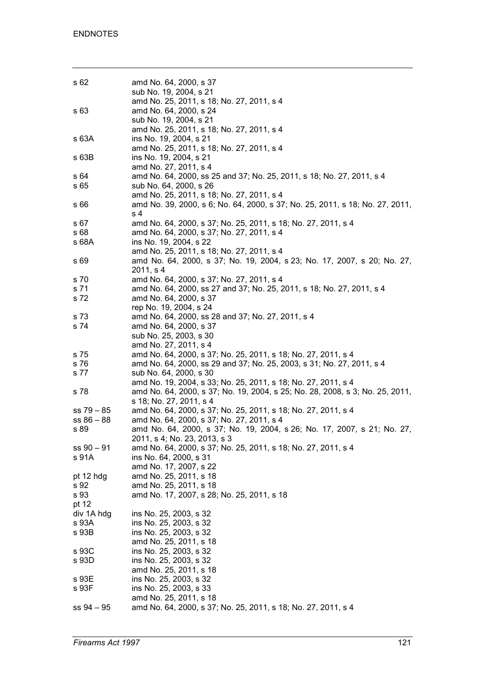| s 62           | amd No. 64, 2000, s 37                                                                                                                 |
|----------------|----------------------------------------------------------------------------------------------------------------------------------------|
|                | sub No. 19, 2004, s 21                                                                                                                 |
|                | amd No. 25, 2011, s 18; No. 27, 2011, s 4                                                                                              |
| s 63           | amd No. 64, 2000, s 24                                                                                                                 |
|                | sub No. 19, 2004, s 21                                                                                                                 |
|                | amd No. 25, 2011, s 18; No. 27, 2011, s 4                                                                                              |
| s 63A          | ins No. 19, 2004, s 21                                                                                                                 |
|                | amd No. 25, 2011, s 18; No. 27, 2011, s 4                                                                                              |
| s 63B          | ins No. 19, 2004, s 21<br>amd No. 27, 2011, s 4                                                                                        |
| s 64           | amd No. 64, 2000, ss 25 and 37; No. 25, 2011, s 18; No. 27, 2011, s 4                                                                  |
| s 65           | sub No. 64, 2000, s 26                                                                                                                 |
|                | amd No. 25, 2011, s 18; No. 27, 2011, s 4                                                                                              |
| s 66           | amd No. 39, 2000, s 6; No. 64, 2000, s 37; No. 25, 2011, s 18; No. 27, 2011,                                                           |
|                | s <sub>4</sub>                                                                                                                         |
| s 67           | amd No. 64, 2000, s 37; No. 25, 2011, s 18; No. 27, 2011, s 4                                                                          |
| s 68           | amd No. 64, 2000, s 37; No. 27, 2011, s 4                                                                                              |
| s 68A          | ins No. 19, 2004, s 22                                                                                                                 |
|                | amd No. 25, 2011, s 18; No. 27, 2011, s 4<br>amd No. 64, 2000, s 37; No. 19, 2004, s 23; No. 17, 2007, s 20; No. 27,                   |
| s 69           | 2011, s 4                                                                                                                              |
| s 70           | amd No. 64, 2000, s 37; No. 27, 2011, s 4                                                                                              |
| s 71           | amd No. 64, 2000, ss 27 and 37; No. 25, 2011, s 18; No. 27, 2011, s 4                                                                  |
| s 72           | amd No. 64, 2000, s 37                                                                                                                 |
|                | rep No. 19, 2004, s 24                                                                                                                 |
| s 73           | amd No. 64, 2000, ss 28 and 37; No. 27, 2011, s 4                                                                                      |
| s 74           | amd No. 64, 2000, s 37                                                                                                                 |
|                | sub No. 25, 2003, s 30                                                                                                                 |
|                | amd No. 27, 2011, s 4                                                                                                                  |
| s 75<br>s 76   | amd No. 64, 2000, s 37; No. 25, 2011, s 18; No. 27, 2011, s 4<br>amd No. 64, 2000, ss 29 and 37; No. 25, 2003, s 31; No. 27, 2011, s 4 |
| s 77           | sub No. 64, 2000, s 30                                                                                                                 |
|                | amd No. 19, 2004, s 33; No. 25, 2011, s 18; No. 27, 2011, s 4                                                                          |
| s 78           | amd No. 64, 2000, s 37; No. 19, 2004, s 25; No. 28, 2008, s 3; No. 25, 2011,                                                           |
|                | s 18; No. 27, 2011, s 4                                                                                                                |
| $ss 79 - 85$   | amd No. 64, 2000, s 37; No. 25, 2011, s 18; No. 27, 2011, s 4                                                                          |
| $ss 86 - 88$   | amd No. 64, 2000, s 37; No. 27, 2011, s 4                                                                                              |
| s 89           | amd No. 64, 2000, s 37; No. 19, 2004, s 26; No. 17, 2007, s 21; No. 27,                                                                |
|                | 2011, s 4; No. 23, 2013, s 3                                                                                                           |
| $ss 90 - 91$   | amd No. 64, 2000, s 37; No. 25, 2011, s 18; No. 27, 2011, s 4<br>ins No. 64, 2000, s 31                                                |
| s 91A          | amd No. 17, 2007, s 22                                                                                                                 |
| pt 12 hdg      | amd No. 25, 2011, s 18                                                                                                                 |
| s 92           | amd No. 25, 2011, s 18                                                                                                                 |
| s 93           | amd No. 17, 2007, s 28; No. 25, 2011, s 18                                                                                             |
| pt 12          |                                                                                                                                        |
| div 1A hdg     | ins No. 25, 2003, s 32                                                                                                                 |
| s 93A          | ins No. 25, 2003, s 32                                                                                                                 |
| s 93B          | ins No. 25, 2003, s 32                                                                                                                 |
|                | amd No. 25, 2011, s 18                                                                                                                 |
| s 93C<br>s 93D | ins No. 25, 2003, s 32<br>ins No. 25, 2003, s 32                                                                                       |
|                | amd No. 25, 2011, s 18                                                                                                                 |
| s 93E          | ins No. 25, 2003, s 32                                                                                                                 |
| s 93F          | ins No. 25, 2003, s 33                                                                                                                 |
|                | amd No. 25, 2011, s 18                                                                                                                 |
| $ss 94 - 95$   | amd No. 64, 2000, s 37; No. 25, 2011, s 18; No. 27, 2011, s 4                                                                          |